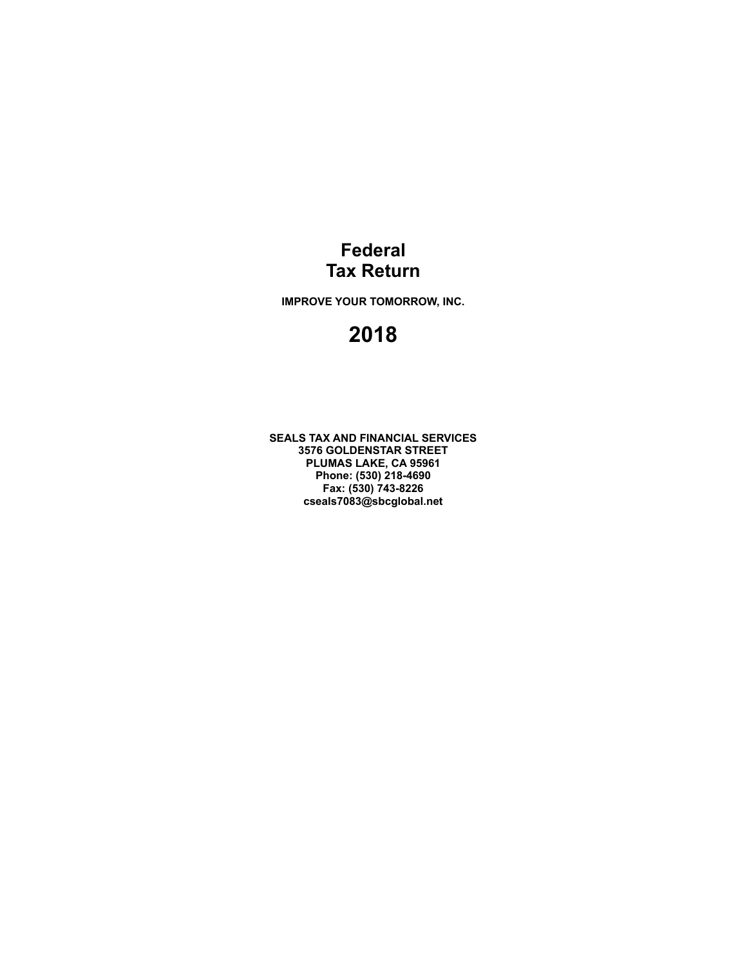### **Federal Tax Return**

**IMPROVE YOUR TOMORROW, INC.**

## **2018**

**SEALS TAX AND FINANCIAL SERVICES 3576 GOLDENSTAR STREET PLUMAS LAKE, CA 95961 Phone: (530) 218-4690 Fax: (530) 743-8226 cseals7083@sbcglobal.net**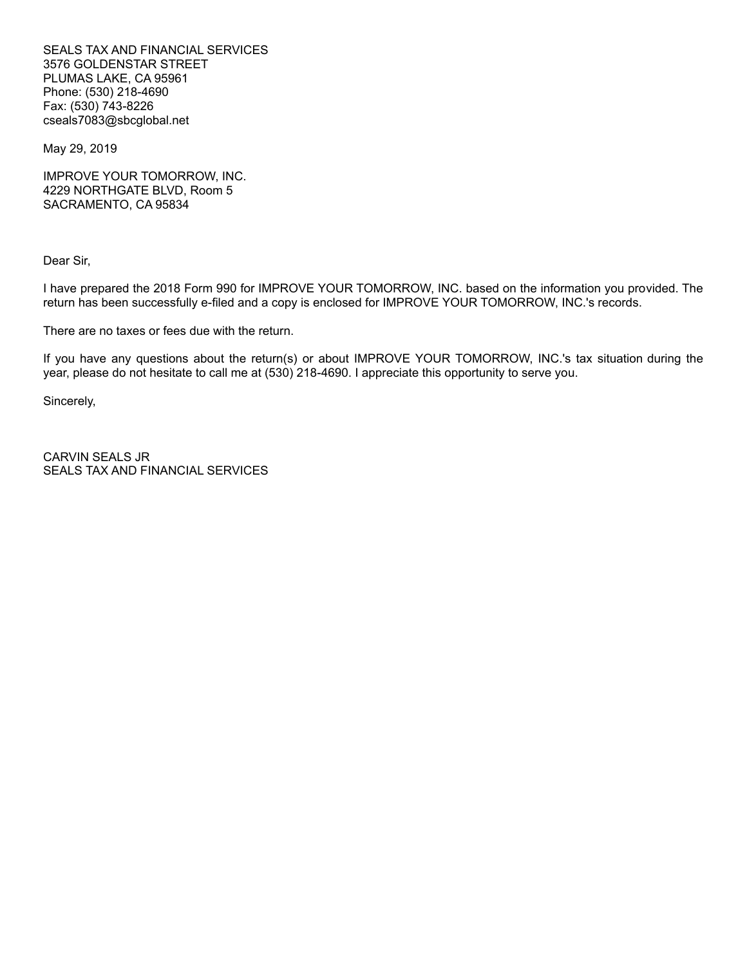SEALS TAX AND FINANCIAL SERVICES 3576 GOLDENSTAR STREET PLUMAS LAKE, CA 95961 Phone: (530) 218-4690 Fax: (530) 743-8226 cseals7083@sbcglobal.net

May 29, 2019

IMPROVE YOUR TOMORROW, INC. 4229 NORTHGATE BLVD, Room 5 SACRAMENTO, CA 95834

Dear Sir,

I have prepared the 2018 Form 990 for IMPROVE YOUR TOMORROW, INC. based on the information you provided. The return has been successfully e-filed and a copy is enclosed for IMPROVE YOUR TOMORROW, INC.'s records.

There are no taxes or fees due with the return.

If you have any questions about the return(s) or about IMPROVE YOUR TOMORROW, INC.'s tax situation during the year, please do not hesitate to call me at (530) 218-4690. I appreciate this opportunity to serve you.

Sincerely,

CARVIN SEALS JR SEALS TAX AND FINANCIAL SERVICES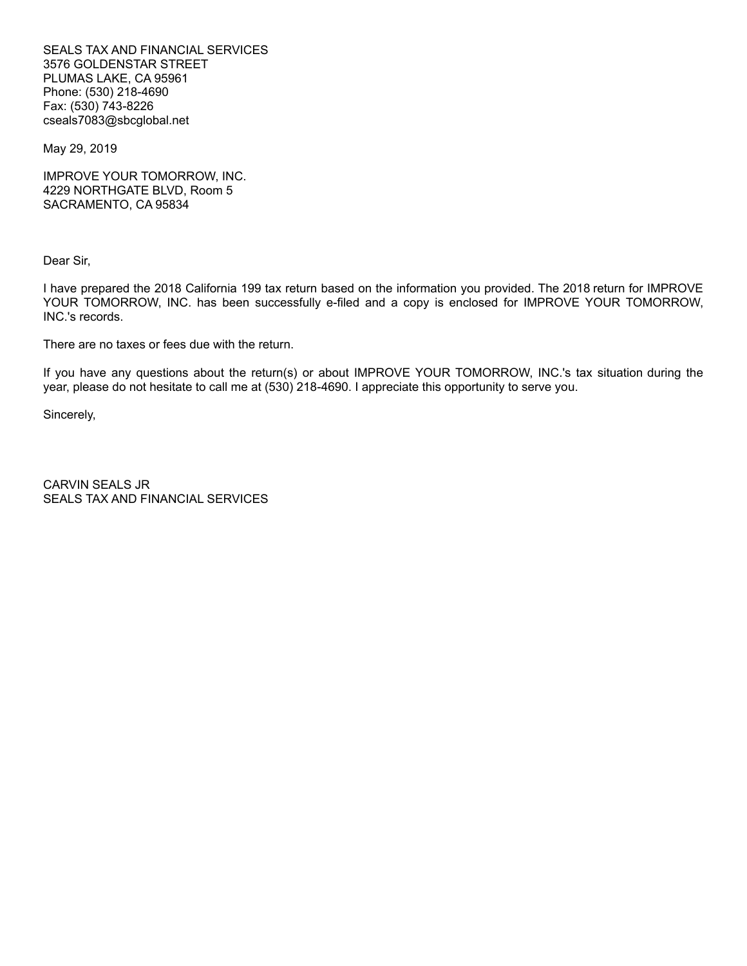SEALS TAX AND FINANCIAL SERVICES 3576 GOLDENSTAR STREET PLUMAS LAKE, CA 95961 Phone: (530) 218-4690 Fax: (530) 743-8226 cseals7083@sbcglobal.net

May 29, 2019

IMPROVE YOUR TOMORROW, INC. 4229 NORTHGATE BLVD, Room 5 SACRAMENTO, CA 95834

Dear Sir,

I have prepared the 2018 California 199 tax return based on the information you provided. The 2018 return for IMPROVE YOUR TOMORROW, INC. has been successfully e-filed and a copy is enclosed for IMPROVE YOUR TOMORROW, INC.'s records.

There are no taxes or fees due with the return.

If you have any questions about the return(s) or about IMPROVE YOUR TOMORROW, INC.'s tax situation during the year, please do not hesitate to call me at (530) 218-4690. I appreciate this opportunity to serve you.

Sincerely,

CARVIN SEALS JR SEALS TAX AND FINANCIAL SERVICES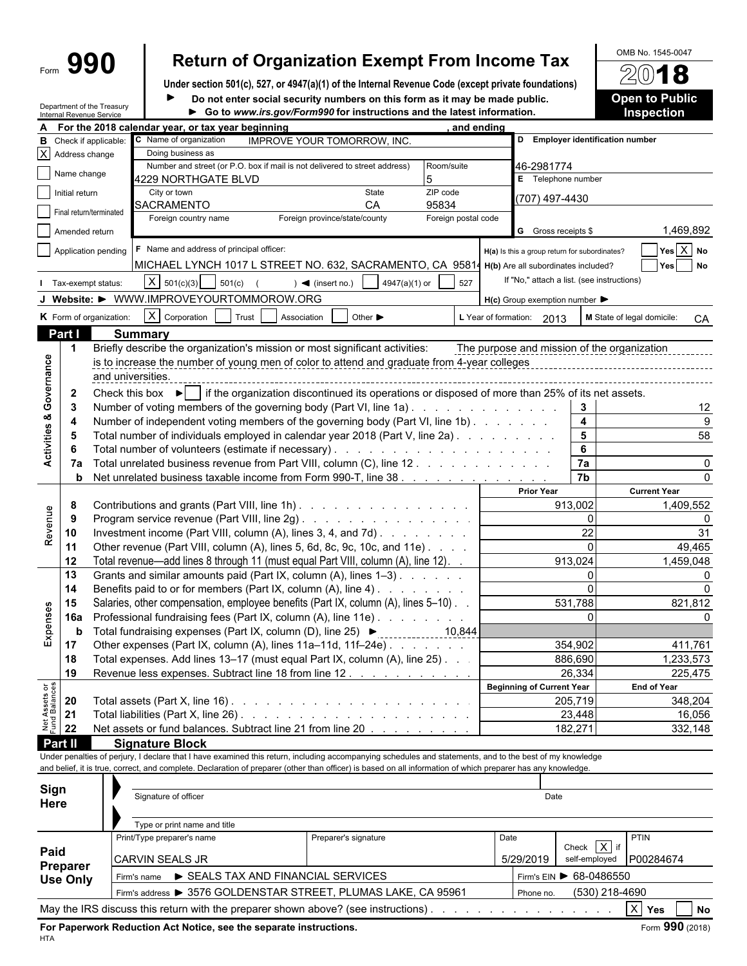# Form **990 Return of Organization Exempt From Income Tax**  $\frac{\text{OMB No. 1545-0047}}{2018}$

**Under section 501(c), 527, or 4947(a)(1) of the Internal Revenue Code (except private foundations)**  $\blacktriangleright$ 

Department of the Treasury

Do not enter social security numbers on this form as it may be made public.

| <b>Open to Public</b> |  |  |
|-----------------------|--|--|
| <b>Inspection</b>     |  |  |
|                       |  |  |

|                                | Internal Revenue Service                | Department of the Treasury |                                                                                                                                                              | Go to www.irs.gov/Form990 for instructions and the latest information. |                             |                     |            |                                                     |                         | <b>Inspection</b>                      |
|--------------------------------|-----------------------------------------|----------------------------|--------------------------------------------------------------------------------------------------------------------------------------------------------------|------------------------------------------------------------------------|-----------------------------|---------------------|------------|-----------------------------------------------------|-------------------------|----------------------------------------|
|                                |                                         |                            | For the 2018 calendar year, or tax year beginning                                                                                                            |                                                                        |                             |                     | and ending |                                                     |                         |                                        |
|                                | <b>B</b> Check if applicable:           |                            | C Name of organization                                                                                                                                       | <b>IMPROVE YOUR TOMORROW, INC.</b>                                     |                             |                     |            | D Employer identification number                    |                         |                                        |
|                                | $\overline{X}$ Address change           |                            | Doing business as                                                                                                                                            |                                                                        |                             |                     |            |                                                     |                         |                                        |
|                                | Name change                             |                            | Number and street (or P.O. box if mail is not delivered to street address)                                                                                   |                                                                        |                             | Room/suite          |            | 46-2981774                                          |                         |                                        |
|                                |                                         |                            | 4229 NORTHGATE BLVD                                                                                                                                          |                                                                        |                             | 5                   |            | E Telephone number                                  |                         |                                        |
|                                | $\overline{\phantom{a}}$ Initial return |                            | City or town                                                                                                                                                 |                                                                        | State                       | ZIP code            |            | (707) 497-4430                                      |                         |                                        |
|                                | Final return/terminated                 |                            | SACRAMENTO                                                                                                                                                   |                                                                        | CA.                         | 95834               |            |                                                     |                         |                                        |
|                                |                                         |                            | Foreign country name                                                                                                                                         | Foreign province/state/county                                          |                             | Foreign postal code |            |                                                     |                         |                                        |
|                                | Amended return                          |                            |                                                                                                                                                              |                                                                        |                             |                     |            | G Gross receipts \$                                 |                         | 1,469,892                              |
|                                |                                         | Application pending        | F Name and address of principal officer:                                                                                                                     |                                                                        |                             |                     |            | H(a) Is this a group return for subordinates?       |                         | $Yes \overline{X} No$                  |
|                                |                                         |                            | MICHAEL LYNCH 1017 L STREET NO. 632, SACRAMENTO, CA 95814 H(b) Are all subordinates included?                                                                |                                                                        |                             |                     |            |                                                     |                         | Yes No                                 |
|                                | Tax-exempt status:                      |                            | $X \mid 501(c)(3)$<br>$501(c)$ (                                                                                                                             | $\blacktriangleleft$ (insert no.)                                      | 4947(a)(1) or               | 527                 |            | If "No," attach a list. (see instructions)          |                         |                                        |
|                                |                                         |                            |                                                                                                                                                              |                                                                        |                             |                     |            |                                                     |                         |                                        |
|                                |                                         |                            | J Website: > WWW.IMPROVEYOURTOMMOROW.ORG                                                                                                                     |                                                                        |                             |                     |            | $H(c)$ Group exemption number $\blacktriangleright$ |                         |                                        |
|                                |                                         | K Form of organization:    | X Corporation<br>Trust                                                                                                                                       | Association                                                            | Other $\blacktriangleright$ |                     |            | L Year of formation: 2013                           |                         | M State of legal domicile:<br>CA       |
|                                | Part I                                  |                            | <b>Summary</b>                                                                                                                                               |                                                                        |                             |                     |            |                                                     |                         |                                        |
|                                | -1                                      |                            | Briefly describe the organization's mission or most significant activities:                                                                                  |                                                                        |                             |                     |            | The purpose and mission of the organization         |                         |                                        |
|                                |                                         |                            | is to increase the number of young men of color to attend and graduate from 4-year colleges                                                                  |                                                                        |                             |                     |            |                                                     |                         |                                        |
| Governance                     |                                         | and universities.          |                                                                                                                                                              |                                                                        |                             |                     |            |                                                     |                         |                                        |
|                                |                                         |                            |                                                                                                                                                              |                                                                        |                             |                     |            |                                                     |                         |                                        |
|                                | $\overline{2}$                          |                            | Check this box $\blacktriangleright$ if the organization discontinued its operations or disposed of more than 25% of its net assets.                         |                                                                        |                             |                     |            |                                                     |                         |                                        |
|                                | -3                                      |                            | Number of voting members of the governing body (Part VI, line 1a)                                                                                            |                                                                        |                             |                     |            |                                                     | $\mathbf{3}$            | 12                                     |
| <b>Activities &amp;</b>        | 4                                       |                            | Number of independent voting members of the governing body (Part VI, line 1b)                                                                                |                                                                        |                             |                     |            |                                                     | 4                       | $\boldsymbol{9}$                       |
|                                | -5                                      |                            | Total number of individuals employed in calendar year 2018 (Part V, line 2a).                                                                                |                                                                        |                             |                     |            |                                                     | $\overline{\mathbf{5}}$ | 58                                     |
|                                | 6                                       |                            |                                                                                                                                                              |                                                                        |                             |                     |            |                                                     | 6                       |                                        |
|                                | 7a                                      |                            | Total unrelated business revenue from Part VIII, column (C), line 12                                                                                         |                                                                        |                             |                     |            |                                                     | 7a                      | 0                                      |
|                                | b                                       |                            | Net unrelated business taxable income from Form 990-T, line 38                                                                                               |                                                                        |                             |                     |            |                                                     | $\overline{7b}$         |                                        |
|                                |                                         |                            |                                                                                                                                                              |                                                                        |                             |                     |            | <b>Prior Year</b>                                   |                         | <b>Current Year</b>                    |
|                                | 8                                       |                            | Contributions and grants (Part VIII, line 1h)                                                                                                                |                                                                        |                             |                     |            |                                                     | 913,002                 | 1,409,552                              |
|                                | 9                                       |                            | Program service revenue (Part VIII, line 2g)                                                                                                                 |                                                                        |                             |                     |            |                                                     | $\mathbf{0}$            | <sup>0</sup>                           |
| Revenue                        | 10                                      |                            | Investment income (Part VIII, column (A), lines 3, 4, and 7d).                                                                                               |                                                                        |                             |                     |            |                                                     | 22                      | 31                                     |
|                                |                                         |                            |                                                                                                                                                              |                                                                        |                             |                     |            |                                                     | $\Omega$                |                                        |
|                                | 11                                      |                            | Other revenue (Part VIII, column (A), lines 5, 6d, 8c, 9c, 10c, and 11e)                                                                                     |                                                                        |                             |                     |            |                                                     |                         | 49,465                                 |
|                                | 12                                      |                            | Total revenue—add lines 8 through 11 (must equal Part VIII, column (A), line 12). .                                                                          |                                                                        |                             |                     |            |                                                     | 913,024                 | 1,459,048                              |
|                                | 13                                      |                            | Grants and similar amounts paid (Part IX, column (A), lines 1-3)                                                                                             |                                                                        |                             |                     |            |                                                     | $\mathbf{0}$            |                                        |
|                                | 14                                      |                            | Benefits paid to or for members (Part IX, column (A), line 4)                                                                                                |                                                                        |                             |                     |            |                                                     | $\Omega$                |                                        |
|                                | 15                                      |                            | Salaries, other compensation, employee benefits (Part IX, column (A), lines 5-10).                                                                           |                                                                        |                             |                     |            |                                                     | 531,788                 | 821,812                                |
| Expenses                       | 16a                                     |                            | Professional fundraising fees (Part IX, column (A), line 11e)                                                                                                |                                                                        |                             |                     |            |                                                     | $\Omega$                |                                        |
|                                | b                                       |                            | Total fundraising expenses (Part IX, column (D), line 25) ▶                                                                                                  |                                                                        |                             | 10,844              |            |                                                     |                         |                                        |
|                                | 17                                      |                            | Other expenses (Part IX, column (A), lines 11a-11d, 11f-24e)                                                                                                 |                                                                        |                             |                     |            |                                                     | 354,902                 | 411,761                                |
|                                | 18                                      |                            | Total expenses. Add lines 13-17 (must equal Part IX, column (A), line 25). .                                                                                 |                                                                        |                             |                     |            |                                                     | 886,690                 | 1,233,573                              |
|                                | 19                                      |                            | Revenue less expenses. Subtract line 18 from line 12                                                                                                         |                                                                        |                             |                     |            |                                                     | 26,334                  | 225,475                                |
|                                |                                         |                            |                                                                                                                                                              |                                                                        |                             |                     |            | <b>Beginning of Current Year</b>                    |                         | <b>End of Year</b>                     |
| Net Assets or<br>Fund Balances |                                         |                            |                                                                                                                                                              |                                                                        |                             |                     |            |                                                     |                         |                                        |
|                                | 20                                      |                            |                                                                                                                                                              |                                                                        |                             |                     |            |                                                     | 205,719                 | 348,204                                |
|                                | 21                                      |                            |                                                                                                                                                              |                                                                        |                             |                     |            |                                                     | 23,448                  | 16,056                                 |
|                                | 22                                      |                            | Net assets or fund balances. Subtract line 21 from line 20                                                                                                   |                                                                        |                             |                     |            |                                                     | 182,271                 | 332,148                                |
|                                | <b>Part II</b>                          |                            | <b>Signature Block</b>                                                                                                                                       |                                                                        |                             |                     |            |                                                     |                         |                                        |
|                                |                                         |                            | Under penalties of perjury, I declare that I have examined this return, including accompanying schedules and statements, and to the best of my knowledge     |                                                                        |                             |                     |            |                                                     |                         |                                        |
|                                |                                         |                            | and belief, it is true, correct, and complete. Declaration of preparer (other than officer) is based on all information of which preparer has any knowledge. |                                                                        |                             |                     |            |                                                     |                         |                                        |
|                                | Sign                                    |                            |                                                                                                                                                              |                                                                        |                             |                     |            |                                                     |                         |                                        |
|                                |                                         |                            | Signature of officer                                                                                                                                         |                                                                        |                             |                     |            | Date                                                |                         |                                        |
|                                | Here                                    |                            |                                                                                                                                                              |                                                                        |                             |                     |            |                                                     |                         |                                        |
|                                |                                         |                            | Type or print name and title                                                                                                                                 |                                                                        |                             |                     |            |                                                     |                         |                                        |
|                                |                                         |                            | Print/Type preparer's name                                                                                                                                   | Preparer's signature                                                   |                             |                     | Date       |                                                     |                         | <b>PTIN</b>                            |
|                                | Paid                                    |                            |                                                                                                                                                              |                                                                        |                             |                     |            |                                                     | Check X if              |                                        |
|                                |                                         |                            | CARVIN SEALS JR                                                                                                                                              |                                                                        |                             |                     |            | 5/29/2019                                           | self-employed           | P00284674                              |
|                                | Preparer                                |                            | SEALS TAX AND FINANCIAL SERVICES<br>Firm's name                                                                                                              |                                                                        |                             |                     |            | Firm's EIN > 68-0486550                             |                         |                                        |
|                                | <b>Use Only</b>                         |                            |                                                                                                                                                              |                                                                        |                             |                     |            |                                                     |                         |                                        |
|                                |                                         |                            | Firm's address > 3576 GOLDENSTAR STREET, PLUMAS LAKE, CA 95961                                                                                               |                                                                        |                             |                     |            | Phone no.                                           | (530) 218-4690          |                                        |
|                                |                                         |                            | May the IRS discuss this return with the preparer shown above? (see instructions).                                                                           |                                                                        |                             |                     |            |                                                     |                         | $X$ Yes<br>$\overline{\phantom{a}}$ No |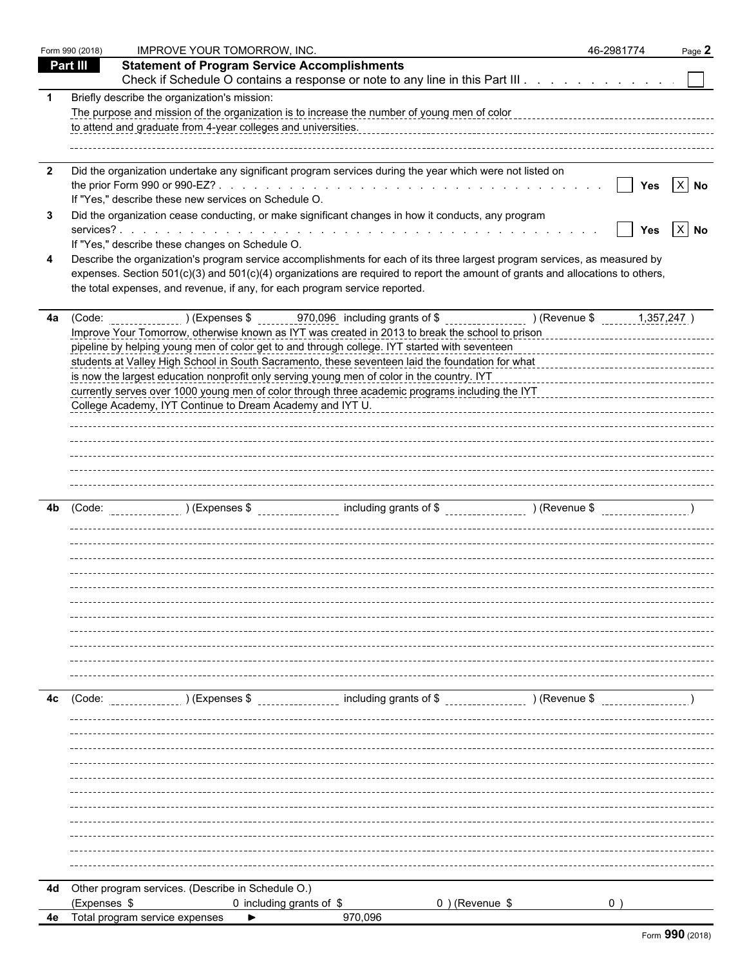|                         | Form 990 (2018) | <b>IMPROVE YOUR TOMORROW, INC.</b>                                                                                                                                                                                                                                                                                                                                                                                                                                                                                                                                 |                                    | 46-2981774                                                                 | Page 2     |
|-------------------------|-----------------|--------------------------------------------------------------------------------------------------------------------------------------------------------------------------------------------------------------------------------------------------------------------------------------------------------------------------------------------------------------------------------------------------------------------------------------------------------------------------------------------------------------------------------------------------------------------|------------------------------------|----------------------------------------------------------------------------|------------|
|                         | <b>Part III</b> | <b>Statement of Program Service Accomplishments</b>                                                                                                                                                                                                                                                                                                                                                                                                                                                                                                                |                                    |                                                                            |            |
|                         |                 | Check if Schedule O contains a response or note to any line in this Part III                                                                                                                                                                                                                                                                                                                                                                                                                                                                                       |                                    |                                                                            |            |
| $\mathbf 1$             |                 | Briefly describe the organization's mission:<br>The purpose and mission of the organization is to increase the number of young men of color<br>to attend and graduate from 4-year colleges and universities.                                                                                                                                                                                                                                                                                                                                                       |                                    |                                                                            |            |
| $\overline{\mathbf{2}}$ |                 | Did the organization undertake any significant program services during the year which were not listed on<br>If "Yes," describe these new services on Schedule O.                                                                                                                                                                                                                                                                                                                                                                                                   |                                    | $\mathbb{R}^n$                                                             | Yes $X$ No |
| 3                       |                 | Did the organization cease conducting, or make significant changes in how it conducts, any program<br>If "Yes," describe these changes on Schedule O.                                                                                                                                                                                                                                                                                                                                                                                                              |                                    |                                                                            | Yes $X$ No |
|                         |                 | Describe the organization's program service accomplishments for each of its three largest program services, as measured by<br>expenses. Section 501(c)(3) and 501(c)(4) organizations are required to report the amount of grants and allocations to others,<br>the total expenses, and revenue, if any, for each program service reported.                                                                                                                                                                                                                        |                                    |                                                                            |            |
| 4a                      |                 | Improve Your Tomorrow, otherwise known as IYT was created in 2013 to break the school to prison<br>pipeline by helping young men of color get to and through college. IYT started with seventeen<br>students at Valley High School in South Sacramento, these seventeen laid the foundation for what<br>is now the largest education nonprofit only serving young men of color in the country. IYT<br>currently serves over 1000 young men of color through three academic programs including the IYT<br>College Academy, IYT Continue to Dream Academy and IYT U. |                                    | _________________________________<br>_____________________________________ |            |
| 4b                      | (Code:          | $(Expenses \$ $(Expenses \$                                                                                                                                                                                                                                                                                                                                                                                                                                                                                                                                        |                                    |                                                                            |            |
|                         |                 |                                                                                                                                                                                                                                                                                                                                                                                                                                                                                                                                                                    |                                    |                                                                            |            |
| 4c                      | (Code:          | ) (Expenses \$                                                                                                                                                                                                                                                                                                                                                                                                                                                                                                                                                     | including grants of \$ (Revenue \$ |                                                                            |            |
|                         |                 |                                                                                                                                                                                                                                                                                                                                                                                                                                                                                                                                                                    |                                    |                                                                            |            |
| 4d                      |                 | Other program services. (Describe in Schedule O.)                                                                                                                                                                                                                                                                                                                                                                                                                                                                                                                  |                                    |                                                                            |            |
|                         | (Expenses \$    | 0 including grants of \$                                                                                                                                                                                                                                                                                                                                                                                                                                                                                                                                           | 0) (Revenue \$                     |                                                                            |            |
| 4е                      |                 | Total program service expenses                                                                                                                                                                                                                                                                                                                                                                                                                                                                                                                                     | 970,096                            |                                                                            |            |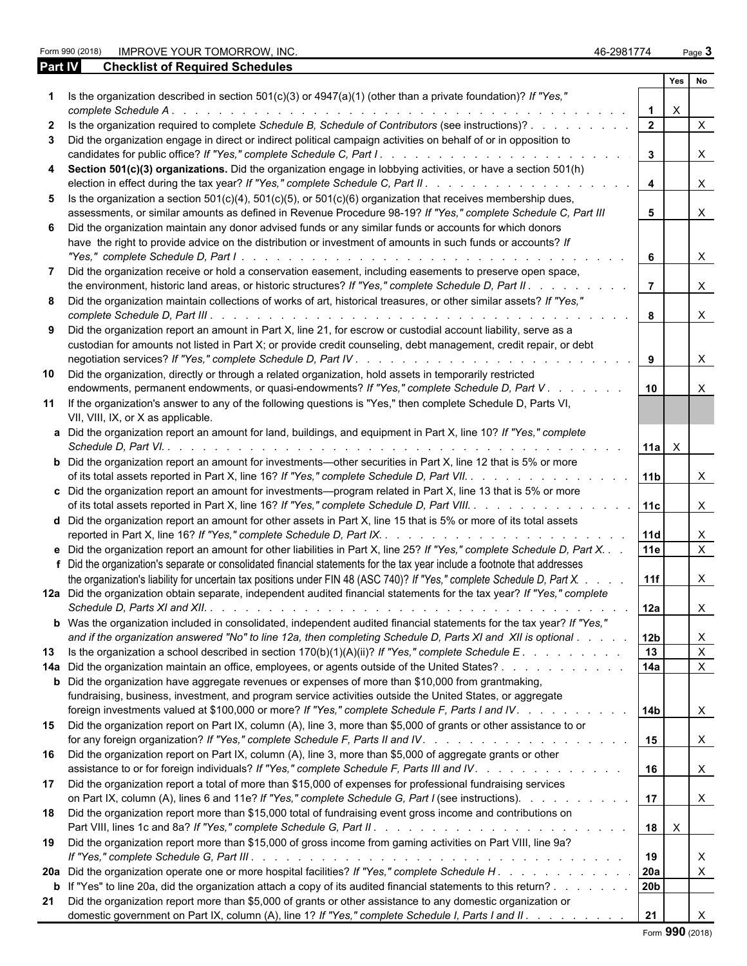Form 990 (2018) IMPROVE YOUR TOMORROW, INC. 46-2981774 Page **3**

| <b>Part IV</b> | <b>Checklist of Required Schedules</b>                                                                                                                                                                                                                  |                         |              |                           |
|----------------|---------------------------------------------------------------------------------------------------------------------------------------------------------------------------------------------------------------------------------------------------------|-------------------------|--------------|---------------------------|
|                |                                                                                                                                                                                                                                                         |                         | Yes          | No                        |
|                | Is the organization described in section $501(c)(3)$ or $4947(a)(1)$ (other than a private foundation)? If "Yes,"                                                                                                                                       |                         | $\times$     |                           |
|                | Is the organization required to complete Schedule B, Schedule of Contributors (see instructions)?                                                                                                                                                       | $\overline{2}$          |              | $\times$                  |
|                | Did the organization engage in direct or indirect political campaign activities on behalf of or in opposition to                                                                                                                                        |                         |              |                           |
|                |                                                                                                                                                                                                                                                         | $\mathbf{3}$            |              | $\boldsymbol{\mathsf{X}}$ |
|                | Section 501(c)(3) organizations. Did the organization engage in lobbying activities, or have a section 501(h)                                                                                                                                           | $\overline{\mathbf{4}}$ |              | $\boldsymbol{\mathsf{X}}$ |
| 5.             | Is the organization a section $501(c)(4)$ , $501(c)(5)$ , or $501(c)(6)$ organization that receives membership dues,                                                                                                                                    |                         |              |                           |
|                | assessments, or similar amounts as defined in Revenue Procedure 98-19? If "Yes," complete Schedule C, Part III                                                                                                                                          | 5                       |              | $\boldsymbol{\mathsf{X}}$ |
|                | 6 Did the organization maintain any donor advised funds or any similar funds or accounts for which donors<br>have the right to provide advice on the distribution or investment of amounts in such funds or accounts? If                                | 6                       |              | $\boldsymbol{\mathsf{X}}$ |
|                | Did the organization receive or hold a conservation easement, including easements to preserve open space,                                                                                                                                               |                         |              |                           |
|                | the environment, historic land areas, or historic structures? If "Yes," complete Schedule D, Part II. .                                                                                                                                                 | $\overline{7}$          |              | $\boldsymbol{\mathsf{X}}$ |
| 8.             | Did the organization maintain collections of works of art, historical treasures, or other similar assets? If "Yes,"                                                                                                                                     | 8                       |              | $\boldsymbol{\mathsf{X}}$ |
|                | Did the organization report an amount in Part X, line 21, for escrow or custodial account liability, serve as a                                                                                                                                         |                         |              |                           |
|                | custodian for amounts not listed in Part X; or provide credit counseling, debt management, credit repair, or debt                                                                                                                                       |                         |              |                           |
|                |                                                                                                                                                                                                                                                         | 9                       |              | $\boldsymbol{\mathsf{X}}$ |
| 10             | Did the organization, directly or through a related organization, hold assets in temporarily restricted<br>endowments, permanent endowments, or quasi-endowments? If "Yes," complete Schedule D, Part V.                                                | 10                      |              |                           |
| 11             | If the organization's answer to any of the following questions is "Yes," then complete Schedule D, Parts VI,<br>VII, VIII, IX, or X as applicable.                                                                                                      |                         |              |                           |
|                | a Did the organization report an amount for land, buildings, and equipment in Part X, line 10? If "Yes," complete                                                                                                                                       | 11a $\mid$ X            |              |                           |
|                | <b>b</b> Did the organization report an amount for investments—other securities in Part X, line 12 that is 5% or more<br>of its total assets reported in Part X, line 16? If "Yes," complete Schedule D, Part VII.                                      | 11 <sub>b</sub>         |              | $\times$                  |
|                | c Did the organization report an amount for investments—program related in Part X, line 13 that is 5% or more                                                                                                                                           |                         |              |                           |
|                | of its total assets reported in Part X, line 16? If "Yes," complete Schedule D, Part VIII.<br>d Did the organization report an amount for other assets in Part X, line 15 that is 5% or more of its total assets                                        | 11c                     |              | $\times$                  |
|                |                                                                                                                                                                                                                                                         | 11d                     |              | X                         |
|                | e Did the organization report an amount for other liabilities in Part X, line 25? If "Yes," complete Schedule D, Part X. .<br>f Did the organization's separate or consolidated financial statements for the tax year include a footnote that addresses | 11e                     |              | $\mathsf{X}$              |
|                | the organization's liability for uncertain tax positions under FIN 48 (ASC 740)? If "Yes," complete Schedule D, Part X.                                                                                                                                 | 11f                     |              | X                         |
|                | 12a Did the organization obtain separate, independent audited financial statements for the tax year? If "Yes," complete                                                                                                                                 | l 12a                   |              | X                         |
|                | <b>b</b> Was the organization included in consolidated, independent audited financial statements for the tax year? If "Yes,"                                                                                                                            |                         |              |                           |
|                | and if the organization answered "No" to line 12a, then completing Schedule D, Parts XI and XII is optional                                                                                                                                             | 12 <sub>b</sub>         |              | X                         |
| 13             | Is the organization a school described in section $170(b)(1)(A)(ii)$ ? If "Yes," complete Schedule E.                                                                                                                                                   | 13                      |              | $\boldsymbol{\mathsf{X}}$ |
|                | 14a Did the organization maintain an office, employees, or agents outside of the United States?                                                                                                                                                         | 14a                     |              | $\mathsf{X}$              |
|                | <b>b</b> Did the organization have aggregate revenues or expenses of more than \$10,000 from grantmaking,<br>fundraising, business, investment, and program service activities outside the United States, or aggregate                                  |                         |              |                           |
|                | foreign investments valued at \$100,000 or more? If "Yes," complete Schedule F, Parts I and IV.<br>15 Did the organization report on Part IX, column (A), line 3, more than \$5,000 of grants or other assistance to or                                 | 14b                     |              | $\boldsymbol{\mathsf{X}}$ |
|                | 16 Did the organization report on Part IX, column (A), line 3, more than \$5,000 of aggregate grants or other                                                                                                                                           | 15                      |              | $\boldsymbol{\mathsf{X}}$ |
|                | assistance to or for foreign individuals? If "Yes," complete Schedule F, Parts III and IV.                                                                                                                                                              | 16                      |              | $\mathsf{X}$              |
| 17             | Did the organization report a total of more than \$15,000 of expenses for professional fundraising services<br>on Part IX, column (A), lines 6 and 11e? If "Yes," complete Schedule G, Part I (see instructions).                                       | 17                      |              | $\boldsymbol{\mathsf{X}}$ |
| 18             | Did the organization report more than \$15,000 total of fundraising event gross income and contributions on                                                                                                                                             | 18                      | $\mathsf{X}$ |                           |
| 19             | Did the organization report more than \$15,000 of gross income from gaming activities on Part VIII, line 9a?                                                                                                                                            | 19                      |              | X                         |
|                | 20a Did the organization operate one or more hospital facilities? If "Yes," complete Schedule H.                                                                                                                                                        | 20a                     |              | $\boldsymbol{\mathsf{X}}$ |
|                | <b>b</b> If "Yes" to line 20a, did the organization attach a copy of its audited financial statements to this return?                                                                                                                                   | 20b                     |              |                           |
|                | 21 Did the organization report more than \$5,000 of grants or other assistance to any domestic organization or<br>domestic government on Part IX, column (A), line 1? If "Yes," complete Schedule I, Parts I and II.                                    | 21                      |              |                           |

Form **990** (2018)

| Form 990 (201 |
|---------------|
|---------------|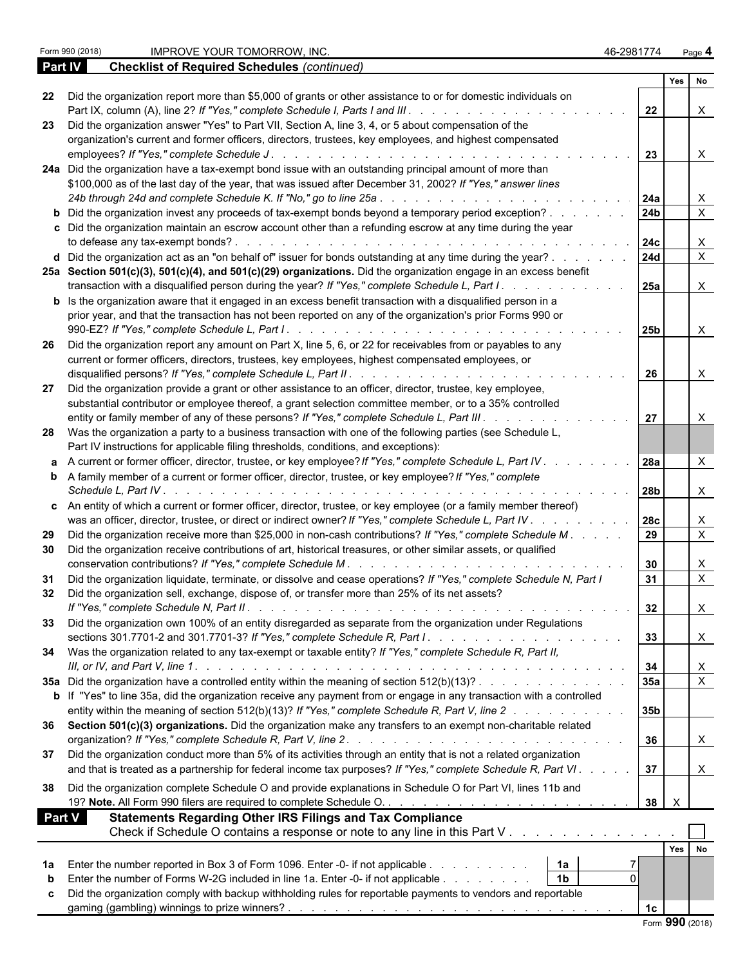**Checklist of Required Schedules** (continued)

|               |                                                                                                                             |                 |              | Yes No                    |  |
|---------------|-----------------------------------------------------------------------------------------------------------------------------|-----------------|--------------|---------------------------|--|
| 22            | Did the organization report more than \$5,000 of grants or other assistance to or for domestic individuals on               |                 |              |                           |  |
|               |                                                                                                                             | 22              |              | X                         |  |
| -23           | Did the organization answer "Yes" to Part VII, Section A, line 3, 4, or 5 about compensation of the                         |                 |              |                           |  |
|               | organization's current and former officers, directors, trustees, key employees, and highest compensated                     |                 |              |                           |  |
|               |                                                                                                                             | 23              |              | $\boldsymbol{\mathsf{X}}$ |  |
|               | 24a Did the organization have a tax-exempt bond issue with an outstanding principal amount of more than                     |                 |              |                           |  |
|               | \$100,000 as of the last day of the year, that was issued after December 31, 2002? If "Yes," answer lines                   |                 |              |                           |  |
|               |                                                                                                                             | 24a             |              | X                         |  |
|               | <b>b</b> Did the organization invest any proceeds of tax-exempt bonds beyond a temporary period exception?                  | 24 <sub>b</sub> |              | $\mathsf{X}$              |  |
|               | c Did the organization maintain an escrow account other than a refunding escrow at any time during the year                 |                 |              |                           |  |
|               |                                                                                                                             | 24c             |              | X                         |  |
|               | d Did the organization act as an "on behalf of" issuer for bonds outstanding at any time during the year?                   | 24d             |              | $\mathsf{X}$              |  |
|               | 25a Section 501(c)(3), 501(c)(4), and 501(c)(29) organizations. Did the organization engage in an excess benefit            |                 |              |                           |  |
|               | transaction with a disqualified person during the year? If "Yes," complete Schedule L, Part I.                              | 25a             |              | $\boldsymbol{\mathsf{X}}$ |  |
|               | <b>b</b> Is the organization aware that it engaged in an excess benefit transaction with a disqualified person in a         |                 |              |                           |  |
|               | prior year, and that the transaction has not been reported on any of the organization's prior Forms 990 or                  |                 |              |                           |  |
|               |                                                                                                                             | 25b             |              | $\boldsymbol{\mathsf{X}}$ |  |
| 26            | Did the organization report any amount on Part X, line 5, 6, or 22 for receivables from or payables to any                  |                 |              |                           |  |
|               | current or former officers, directors, trustees, key employees, highest compensated employees, or                           |                 |              |                           |  |
|               |                                                                                                                             | 26              |              | X                         |  |
| 27            | Did the organization provide a grant or other assistance to an officer, director, trustee, key employee,                    |                 |              |                           |  |
|               | substantial contributor or employee thereof, a grant selection committee member, or to a 35% controlled                     |                 |              |                           |  |
|               | entity or family member of any of these persons? If "Yes," complete Schedule L, Part III.                                   | 27              |              | X                         |  |
|               | 28 Was the organization a party to a business transaction with one of the following parties (see Schedule L,                |                 |              |                           |  |
|               | Part IV instructions for applicable filing thresholds, conditions, and exceptions):                                         |                 |              |                           |  |
|               | a A current or former officer, director, trustee, or key employee? If "Yes," complete Schedule L, Part IV.                  | 28a             |              | X                         |  |
|               | <b>b</b> A family member of a current or former officer, director, trustee, or key employee? If "Yes," complete             |                 |              |                           |  |
|               |                                                                                                                             | 28b             |              | $\boldsymbol{\mathsf{X}}$ |  |
|               | c An entity of which a current or former officer, director, trustee, or key employee (or a family member thereof)           |                 |              |                           |  |
|               | was an officer, director, trustee, or direct or indirect owner? If "Yes," complete Schedule L, Part IV.                     | 28c             |              | X                         |  |
| 29            | Did the organization receive more than \$25,000 in non-cash contributions? If "Yes," complete Schedule M.                   | 29              |              | $\overline{X}$            |  |
|               | Did the organization receive contributions of art, historical treasures, or other similar assets, or qualified              |                 |              |                           |  |
| 30            |                                                                                                                             |                 |              |                           |  |
|               | Did the organization liquidate, terminate, or dissolve and cease operations? If "Yes," complete Schedule N, Part I          | 30              |              | X<br>$\overline{X}$       |  |
| 31            |                                                                                                                             | 31              |              |                           |  |
| 32            | Did the organization sell, exchange, dispose of, or transfer more than 25% of its net assets?                               |                 |              |                           |  |
|               |                                                                                                                             | 32              |              | X                         |  |
|               | 33 Did the organization own 100% of an entity disregarded as separate from the organization under Regulations               |                 |              |                           |  |
|               |                                                                                                                             | 33              |              | X                         |  |
|               | 34 Was the organization related to any tax-exempt or taxable entity? If "Yes," complete Schedule R, Part II,                |                 |              |                           |  |
|               |                                                                                                                             | 34              |              | X                         |  |
|               | 35a Did the organization have a controlled entity within the meaning of section 512(b)(13)?                                 | <b>35a</b>      |              | $\mathsf{X}$              |  |
|               | <b>b</b> If "Yes" to line 35a, did the organization receive any payment from or engage in any transaction with a controlled |                 |              |                           |  |
|               | entity within the meaning of section 512(b)(13)? If "Yes," complete Schedule R, Part V, line 2                              | 35b             |              |                           |  |
|               | 36 Section 501(c)(3) organizations. Did the organization make any transfers to an exempt non-charitable related             |                 |              |                           |  |
|               |                                                                                                                             | 36              |              | X                         |  |
| 37            | Did the organization conduct more than 5% of its activities through an entity that is not a related organization            |                 |              |                           |  |
|               | and that is treated as a partnership for federal income tax purposes? If "Yes," complete Schedule R, Part VI.               | 37              |              | X                         |  |
|               | Did the organization complete Schedule O and provide explanations in Schedule O for Part VI, lines 11b and                  |                 |              |                           |  |
| 38            |                                                                                                                             | 38              | $\mathsf{X}$ |                           |  |
|               |                                                                                                                             |                 |              |                           |  |
| <b>Part V</b> | <b>Statements Regarding Other IRS Filings and Tax Compliance</b>                                                            |                 |              |                           |  |
|               | Check if Schedule O contains a response or note to any line in this Part V                                                  |                 |              |                           |  |
|               |                                                                                                                             |                 | Yes No       |                           |  |
| 1а            | Enter the number reported in Box 3 of Form 1096. Enter -0- if not applicable<br>  1a                                        |                 |              |                           |  |
| b             | Enter the number of Forms W-2G included in line 1a. Enter -0- if not applicable<br> 1b                                      |                 |              |                           |  |
| C             | Did the organization comply with backup withholding rules for reportable payments to vendors and reportable                 |                 |              |                           |  |
|               |                                                                                                                             | 1 <sub>c</sub>  |              |                           |  |
|               |                                                                                                                             |                 |              |                           |  |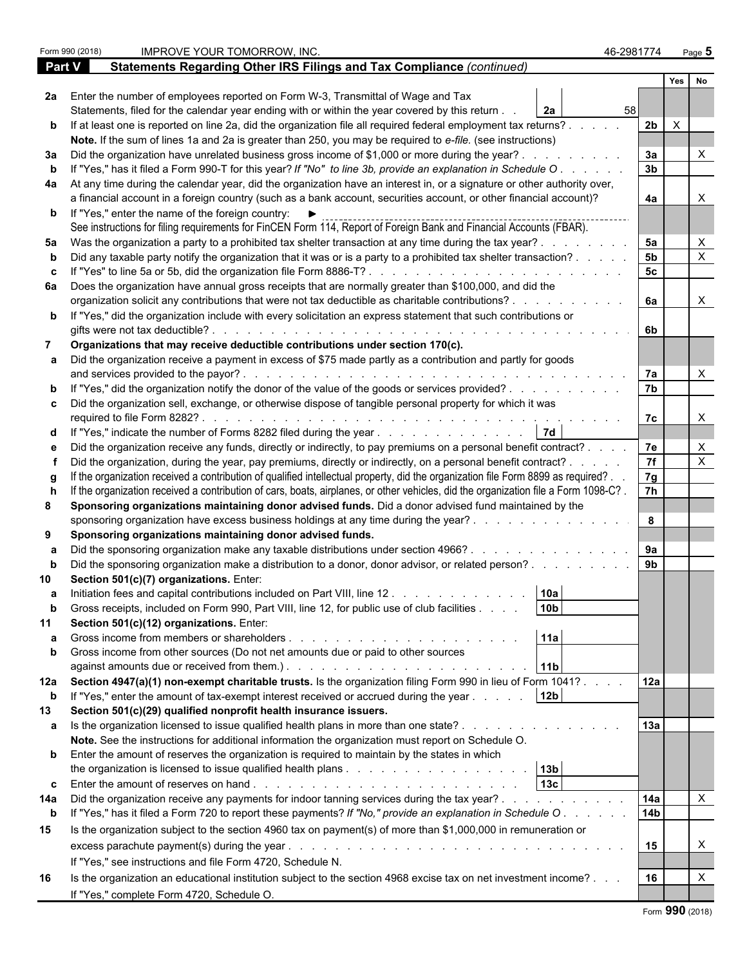|               | Form 990 (2018) | IMPROVE YOUR TOMORROW, INC.                                                                                                                                                                                                                                     | 46-2981774           | Page $5$     |  |  |
|---------------|-----------------|-----------------------------------------------------------------------------------------------------------------------------------------------------------------------------------------------------------------------------------------------------------------|----------------------|--------------|--|--|
| <b>Part V</b> |                 | Statements Regarding Other IRS Filings and Tax Compliance (continued)                                                                                                                                                                                           |                      |              |  |  |
|               |                 |                                                                                                                                                                                                                                                                 |                      | Yes  <br>No  |  |  |
|               |                 | 2a Enter the number of employees reported on Form W-3, Transmittal of Wage and Tax                                                                                                                                                                              |                      |              |  |  |
|               |                 | Statements, filed for the calendar year ending with or within the year covered by this return.<br><b>2a</b>                                                                                                                                                     | 58                   |              |  |  |
|               |                 | b If at least one is reported on line 2a, did the organization file all required federal employment tax returns?.                                                                                                                                               | 2 <sub>b</sub>       | $\mathsf{X}$ |  |  |
|               |                 | Note. If the sum of lines 1a and 2a is greater than 250, you may be required to e-file. (see instructions)                                                                                                                                                      |                      |              |  |  |
| За            |                 | Did the organization have unrelated business gross income of \$1,000 or more during the year?.                                                                                                                                                                  | 3a                   |              |  |  |
|               |                 | If "Yes," has it filed a Form 990-T for this year? If "No" to line 3b, provide an explanation in Schedule O.                                                                                                                                                    | 3 <sub>b</sub>       |              |  |  |
|               |                 | 4a At any time during the calendar year, did the organization have an interest in, or a signature or other authority over,                                                                                                                                      |                      |              |  |  |
|               |                 | a financial account in a foreign country (such as a bank account, securities account, or other financial account)?                                                                                                                                              | 4a                   |              |  |  |
|               |                 | <b>b</b> If "Yes," enter the name of the foreign country: $\blacktriangleright$                                                                                                                                                                                 |                      |              |  |  |
|               |                 | See instructions for filing requirements for FinCEN Form 114, Report of Foreign Bank and Financial Accounts (FBAR).                                                                                                                                             |                      |              |  |  |
| 5а            |                 | Was the organization a party to a prohibited tax shelter transaction at any time during the tax year?.                                                                                                                                                          | 5a<br>5 <sub>b</sub> | X            |  |  |
|               |                 | Did any taxable party notify the organization that it was or is a party to a prohibited tax shelter transaction?.                                                                                                                                               | 5 <sub>c</sub>       | X            |  |  |
|               |                 | If "Yes" to line 5a or 5b, did the organization file Form 8886-T?                                                                                                                                                                                               |                      |              |  |  |
|               |                 | 6a Does the organization have annual gross receipts that are normally greater than \$100,000, and did the<br>organization solicit any contributions that were not tax deductible as charitable contributions?.                                                  | 6a                   | $\mathsf{X}$ |  |  |
|               |                 | <b>b</b> If "Yes," did the organization include with every solicitation an express statement that such contributions or                                                                                                                                         |                      |              |  |  |
|               |                 | gifts were not tax deductible?<br>and a construction of the construction of the construction of the construction of the construction of the construction of the construction of the construction of the construction of the construction of the construction of | 6b                   |              |  |  |
|               |                 | Organizations that may receive deductible contributions under section 170(c).                                                                                                                                                                                   |                      |              |  |  |
|               |                 | a Did the organization receive a payment in excess of \$75 made partly as a contribution and partly for goods                                                                                                                                                   |                      |              |  |  |
|               |                 | and services provided to the payor?.                                                                                                                                                                                                                            | 7a                   | $\times$     |  |  |
|               |                 | If "Yes," did the organization notify the donor of the value of the goods or services provided?                                                                                                                                                                 | 7b                   |              |  |  |
|               |                 | c Did the organization sell, exchange, or otherwise dispose of tangible personal property for which it was                                                                                                                                                      |                      |              |  |  |
|               |                 |                                                                                                                                                                                                                                                                 | 7c                   | $\times$     |  |  |
|               |                 | <b>7d</b><br>d If "Yes," indicate the number of Forms 8282 filed during the year                                                                                                                                                                                |                      |              |  |  |
|               |                 | Did the organization receive any funds, directly or indirectly, to pay premiums on a personal benefit contract?.                                                                                                                                                | 7e                   | X            |  |  |
|               |                 | Did the organization, during the year, pay premiums, directly or indirectly, on a personal benefit contract? .                                                                                                                                                  | $\overline{7f}$      | X            |  |  |
|               |                 | If the organization received a contribution of qualified intellectual property, did the organization file Form 8899 as required?.                                                                                                                               | 7g                   |              |  |  |
|               |                 | If the organization received a contribution of cars, boats, airplanes, or other vehicles, did the organization file a Form 1098-C?.                                                                                                                             | 7h                   |              |  |  |
| 8             |                 | Sponsoring organizations maintaining donor advised funds. Did a donor advised fund maintained by the                                                                                                                                                            |                      |              |  |  |
|               |                 | sponsoring organization have excess business holdings at any time during the year?                                                                                                                                                                              | 8                    |              |  |  |
| 9             |                 | Sponsoring organizations maintaining donor advised funds.                                                                                                                                                                                                       |                      |              |  |  |
|               |                 | Did the sponsoring organization make any taxable distributions under section 4966?.<br>$\mathbf{r}$ , $\mathbf{r}$ , $\mathbf{r}$ , $\mathbf{r}$ , $\mathbf{r}$ , $\mathbf{r}$ , $\mathbf{r}$ , $\mathbf{r}$                                                    | 9a                   |              |  |  |
|               |                 | Did the sponsoring organization make a distribution to a donor, donor advisor, or related person?                                                                                                                                                               | 9 <sub>b</sub>       |              |  |  |
|               |                 | Section 501(c)(7) organizations. Enter:                                                                                                                                                                                                                         |                      |              |  |  |
|               |                 | 10a<br>Initiation fees and capital contributions included on Part VIII, line 12.                                                                                                                                                                                |                      |              |  |  |
| b             |                 | 10 <sub>b</sub><br>Gross receipts, included on Form 990, Part VIII, line 12, for public use of club facilities                                                                                                                                                  |                      |              |  |  |
| 11            |                 | Section 501(c)(12) organizations. Enter:<br>11a                                                                                                                                                                                                                 |                      |              |  |  |
|               |                 | Gross income from members or shareholders<br>and the contract of the contract of the contract of                                                                                                                                                                |                      |              |  |  |
|               |                 | Gross income from other sources (Do not net amounts due or paid to other sources<br>11 <sub>b</sub>                                                                                                                                                             |                      |              |  |  |
|               |                 | 12a Section 4947(a)(1) non-exempt charitable trusts. Is the organization filing Form 990 in lieu of Form 1041?.                                                                                                                                                 | 12a                  |              |  |  |
| b             |                 | 12 <sub>b</sub><br>If "Yes," enter the amount of tax-exempt interest received or accrued during the year                                                                                                                                                        |                      |              |  |  |
| 13            |                 | Section 501(c)(29) qualified nonprofit health insurance issuers.                                                                                                                                                                                                |                      |              |  |  |
|               |                 |                                                                                                                                                                                                                                                                 | 13a                  |              |  |  |
|               |                 | Note. See the instructions for additional information the organization must report on Schedule O.                                                                                                                                                               |                      |              |  |  |
|               |                 | <b>b</b> Enter the amount of reserves the organization is required to maintain by the states in which                                                                                                                                                           |                      |              |  |  |
|               |                 |                                                                                                                                                                                                                                                                 |                      |              |  |  |
|               |                 | 13 <sub>c</sub><br><b>c</b> Enter the amount of reserves on hand $\ldots$ $\ldots$ $\ldots$ $\ldots$ $\ldots$ $\ldots$ $\ldots$ $\ldots$                                                                                                                        |                      |              |  |  |
| 14a           |                 | Did the organization receive any payments for indoor tanning services during the tax year?.<br>the contract of the contract of the                                                                                                                              | 14a                  | $\mathsf{X}$ |  |  |
| $\mathbf b$   |                 | If "Yes," has it filed a Form 720 to report these payments? If "No," provide an explanation in Schedule O.                                                                                                                                                      | 14 <sub>b</sub>      |              |  |  |
| 15            |                 | Is the organization subject to the section 4960 tax on payment(s) of more than \$1,000,000 in remuneration or                                                                                                                                                   |                      |              |  |  |
|               |                 |                                                                                                                                                                                                                                                                 | 15                   | X            |  |  |
|               |                 | If "Yes," see instructions and file Form 4720, Schedule N.                                                                                                                                                                                                      |                      |              |  |  |
| 16            |                 | Is the organization an educational institution subject to the section 4968 excise tax on net investment income?                                                                                                                                                 | 16                   |              |  |  |
|               |                 | If "Yes," complete Form 4720, Schedule O.                                                                                                                                                                                                                       |                      |              |  |  |
|               |                 |                                                                                                                                                                                                                                                                 |                      |              |  |  |

|  |  | Form 990 (2018) |
|--|--|-----------------|
|--|--|-----------------|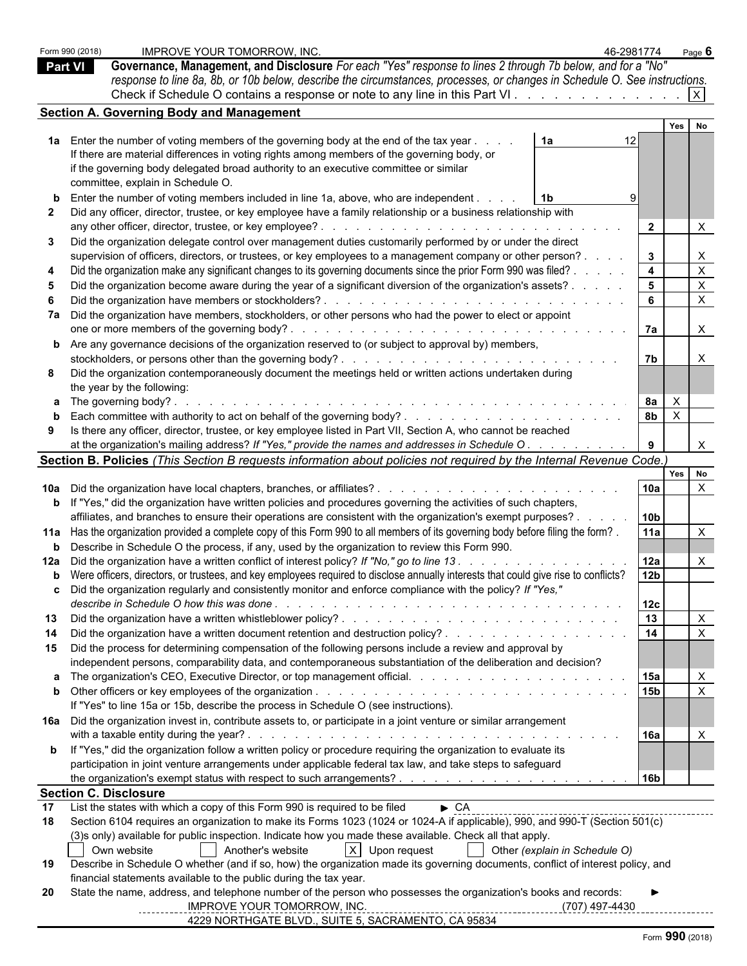|                | Form 990 (2018) | <b>IMPROVE YOUR TOMORROW. INC.</b>                                                                                                                                                                                                                              | 46-2981774              |              | Page $6$                  |  |  |
|----------------|-----------------|-----------------------------------------------------------------------------------------------------------------------------------------------------------------------------------------------------------------------------------------------------------------|-------------------------|--------------|---------------------------|--|--|
| <b>Part VI</b> |                 | Governance, Management, and Disclosure For each "Yes" response to lines 2 through 7b below, and for a "No"                                                                                                                                                      |                         |              |                           |  |  |
|                |                 | response to line 8a, 8b, or 10b below, describe the circumstances, processes, or changes in Schedule O. See instructions.                                                                                                                                       |                         |              |                           |  |  |
|                |                 |                                                                                                                                                                                                                                                                 |                         |              |                           |  |  |
|                |                 |                                                                                                                                                                                                                                                                 |                         |              |                           |  |  |
|                |                 | <b>Section A. Governing Body and Management</b>                                                                                                                                                                                                                 |                         | Yes          |                           |  |  |
|                |                 |                                                                                                                                                                                                                                                                 |                         |              |                           |  |  |
|                |                 | 1a Enter the number of voting members of the governing body at the end of the tax year<br>1a                                                                                                                                                                    |                         |              |                           |  |  |
|                |                 | If there are material differences in voting rights among members of the governing body, or                                                                                                                                                                      |                         |              |                           |  |  |
|                |                 | if the governing body delegated broad authority to an executive committee or similar                                                                                                                                                                            |                         |              |                           |  |  |
|                |                 | committee, explain in Schedule O.                                                                                                                                                                                                                               |                         |              |                           |  |  |
|                |                 | Enter the number of voting members included in line 1a, above, who are independent<br>l 1b                                                                                                                                                                      |                         |              |                           |  |  |
| $\mathbf{2}$   |                 | Did any officer, director, trustee, or key employee have a family relationship or a business relationship with                                                                                                                                                  |                         |              |                           |  |  |
|                |                 | any other officer, director, trustee, or key employee?<br>and a construction of the construction of the construction                                                                                                                                            | $\overline{2}$          |              | X                         |  |  |
| 3              |                 | Did the organization delegate control over management duties customarily performed by or under the direct                                                                                                                                                       |                         |              |                           |  |  |
|                |                 | supervision of officers, directors, or trustees, or key employees to a management company or other person?.                                                                                                                                                     | $3^{\circ}$             |              | $\boldsymbol{\mathsf{X}}$ |  |  |
|                |                 | Did the organization make any significant changes to its governing documents since the prior Form 990 was filed?                                                                                                                                                | $\overline{\mathbf{4}}$ |              | $\mathsf X$               |  |  |
|                |                 | Did the organization become aware during the year of a significant diversion of the organization's assets? .                                                                                                                                                    | 5 <sub>5</sub>          |              | $\mathsf X$               |  |  |
|                |                 | Did the organization have members or stockholders?<br>.                                                                                                                                                                                                         | 6                       |              | $\boldsymbol{\mathsf{X}}$ |  |  |
|                |                 | 7a Did the organization have members, stockholders, or other persons who had the power to elect or appoint                                                                                                                                                      |                         |              |                           |  |  |
|                |                 |                                                                                                                                                                                                                                                                 | 7a                      |              | $\mathsf{X}$              |  |  |
|                |                 | <b>b</b> Are any governance decisions of the organization reserved to (or subject to approval by) members,                                                                                                                                                      |                         |              |                           |  |  |
|                |                 |                                                                                                                                                                                                                                                                 | 7b                      |              | $\mathsf{X}$              |  |  |
|                |                 | Did the organization contemporaneously document the meetings held or written actions undertaken during                                                                                                                                                          |                         |              |                           |  |  |
|                |                 | the year by the following:                                                                                                                                                                                                                                      |                         |              |                           |  |  |
|                |                 | and the contract of the contract of the contract of the contract of the contract of the contract of the contract of the contract of the contract of the contract of the contract of the contract of the contract of the contra<br><b>a</b> The governing body?. | <b>8a</b>               | $\mathsf{X}$ |                           |  |  |
|                |                 |                                                                                                                                                                                                                                                                 | 8 <sub>b</sub>          | $\mathsf{X}$ |                           |  |  |
|                |                 |                                                                                                                                                                                                                                                                 |                         |              |                           |  |  |
| 9              |                 | Is there any officer, director, trustee, or key employee listed in Part VII, Section A, who cannot be reached                                                                                                                                                   |                         |              |                           |  |  |
|                |                 | at the organization's mailing address? If "Yes," provide the names and addresses in Schedule O. .                                                                                                                                                               | 9                       |              | $\mathsf{X}$              |  |  |
|                |                 | Section B. Policies (This Section B requests information about policies not required by the Internal Revenue Code.)                                                                                                                                             |                         |              |                           |  |  |
|                |                 |                                                                                                                                                                                                                                                                 |                         |              | Yes No                    |  |  |
|                |                 | 10a Did the organization have local chapters, branches, or affiliates?.<br>and a straightful and a straight and a                                                                                                                                               | 10a                     |              | $\mathsf{X}$              |  |  |
|                |                 | <b>b</b> If "Yes," did the organization have written policies and procedures governing the activities of such chapters,                                                                                                                                         |                         |              |                           |  |  |
|                |                 | affiliates, and branches to ensure their operations are consistent with the organization's exempt purposes? .                                                                                                                                                   | 10 <sub>b</sub>         |              |                           |  |  |
|                |                 | 11a Has the organization provided a complete copy of this Form 990 to all members of its governing body before filing the form?.                                                                                                                                | <b>11a</b>              |              | $\boldsymbol{\mathsf{X}}$ |  |  |
|                |                 | <b>b</b> Describe in Schedule O the process, if any, used by the organization to review this Form 990.                                                                                                                                                          |                         |              |                           |  |  |
|                |                 | 12a Did the organization have a written conflict of interest policy? If "No," go to line 13.                                                                                                                                                                    | 12a                     |              | X                         |  |  |
|                |                 | <b>b</b> Were officers, directors, or trustees, and key employees required to disclose annually interests that could give rise to conflicts?                                                                                                                    | 12 <sub>b</sub>         |              |                           |  |  |
|                |                 | Did the organization regularly and consistently monitor and enforce compliance with the policy? If "Yes,"                                                                                                                                                       |                         |              |                           |  |  |
|                |                 |                                                                                                                                                                                                                                                                 | 12c                     |              |                           |  |  |
| 13             |                 |                                                                                                                                                                                                                                                                 | 13                      |              | $\boldsymbol{\mathsf{X}}$ |  |  |
| 14             |                 |                                                                                                                                                                                                                                                                 | $\overline{14}$         |              | $\mathsf{X}$              |  |  |
| 15             |                 | Did the process for determining compensation of the following persons include a review and approval by                                                                                                                                                          |                         |              |                           |  |  |
|                |                 | independent persons, comparability data, and contemporaneous substantiation of the deliberation and decision?                                                                                                                                                   |                         |              |                           |  |  |
|                |                 |                                                                                                                                                                                                                                                                 | 15a                     |              | $\mathsf{X}$              |  |  |
|                |                 |                                                                                                                                                                                                                                                                 | 15 <sub>b</sub>         |              |                           |  |  |
|                |                 | If "Yes" to line 15a or 15b, describe the process in Schedule O (see instructions).                                                                                                                                                                             |                         |              |                           |  |  |
|                |                 | 16a Did the organization invest in, contribute assets to, or participate in a joint venture or similar arrangement                                                                                                                                              |                         |              |                           |  |  |
|                |                 |                                                                                                                                                                                                                                                                 | 16a                     |              | $\times$                  |  |  |
|                |                 | <b>b</b> If "Yes," did the organization follow a written policy or procedure requiring the organization to evaluate its                                                                                                                                         |                         |              |                           |  |  |
|                |                 | participation in joint venture arrangements under applicable federal tax law, and take steps to safeguard                                                                                                                                                       |                         |              |                           |  |  |
|                |                 |                                                                                                                                                                                                                                                                 | 16b                     |              |                           |  |  |
|                |                 |                                                                                                                                                                                                                                                                 |                         |              |                           |  |  |
|                |                 | <b>Section C. Disclosure</b>                                                                                                                                                                                                                                    |                         |              |                           |  |  |
| 17             |                 | List the states with which a copy of this Form 990 is required to be filed<br>$\triangleright$ CA                                                                                                                                                               |                         |              |                           |  |  |
| 18             |                 | Section 6104 requires an organization to make its Forms 1023 (1024 or 1024-A if applicable), 990, and 990-T (Section 501(c)                                                                                                                                     |                         |              |                           |  |  |
|                |                 | (3) sonly) available for public inspection. Indicate how you made these available. Check all that apply.                                                                                                                                                        |                         |              |                           |  |  |
|                |                 | $X$ Upon request<br>Other (explain in Schedule O)<br>Own website<br>  Another's website                                                                                                                                                                         |                         |              |                           |  |  |
| 19             |                 | Describe in Schedule O whether (and if so, how) the organization made its governing documents, conflict of interest policy, and                                                                                                                                 |                         |              |                           |  |  |
|                |                 | financial statements available to the public during the tax year.                                                                                                                                                                                               |                         |              |                           |  |  |
| 20             |                 | State the name, address, and telephone number of the person who possesses the organization's books and records:                                                                                                                                                 |                         |              |                           |  |  |
|                |                 | IMPROVE YOUR TOMORROW, INC.<br>---------                                                                                                                                                                                                                        | <u>(707) 497-4430</u>   |              |                           |  |  |
|                |                 | 4229 NORTHGATE BLVD., SUITE 5, SACRAMENTO, CA 95834                                                                                                                                                                                                             |                         |              |                           |  |  |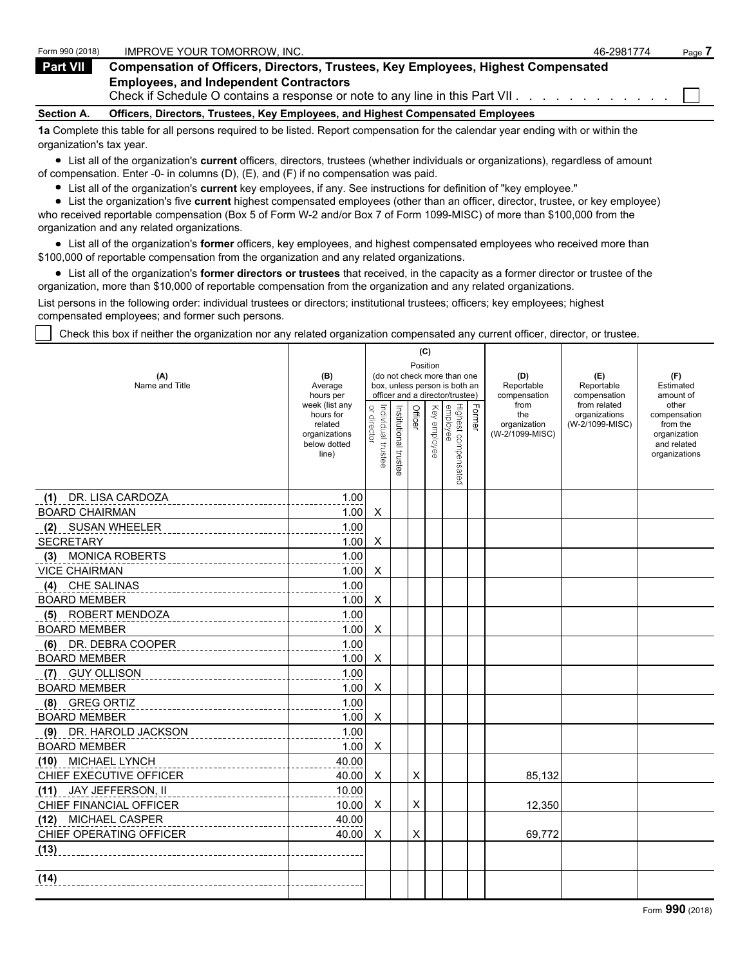| Form 990 (2018)   | IMPROVE YOUR TOMORROW. INC.                                                                                                       | 46-2981774 | Page |
|-------------------|-----------------------------------------------------------------------------------------------------------------------------------|------------|------|
| <b>Part VII</b>   | <b>Compensation of Officers, Directors, Trustees, Key Employees, Highest Compensated</b>                                          |            |      |
|                   | <b>Employees, and Independent Contractors</b><br>Check if Schedule O contains a response or note to any line in this Part VII.    |            |      |
| <b>Section A.</b> | Officers, Directors, Trustees, Key Employees, and Highest Compensated Employees                                                   |            |      |
|                   | to Complete this table for all persons required to be listed. Penert compensation for the calendar vear ending with or within the |            |      |

**1a** Complete this table for all persons required to be listed. Report compensation for the calendar year ending with or within the organization's tax year.

List all of the organization's **current** officers, directors, trustees (whether individuals or organizations), regardless of amount of compensation. Enter -0- in columns (D), (E), and (F) if no compensation was paid.

List all of the organization's **current** key employees, if any. See instructions for definition of "key employee."

List the organization's five **current** highest compensated employees (other than an officer, director, trustee, or key employee) who received reportable compensation (Box 5 of Form W-2 and/or Box 7 of Form 1099-MISC) of more than \$100,000 from the organization and any related organizations.

List all of the organization's **former** officers, key employees, and highest compensated employees who received more than \$100,000 of reportable compensation from the organization and any related organizations.

List all of the organization's **former directors or trustees** that received, in the capacity as a former director or trustee of the organization, more than \$10,000 of reportable compensation from the organization and any related organizations.

List persons in the following order: individual trustees or directors; institutional trustees; officers; key employees; highest compensated employees; and former such persons.

Check this box if neither the organization nor any related organization compensated any current officer, director, or trustee.

|                              |                                                                |                                   |                                         | (C)     |                               |                                 |            |                                        |                                  |                                                                          |  |
|------------------------------|----------------------------------------------------------------|-----------------------------------|-----------------------------------------|---------|-------------------------------|---------------------------------|------------|----------------------------------------|----------------------------------|--------------------------------------------------------------------------|--|
| (A)                          | (B)                                                            |                                   | Position<br>(do not check more than one |         |                               |                                 |            | (D)                                    | (E)                              | (F)                                                                      |  |
| Name and Title               | Average                                                        |                                   |                                         |         | box, unless person is both an |                                 | Reportable | Reportable                             | Estimated                        |                                                                          |  |
|                              | hours per<br>week (list any                                    |                                   |                                         |         |                               | officer and a director/trustee) |            | compensation<br>from                   | compensation<br>from related     | amount of<br>other                                                       |  |
|                              | hours for<br>related<br>organizations<br>below dotted<br>line) | Individual trustee<br>or director | Institutional trustee                   | Officer | Key employee                  | Highest compensated<br>employee | Former     | the<br>organization<br>(W-2/1099-MISC) | organizations<br>(W-2/1099-MISC) | compensation<br>from the<br>organization<br>and related<br>organizations |  |
|                              |                                                                |                                   |                                         |         |                               |                                 |            |                                        |                                  |                                                                          |  |
| (1) DR. LISA CARDOZA         | 1.00                                                           |                                   |                                         |         |                               |                                 |            |                                        |                                  |                                                                          |  |
| <b>BOARD CHAIRMAN</b>        | 1.00                                                           | X                                 |                                         |         |                               |                                 |            |                                        |                                  |                                                                          |  |
| (2) SUSAN WHEELER            | 1.00                                                           |                                   |                                         |         |                               |                                 |            |                                        |                                  |                                                                          |  |
| <b>SECRETARY</b>             | 1.00                                                           | X                                 |                                         |         |                               |                                 |            |                                        |                                  |                                                                          |  |
| <b>MONICA ROBERTS</b><br>(3) | 1.00                                                           |                                   |                                         |         |                               |                                 |            |                                        |                                  |                                                                          |  |
| <b>VICE CHAIRMAN</b>         | 1.00                                                           | X                                 |                                         |         |                               |                                 |            |                                        |                                  |                                                                          |  |
| (4) CHE SALINAS              | 1.00                                                           |                                   |                                         |         |                               |                                 |            |                                        |                                  |                                                                          |  |
| <b>BOARD MEMBER</b>          | 1.00                                                           | X                                 |                                         |         |                               |                                 |            |                                        |                                  |                                                                          |  |
| (5) ROBERT MENDOZA           | 1.00                                                           |                                   |                                         |         |                               |                                 |            |                                        |                                  |                                                                          |  |
| <b>BOARD MEMBER</b>          | 1.00                                                           | Χ                                 |                                         |         |                               |                                 |            |                                        |                                  |                                                                          |  |
| (6) DR. DEBRA COOPER         | 1.00                                                           |                                   |                                         |         |                               |                                 |            |                                        |                                  |                                                                          |  |
| <b>BOARD MEMBER</b>          | 1.00                                                           | $\times$                          |                                         |         |                               |                                 |            |                                        |                                  |                                                                          |  |
| (7) GUY OLLISON              | 1.00                                                           |                                   |                                         |         |                               |                                 |            |                                        |                                  |                                                                          |  |
| <b>BOARD MEMBER</b>          | 1.00                                                           | X                                 |                                         |         |                               |                                 |            |                                        |                                  |                                                                          |  |
| (8) GREG ORTIZ               | 1.00                                                           |                                   |                                         |         |                               |                                 |            |                                        |                                  |                                                                          |  |
| <b>BOARD MEMBER</b>          | 1.00                                                           | X                                 |                                         |         |                               |                                 |            |                                        |                                  |                                                                          |  |
| (9) DR. HAROLD JACKSON       | 1.00                                                           |                                   |                                         |         |                               |                                 |            |                                        |                                  |                                                                          |  |
| <b>BOARD MEMBER</b>          | 1.00                                                           | X                                 |                                         |         |                               |                                 |            |                                        |                                  |                                                                          |  |
| (10) MICHAEL LYNCH           | 40.00                                                          |                                   |                                         |         |                               |                                 |            |                                        |                                  |                                                                          |  |
| CHIEF EXECUTIVE OFFICER      | 40.00                                                          | $\times$                          |                                         | X       |                               |                                 |            | 85,132                                 |                                  |                                                                          |  |
| (11) JAY JEFFERSON, II       | 10.00                                                          |                                   |                                         |         |                               |                                 |            |                                        |                                  |                                                                          |  |
| CHIEF FINANCIAL OFFICER      | 10.00                                                          | X                                 |                                         | X       |                               |                                 |            | 12,350                                 |                                  |                                                                          |  |
| (12) MICHAEL CASPER          | 40.00                                                          |                                   |                                         |         |                               |                                 |            |                                        |                                  |                                                                          |  |
| CHIEF OPERATING OFFICER      | 40.00                                                          | $\times$                          |                                         | X       |                               |                                 |            | 69,772                                 |                                  |                                                                          |  |
| (13)                         |                                                                |                                   |                                         |         |                               |                                 |            |                                        |                                  |                                                                          |  |
| (14)                         |                                                                |                                   |                                         |         |                               |                                 |            |                                        |                                  |                                                                          |  |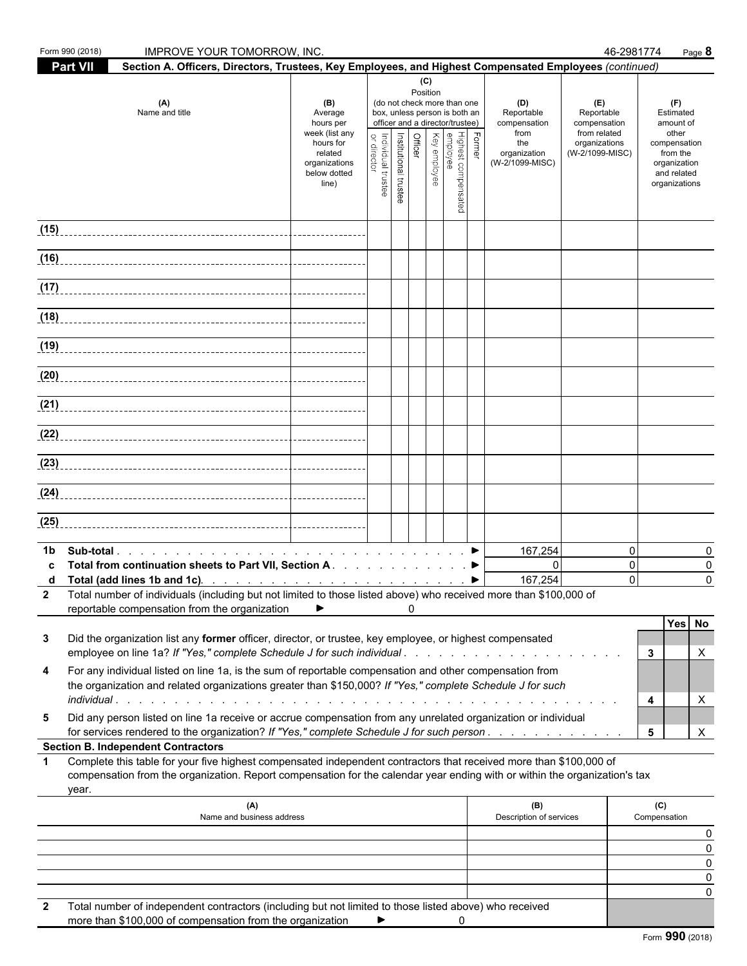|             | Form 990 (2018)<br><b>IMPROVE YOUR TOMORROW, INC.</b>                                                                                                                                                                                                     |                                                                |                                   |                       |                |          |                                                                                                 |        |                                           | 46-2981774                                        | Page 8                                                                   |
|-------------|-----------------------------------------------------------------------------------------------------------------------------------------------------------------------------------------------------------------------------------------------------------|----------------------------------------------------------------|-----------------------------------|-----------------------|----------------|----------|-------------------------------------------------------------------------------------------------|--------|-------------------------------------------|---------------------------------------------------|--------------------------------------------------------------------------|
|             | Section A. Officers, Directors, Trustees, Key Employees, and Highest Compensated Employees (continued)<br><b>Part VII</b>                                                                                                                                 |                                                                |                                   |                       |                | (C)      |                                                                                                 |        |                                           |                                                   |                                                                          |
|             | (A)<br>Name and title                                                                                                                                                                                                                                     | (B)<br>Average<br>hours per<br>week (list any                  |                                   |                       |                | Position | (do not check more than one<br>box, unless person is both an<br>officer and a director/trustee) |        | (D)<br>Reportable<br>compensation<br>from | (E)<br>Reportable<br>compensation<br>from related | (F)<br>Estimated<br>amount of<br>other                                   |
|             |                                                                                                                                                                                                                                                           | hours for<br>related<br>organizations<br>below dotted<br>line) | Individual trustee<br>or director | Institutional trustee | <b>Officer</b> |          | Highest compensated<br> <br>  Key employee<br>  Key employee                                    | Former | the<br>organization<br>(W-2/1099-MISC)    | organizations<br>(W-2/1099-MISC)                  | compensation<br>from the<br>organization<br>and related<br>organizations |
| (15)        |                                                                                                                                                                                                                                                           |                                                                |                                   |                       |                |          |                                                                                                 |        |                                           |                                                   |                                                                          |
|             | (16)                                                                                                                                                                                                                                                      |                                                                |                                   |                       |                |          |                                                                                                 |        |                                           |                                                   |                                                                          |
|             |                                                                                                                                                                                                                                                           |                                                                |                                   |                       |                |          |                                                                                                 |        |                                           |                                                   |                                                                          |
|             |                                                                                                                                                                                                                                                           |                                                                |                                   |                       |                |          |                                                                                                 |        |                                           |                                                   |                                                                          |
|             |                                                                                                                                                                                                                                                           |                                                                |                                   |                       |                |          |                                                                                                 |        |                                           |                                                   |                                                                          |
|             |                                                                                                                                                                                                                                                           |                                                                |                                   |                       |                |          |                                                                                                 |        |                                           |                                                   |                                                                          |
|             | (20)                                                                                                                                                                                                                                                      |                                                                |                                   |                       |                |          |                                                                                                 |        |                                           |                                                   |                                                                          |
|             | (21)                                                                                                                                                                                                                                                      |                                                                |                                   |                       |                |          |                                                                                                 |        |                                           |                                                   |                                                                          |
|             |                                                                                                                                                                                                                                                           |                                                                |                                   |                       |                |          |                                                                                                 |        |                                           |                                                   |                                                                          |
|             |                                                                                                                                                                                                                                                           |                                                                |                                   |                       |                |          |                                                                                                 |        |                                           |                                                   |                                                                          |
|             |                                                                                                                                                                                                                                                           |                                                                |                                   |                       |                |          |                                                                                                 |        |                                           |                                                   |                                                                          |
| (25)        |                                                                                                                                                                                                                                                           |                                                                |                                   |                       |                |          |                                                                                                 |        |                                           |                                                   |                                                                          |
| 1b          |                                                                                                                                                                                                                                                           |                                                                |                                   |                       |                |          |                                                                                                 |        | 167,254                                   | $\Omega$                                          | 0                                                                        |
| c<br>d      | Total from continuation sheets to Part VII, Section A. ▶<br>Total (add lines 1b and 1c). $\ldots$ $\ldots$ $\ldots$ $\ldots$ $\ldots$ $\ldots$ $\ldots$ $\ldots$                                                                                          |                                                                |                                   |                       |                |          |                                                                                                 |        | $\mathbf{0}$<br>167,254                   | $\mathbf 0$<br>$\Omega$                           | $\mathbf 0$<br>$\Omega$                                                  |
| 2           | Total number of individuals (including but not limited to those listed above) who received more than \$100,000 of                                                                                                                                         |                                                                |                                   |                       |                |          |                                                                                                 |        |                                           |                                                   |                                                                          |
|             | reportable compensation from the organization                                                                                                                                                                                                             |                                                                |                                   |                       | $\Omega$       |          |                                                                                                 |        |                                           |                                                   | Yes No                                                                   |
| 3           | Did the organization list any former officer, director, or trustee, key employee, or highest compensated<br>employee on line 1a? If "Yes," complete Schedule J for such individual                                                                        |                                                                |                                   |                       |                |          |                                                                                                 |        |                                           |                                                   | 3<br>X                                                                   |
| 4           | For any individual listed on line 1a, is the sum of reportable compensation and other compensation from<br>the organization and related organizations greater than \$150,000? If "Yes," complete Schedule J for such<br>individual                        |                                                                |                                   |                       |                |          |                                                                                                 |        |                                           |                                                   | X<br>4                                                                   |
| 5           | Did any person listed on line 1a receive or accrue compensation from any unrelated organization or individual                                                                                                                                             |                                                                |                                   |                       |                |          |                                                                                                 |        |                                           |                                                   |                                                                          |
|             | for services rendered to the organization? If "Yes," complete Schedule J for such person<br><b>Section B. Independent Contractors</b>                                                                                                                     |                                                                |                                   |                       |                |          |                                                                                                 |        |                                           |                                                   | $5\phantom{.0}$<br>X                                                     |
| $\mathbf 1$ | Complete this table for your five highest compensated independent contractors that received more than \$100,000 of<br>compensation from the organization. Report compensation for the calendar year ending with or within the organization's tax<br>year. |                                                                |                                   |                       |                |          |                                                                                                 |        |                                           |                                                   |                                                                          |
|             | (A)<br>Name and business address                                                                                                                                                                                                                          |                                                                |                                   |                       |                |          |                                                                                                 |        | (B)<br>Description of services            |                                                   | (C)<br>Compensation                                                      |
|             |                                                                                                                                                                                                                                                           |                                                                |                                   |                       |                |          |                                                                                                 |        |                                           |                                                   | 0<br>0                                                                   |
|             |                                                                                                                                                                                                                                                           |                                                                |                                   |                       |                |          |                                                                                                 |        |                                           |                                                   | 0<br>0                                                                   |
|             |                                                                                                                                                                                                                                                           |                                                                |                                   |                       |                |          |                                                                                                 |        |                                           |                                                   | 0                                                                        |
| 2           | Total number of independent contractors (including but not limited to those listed above) who received<br>more than \$100,000 of compensation from the organization                                                                                       |                                                                | ▶                                 |                       |                |          | 0                                                                                               |        |                                           |                                                   |                                                                          |

Form **990** (2018)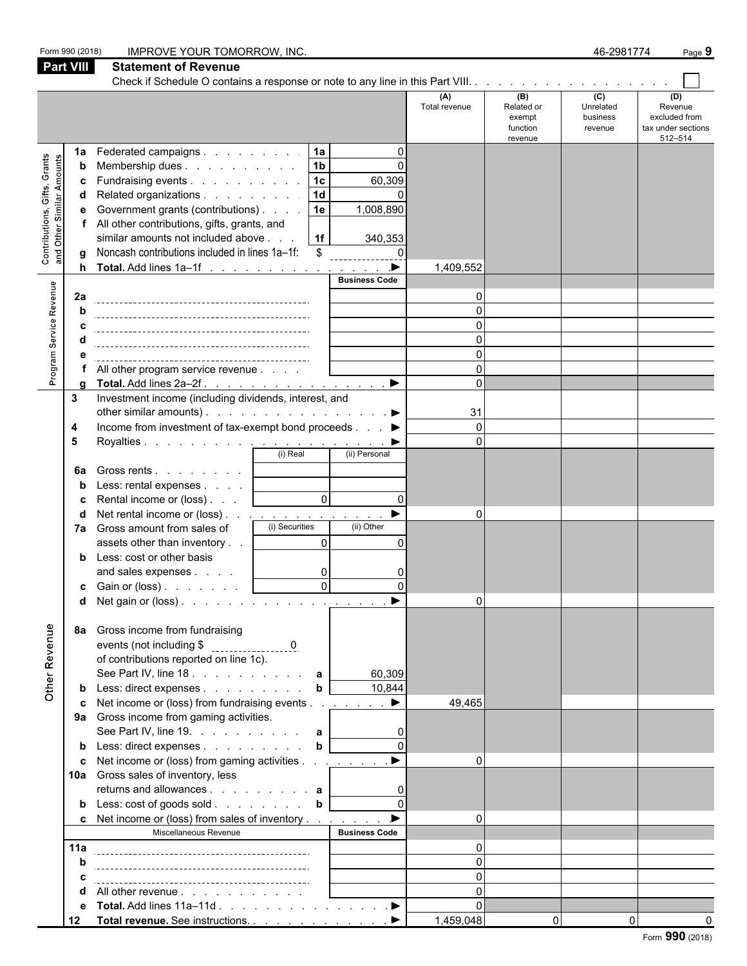|                                                           | Form 990 (2018)<br><b>Part VIII</b> | <b>IMPROVE YOUR TOMORROW, INC.</b><br><b>Statement of Revenue</b>                                                                                                                                                                                                                           |                                                                       |                                                                                             |                      |                                                    | 46-2981774                              | Page 9                                                           |
|-----------------------------------------------------------|-------------------------------------|---------------------------------------------------------------------------------------------------------------------------------------------------------------------------------------------------------------------------------------------------------------------------------------------|-----------------------------------------------------------------------|---------------------------------------------------------------------------------------------|----------------------|----------------------------------------------------|-----------------------------------------|------------------------------------------------------------------|
|                                                           |                                     |                                                                                                                                                                                                                                                                                             |                                                                       |                                                                                             |                      |                                                    |                                         |                                                                  |
|                                                           |                                     |                                                                                                                                                                                                                                                                                             |                                                                       |                                                                                             | (A)<br>Total revenue | (B)<br>Related or<br>exempt<br>function<br>revenue | (C)<br>Unrelated<br>business<br>revenue | (D)<br>Revenue<br>excluded from<br>tax under sections<br>512-514 |
| Contributions, Gifts, Grants<br>and Other Similar Amounts | 1a<br>b<br>h                        | Federated campaigns<br>Membership dues<br>Fundraising events<br>Related organizations<br>Government grants (contributions)<br>All other contributions, gifts, grants, and<br>similar amounts not included above<br>Noncash contributions included in lines 1a-1f:<br>Total. Add lines 1a-1f | 1a <br> 1 <sub>b</sub><br> 1c <br>  1d<br>1e<br>  1f<br>$\sqrt[6]{3}$ | $\Omega$<br>$\Omega$<br>60,309<br>1,008,890<br>340,353<br>$\Omega$<br>$\blacktriangleright$ | 1,409,552            |                                                    |                                         |                                                                  |
|                                                           |                                     |                                                                                                                                                                                                                                                                                             |                                                                       | <b>Business Code</b>                                                                        |                      |                                                    |                                         |                                                                  |
|                                                           | 2a                                  |                                                                                                                                                                                                                                                                                             |                                                                       |                                                                                             | $\Omega$             |                                                    |                                         |                                                                  |
| Program Service Revenue                                   |                                     |                                                                                                                                                                                                                                                                                             |                                                                       |                                                                                             | $\Omega$             |                                                    |                                         |                                                                  |
|                                                           |                                     |                                                                                                                                                                                                                                                                                             |                                                                       |                                                                                             | $\Omega$             |                                                    |                                         |                                                                  |
|                                                           |                                     |                                                                                                                                                                                                                                                                                             |                                                                       |                                                                                             | 0<br>$\Omega$        |                                                    |                                         |                                                                  |
|                                                           |                                     | All other program service revenue                                                                                                                                                                                                                                                           |                                                                       |                                                                                             | $\Omega$             |                                                    |                                         |                                                                  |
|                                                           |                                     | Total. Add lines 2a-2f.                                                                                                                                                                                                                                                                     |                                                                       | $\blacktriangleright$                                                                       | $\Omega$             |                                                    |                                         |                                                                  |
|                                                           | 3                                   | Investment income (including dividends, interest, and                                                                                                                                                                                                                                       |                                                                       |                                                                                             |                      |                                                    |                                         |                                                                  |
|                                                           |                                     | other similar amounts). $\ldots$ $\ldots$ $\ldots$ $\ldots$ $\ldots$ $\ldots$                                                                                                                                                                                                               |                                                                       |                                                                                             | 31                   |                                                    |                                         |                                                                  |
|                                                           | 4                                   | Income from investment of tax-exempt bond proceeds ▶                                                                                                                                                                                                                                        |                                                                       |                                                                                             | $\Omega$             |                                                    |                                         |                                                                  |
|                                                           | 5                                   |                                                                                                                                                                                                                                                                                             |                                                                       |                                                                                             | $\Omega$             |                                                    |                                         |                                                                  |
|                                                           |                                     | (i) Real                                                                                                                                                                                                                                                                                    |                                                                       | (ii) Personal                                                                               |                      |                                                    |                                         |                                                                  |
|                                                           | 6а                                  | Gross rents<br>Less: rental expenses                                                                                                                                                                                                                                                        |                                                                       |                                                                                             |                      |                                                    |                                         |                                                                  |
|                                                           |                                     | Rental income or (loss)                                                                                                                                                                                                                                                                     | $\overline{0}$                                                        | $\Omega$                                                                                    |                      |                                                    |                                         |                                                                  |
|                                                           | d                                   | Net rental income or (loss) $\ldots$ $\ldots$ $\ldots$ $\ldots$ $\ldots$ $\ldots$                                                                                                                                                                                                           |                                                                       |                                                                                             | $\Omega$             |                                                    |                                         |                                                                  |
|                                                           | 7а                                  | (i) Securities<br>Gross amount from sales of                                                                                                                                                                                                                                                |                                                                       | (ii) Other                                                                                  |                      |                                                    |                                         |                                                                  |
|                                                           |                                     | assets other than inventory                                                                                                                                                                                                                                                                 | $\Omega$                                                              | O                                                                                           |                      |                                                    |                                         |                                                                  |
|                                                           |                                     | Less: cost or other basis                                                                                                                                                                                                                                                                   |                                                                       |                                                                                             |                      |                                                    |                                         |                                                                  |
|                                                           |                                     | and sales expenses                                                                                                                                                                                                                                                                          | $\overline{0}$<br>∩I                                                  | 0                                                                                           |                      |                                                    |                                         |                                                                  |
|                                                           |                                     | <b>c</b> Gain or (loss) $\ldots$ $\ldots$                                                                                                                                                                                                                                                   |                                                                       | <u>ັບ</u>                                                                                   |                      |                                                    |                                         |                                                                  |
|                                                           | d                                   | Net gain or $(\text{loss})$ .                                                                                                                                                                                                                                                               |                                                                       |                                                                                             |                      |                                                    |                                         |                                                                  |
| Other Revenue                                             | 8а                                  | Gross income from fundraising<br>of contributions reported on line 1c).                                                                                                                                                                                                                     |                                                                       | 60,309                                                                                      |                      |                                                    |                                         |                                                                  |
|                                                           |                                     | Less: direct expenses<br>Net income or (loss) from fundraising events ▶                                                                                                                                                                                                                     | $\mathbf b$                                                           | 10,844                                                                                      | 49,465               |                                                    |                                         |                                                                  |
|                                                           |                                     | 9a Gross income from gaming activities.                                                                                                                                                                                                                                                     |                                                                       |                                                                                             |                      |                                                    |                                         |                                                                  |
|                                                           |                                     | See Part IV, line 19. $\ldots$ $\ldots$ $\ldots$ $\ldots$ a                                                                                                                                                                                                                                 |                                                                       |                                                                                             |                      |                                                    |                                         |                                                                  |
|                                                           |                                     | Less: direct expenses b                                                                                                                                                                                                                                                                     |                                                                       | $\Omega$                                                                                    |                      |                                                    |                                         |                                                                  |
|                                                           | c                                   | Net income or (loss) from gaming activities <u>.</u> ▶                                                                                                                                                                                                                                      |                                                                       |                                                                                             | $\overline{0}$       |                                                    |                                         |                                                                  |
|                                                           |                                     | 10a Gross sales of inventory, less                                                                                                                                                                                                                                                          |                                                                       |                                                                                             |                      |                                                    |                                         |                                                                  |
|                                                           |                                     | returns and allowances $\mathbf{a}$                                                                                                                                                                                                                                                         |                                                                       |                                                                                             |                      |                                                    |                                         |                                                                  |
|                                                           |                                     | Less: $\cosh$ of goods sold $\mathbf{b}$                                                                                                                                                                                                                                                    |                                                                       |                                                                                             |                      |                                                    |                                         |                                                                  |
|                                                           | C                                   | Net income or (loss) from sales of inventory                                                                                                                                                                                                                                                |                                                                       | <b>Business Code</b>                                                                        | $\Omega$             |                                                    |                                         |                                                                  |
|                                                           | 11a                                 | Miscellaneous Revenue                                                                                                                                                                                                                                                                       |                                                                       |                                                                                             | $\Omega$             |                                                    |                                         |                                                                  |
|                                                           | b                                   |                                                                                                                                                                                                                                                                                             |                                                                       |                                                                                             | $\Omega$             |                                                    |                                         |                                                                  |
|                                                           |                                     |                                                                                                                                                                                                                                                                                             |                                                                       |                                                                                             | $\Omega$             |                                                    |                                         |                                                                  |
|                                                           |                                     | All other revenue                                                                                                                                                                                                                                                                           |                                                                       |                                                                                             | $\Omega$             |                                                    |                                         |                                                                  |
|                                                           |                                     |                                                                                                                                                                                                                                                                                             |                                                                       |                                                                                             | $\Omega$             |                                                    |                                         |                                                                  |
|                                                           | 12                                  | Total revenue. See instructions. ▶                                                                                                                                                                                                                                                          |                                                                       |                                                                                             | 1,459,048            | $\overline{0}$                                     | $\overline{0}$                          | $\sim$                                                           |

Form **990** (2018)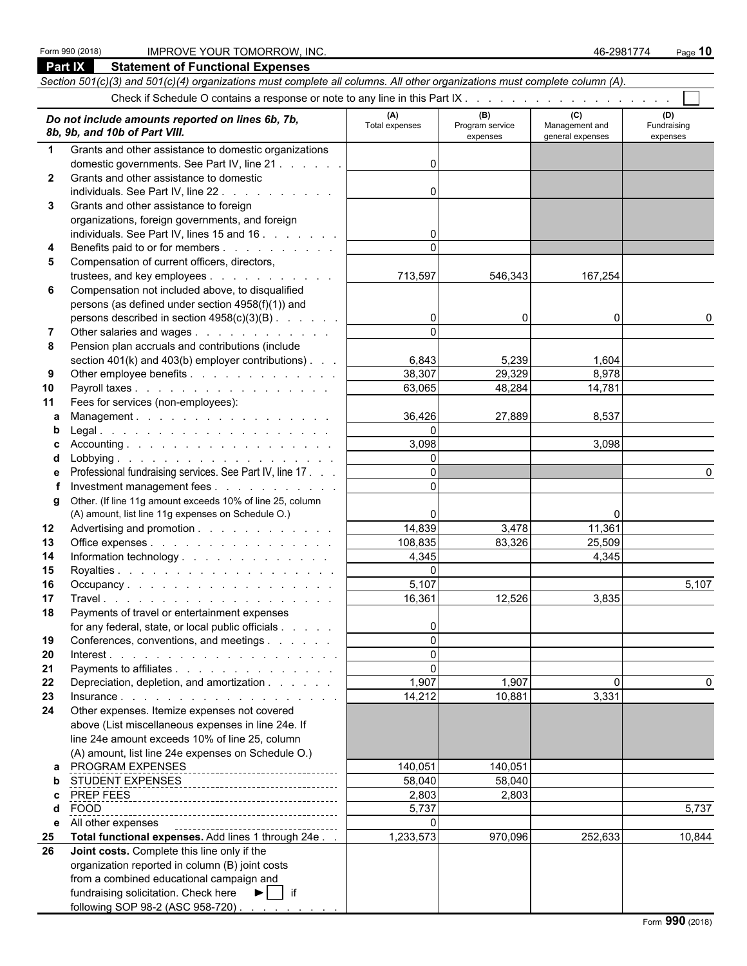#### Form 990 (2018) IMPROVE YOUR TOMORROW, INC. 46-2981774 Page **10**

fundraising solicitation. Check here  $\blacktriangleright$   $\blacksquare$  if

following SOP 98-2 (ASC 958-720)

|                  | <b>Part IX</b><br><b>Statement of Functional Expenses</b>                                                                  |                       |                                    |                                           |                                |
|------------------|----------------------------------------------------------------------------------------------------------------------------|-----------------------|------------------------------------|-------------------------------------------|--------------------------------|
|                  | Section 501(c)(3) and 501(c)(4) organizations must complete all columns. All other organizations must complete column (A). |                       |                                    |                                           |                                |
|                  |                                                                                                                            |                       |                                    |                                           |                                |
|                  | Do not include amounts reported on lines 6b, 7b,<br>8b, 9b, and 10b of Part VIII.                                          | (A)<br>Total expenses | (B)<br>Program service<br>expenses | (C)<br>Management and<br>general expenses | (D)<br>Fundraising<br>expenses |
| $\mathbf 1$      | Grants and other assistance to domestic organizations                                                                      |                       |                                    |                                           |                                |
|                  | domestic governments. See Part IV, line 21                                                                                 | $\Omega$              |                                    |                                           |                                |
| $\mathbf{2}$     | Grants and other assistance to domestic                                                                                    |                       |                                    |                                           |                                |
|                  | individuals. See Part IV, line 22.<br>and the service control of the                                                       | 0                     |                                    |                                           |                                |
| 3                | Grants and other assistance to foreign                                                                                     |                       |                                    |                                           |                                |
|                  | organizations, foreign governments, and foreign                                                                            |                       |                                    |                                           |                                |
|                  | individuals. See Part IV, lines 15 and 16.                                                                                 | 0                     |                                    |                                           |                                |
| 4                | Benefits paid to or for members                                                                                            | $\Omega$              |                                    |                                           |                                |
| 5                | Compensation of current officers, directors,                                                                               |                       |                                    |                                           |                                |
|                  | trustees, and key employees                                                                                                | 713,597               | 546,343                            | 167,254                                   |                                |
| 6                | Compensation not included above, to disqualified                                                                           |                       |                                    |                                           |                                |
|                  | persons (as defined under section 4958(f)(1)) and                                                                          |                       |                                    |                                           |                                |
|                  | persons described in section 4958(c)(3)(B)                                                                                 | 0                     | 0                                  | 0                                         | 0                              |
| 7                | Other salaries and wages                                                                                                   | $\Omega$              |                                    |                                           |                                |
| 8                | Pension plan accruals and contributions (include                                                                           |                       |                                    |                                           |                                |
|                  | section $401(k)$ and $403(b)$ employer contributions).                                                                     | 6,843                 | 5,239                              | 1,604                                     |                                |
| 9                | Other employee benefits                                                                                                    | 38,307                | 29,329                             | 8,978                                     |                                |
| 10               | Payroll taxes                                                                                                              | 63,065                | 48,284                             | 14,781                                    |                                |
| 11               | Fees for services (non-employees):                                                                                         |                       |                                    |                                           |                                |
| a                | Management.                                                                                                                | 36,426                | 27,889                             | 8,537                                     |                                |
| b                |                                                                                                                            | $\Omega$              |                                    |                                           |                                |
|                  |                                                                                                                            | 3,098                 |                                    | 3,098                                     |                                |
| d                |                                                                                                                            | $\Omega$              |                                    |                                           |                                |
| е                | Professional fundraising services. See Part IV, line 17.                                                                   | $\Omega$              |                                    |                                           | 0                              |
|                  | Investment management fees                                                                                                 | $\Omega$              |                                    |                                           |                                |
| q                | Other. (If line 11g amount exceeds 10% of line 25, column                                                                  |                       |                                    |                                           |                                |
|                  | (A) amount, list line 11g expenses on Schedule O.)                                                                         | 0                     |                                    | 0                                         |                                |
| 12 <sup>12</sup> | Advertising and promotion                                                                                                  | 14,839                | 3,478                              | 11,361                                    |                                |
|                  |                                                                                                                            | 108,835               | 83,326                             | 25,509                                    |                                |
| 13               | Office expenses                                                                                                            |                       |                                    |                                           |                                |
| 14               | Information technology                                                                                                     | 4,345                 |                                    | 4,345                                     |                                |
| 15               |                                                                                                                            | $\mathbf 0$           |                                    |                                           |                                |
| 16               | Occupancy                                                                                                                  | 5,107                 |                                    |                                           | 5,107                          |
| 17               |                                                                                                                            | 16,361                | 12,526                             | 3,835                                     |                                |
| 18               | Payments of travel or entertainment expenses                                                                               |                       |                                    |                                           |                                |
|                  | for any federal, state, or local public officials                                                                          | 0                     |                                    |                                           |                                |
| 19               | Conferences, conventions, and meetings                                                                                     | $\Omega$              |                                    |                                           |                                |
| 20               |                                                                                                                            | 0                     |                                    |                                           |                                |
| 21               | Payments to affiliates                                                                                                     | $\Omega$              |                                    |                                           |                                |
| 22               | Depreciation, depletion, and amortization                                                                                  | 1,907                 | 1,907                              | $\Omega$                                  |                                |
| 23               |                                                                                                                            | 14,212                | 10,881                             | 3,331                                     |                                |
| 24               | Other expenses. Itemize expenses not covered                                                                               |                       |                                    |                                           |                                |
|                  | above (List miscellaneous expenses in line 24e. If                                                                         |                       |                                    |                                           |                                |
|                  | line 24e amount exceeds 10% of line 25, column                                                                             |                       |                                    |                                           |                                |
|                  | (A) amount, list line 24e expenses on Schedule O.)                                                                         |                       |                                    |                                           |                                |
|                  | a PROGRAM EXPENSES<br>---------------------------------                                                                    | 140,051               | 140,051                            |                                           |                                |
|                  |                                                                                                                            | 58,040                | 58,040                             |                                           |                                |
| c                |                                                                                                                            | 2,803                 | 2,803                              |                                           |                                |
| d                | <b>FOOD</b>                                                                                                                | 5,737                 |                                    |                                           | 5,737                          |
| е                | All other expenses                                                                                                         | $\mathbf{0}$          |                                    |                                           |                                |
| 25               | Total functional expenses. Add lines 1 through 24e                                                                         | 1,233,573             | 970,096                            | 252,633                                   | 10,844                         |
| 26               | Joint costs. Complete this line only if the                                                                                |                       |                                    |                                           |                                |
|                  | organization reported in column (B) joint costs                                                                            |                       |                                    |                                           |                                |
|                  | from a combined educational campaign and                                                                                   |                       |                                    |                                           |                                |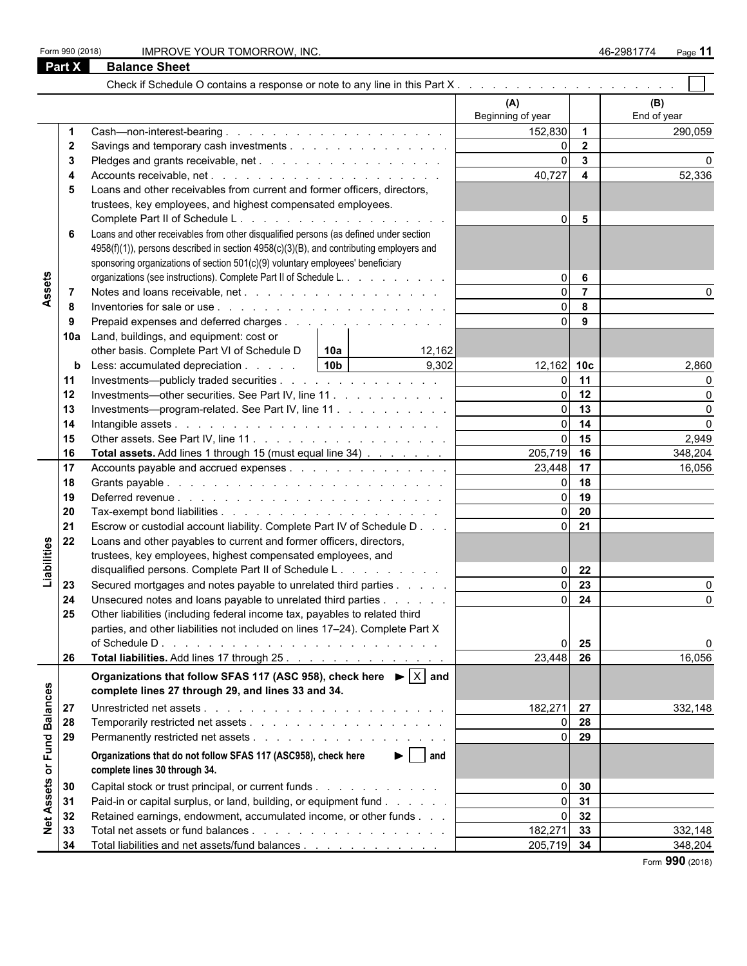|  |  | Form 990 (2018) |
|--|--|-----------------|
|--|--|-----------------|

Form 990 (2018) IMPROVE YOUR TOMORROW, INC. And the set of the set of the set of the set of the set of the set of the set of the set of the set of the set of the set of the set of the set of the set of the set of the set o

|                   | Part $\overline{X}$ | <b>Balance Sheet</b>                                                                                         |                          |                         |                    |
|-------------------|---------------------|--------------------------------------------------------------------------------------------------------------|--------------------------|-------------------------|--------------------|
|                   |                     |                                                                                                              |                          |                         |                    |
|                   |                     |                                                                                                              | (A)<br>Beginning of year |                         | (B)<br>End of year |
|                   |                     |                                                                                                              | 152,830                  | $\overline{\mathbf{1}}$ | 290,059            |
|                   | -2                  |                                                                                                              | $\Omega$                 | $\overline{2}$          |                    |
|                   | -3                  |                                                                                                              | $\Omega$                 | $\mathbf{3}$            |                    |
|                   | 4                   |                                                                                                              | 40,727                   | $\overline{\mathbf{4}}$ | 52,336             |
|                   | 5                   | Loans and other receivables from current and former officers, directors,                                     |                          |                         |                    |
|                   |                     | trustees, key employees, and highest compensated employees.                                                  |                          |                         |                    |
|                   |                     |                                                                                                              | $\overline{0}$           | $5\phantom{.0}$         |                    |
|                   | 6                   | Loans and other receivables from other disqualified persons (as defined under section                        |                          |                         |                    |
|                   |                     | 4958(f)(1)), persons described in section 4958(c)(3)(B), and contributing employers and                      |                          |                         |                    |
|                   |                     | sponsoring organizations of section 501(c)(9) voluntary employees' beneficiary                               |                          |                         |                    |
|                   |                     | organizations (see instructions). Complete Part II of Schedule L.                                            | $\overline{0}$           | 6                       |                    |
| Assets            | -7                  |                                                                                                              |                          | $\overline{7}$          |                    |
|                   | -8                  | Inventories for sale or use $\ldots$ $\ldots$ $\ldots$ $\ldots$ $\ldots$ $\ldots$ $\ldots$ $\ldots$ $\ldots$ | $\Omega$                 | 8                       |                    |
|                   | 9                   | Prepaid expenses and deferred charges                                                                        | $\overline{0}$           | 9                       |                    |
|                   | 10a                 | Land, buildings, and equipment: cost or                                                                      |                          |                         |                    |
|                   |                     | other basis. Complete Part VI of Schedule D<br>10a<br>12,162                                                 |                          |                         |                    |
|                   | $\mathbf b$         | 10 <sub>b</sub><br>9,302<br>Less: accumulated depreciation                                                   | 12,162 10c               |                         | 2,860              |
|                   | 11                  | Investments—publicly traded securities                                                                       | $\Omega$                 | 11                      |                    |
|                   | 12                  | Investments—other securities. See Part IV, line 11                                                           | $\overline{0}$           | 12                      |                    |
|                   | 13                  | Investments---program-related. See Part IV, line 11                                                          | $\Omega$                 | 13                      | $\Omega$           |
|                   | 14                  |                                                                                                              | $\Omega$                 | 14                      | $\Omega$           |
|                   | 15                  |                                                                                                              |                          | 15                      | 2,949              |
|                   | 16                  | Total assets. Add lines 1 through 15 (must equal line 34)                                                    | 205,719                  | 16                      | 348,204            |
|                   | 17                  | Accounts payable and accrued expenses                                                                        | $23,448$ 17              |                         | 16,056             |
|                   | 18                  |                                                                                                              |                          | 18                      |                    |
|                   | 19                  |                                                                                                              | ΩL                       | 19                      |                    |
|                   | 20                  |                                                                                                              | $\overline{0}$           | 20                      |                    |
|                   | 21                  | Escrow or custodial account liability. Complete Part IV of Schedule D                                        | $\overline{0}$           | 21                      |                    |
|                   | 22                  | Loans and other payables to current and former officers, directors,                                          |                          |                         |                    |
|                   |                     | trustees, key employees, highest compensated employees, and                                                  |                          |                         |                    |
| Liabilities       |                     | disqualified persons. Complete Part II of Schedule L.                                                        | $\overline{0}$           | 22                      |                    |
|                   | 23                  | Secured mortgages and notes payable to unrelated third parties                                               | $\overline{0}$           | 23                      |                    |
|                   | 24                  | Unsecured notes and loans payable to unrelated third parties                                                 | $\overline{0}$           | 24                      | O                  |
|                   | 25                  | Other liabilities (including federal income tax, payables to related third                                   |                          |                         |                    |
|                   |                     | parties, and other liabilities not included on lines 17-24). Complete Part X                                 |                          |                         |                    |
|                   |                     |                                                                                                              |                          | 25                      | 0                  |
|                   | 26                  | Total liabilities. Add lines 17 through 25.                                                                  | 23,448                   | 26                      | 16,056             |
|                   |                     | Organizations that follow SFAS 117 (ASC 958), check here $\blacktriangleright$ $ \times $ and                |                          |                         |                    |
|                   |                     | complete lines 27 through 29, and lines 33 and 34.                                                           |                          |                         |                    |
| <b>Balances</b>   | 27                  |                                                                                                              | 182,271 27               |                         | 332,148            |
|                   | 28                  |                                                                                                              | $\overline{0}$           | 28                      |                    |
|                   | 29                  |                                                                                                              |                          | 29                      |                    |
|                   |                     | Organizations that do not follow SFAS 117 (ASC958), check here<br>$\blacktriangleright$   and                |                          |                         |                    |
| or Fund           |                     | complete lines 30 through 34.                                                                                |                          |                         |                    |
|                   | 30                  | Capital stock or trust principal, or current funds                                                           | $\overline{0}$           | 30                      |                    |
|                   | 31                  | Paid-in or capital surplus, or land, building, or equipment fund                                             |                          | 31                      |                    |
| <b>Net Assets</b> | 32                  | Retained earnings, endowment, accumulated income, or other funds                                             |                          | 32                      |                    |
|                   | 33                  |                                                                                                              | 182,271                  | 33                      | 332,148            |
|                   | 34                  | Total liabilities and net assets/fund balances                                                               | 205,719 34               |                         | 348,204            |

Form **990** (2018)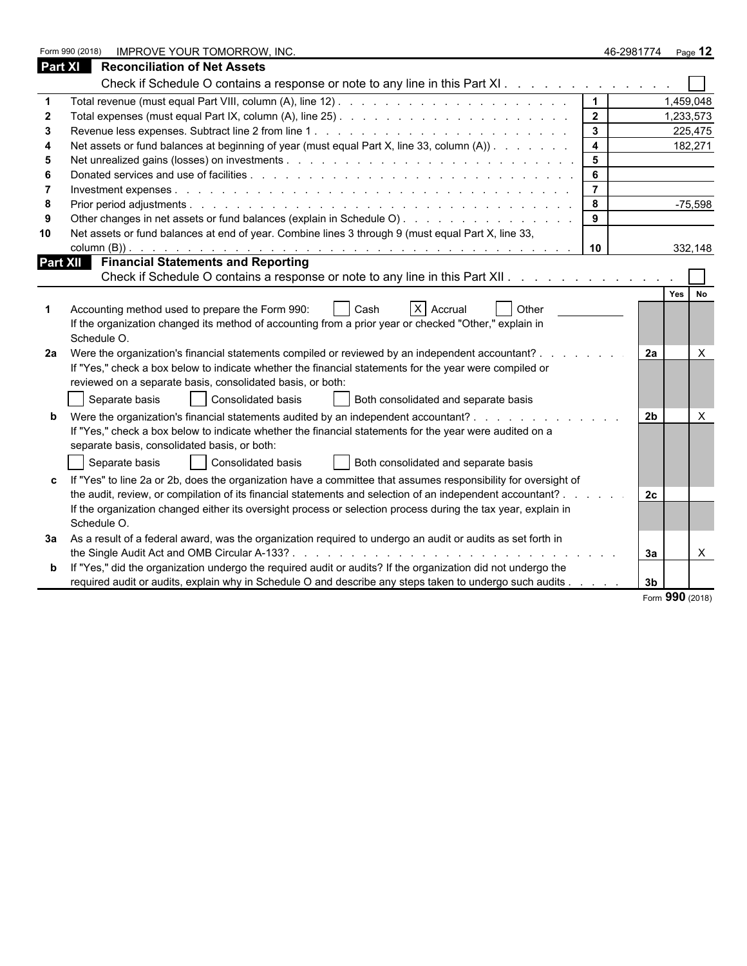| <b>Part XI</b><br><b>Reconciliation of Net Assets</b><br>Check if Schedule O contains a response or note to any line in this Part XI<br>1,459,048<br>$\overline{2}$<br>1,233,573<br>$\mathbf{3}$<br>225,475<br>Net assets or fund balances at beginning of year (must equal Part X, line 33, column (A))<br>$\overline{\mathbf{4}}$<br>182,271<br>$5\phantom{.0}$<br>5<br>6<br>Donated services and use of facilities entering to the entries of the contract of the contract of the contract of the contract of the contract of the contract of the contract of the contract of the contract of the contract<br>$-75,598$<br>8<br>8<br>Other changes in net assets or fund balances (explain in Schedule O).<br>9<br>Net assets or fund balances at end of year. Combine lines 3 through 9 (must equal Part X, line 33,<br>10<br>332,148<br>10<br><b>Part XII</b> Financial Statements and Reporting<br>Check if Schedule O contains a response or note to any line in this Part XII.<br>Yes I<br><b>No</b><br>$X$ Accrual<br>Accounting method used to prepare the Form 990:<br>Cash<br>Other<br>If the organization changed its method of accounting from a prior year or checked "Other," explain in<br>Schedule O.<br>Were the organization's financial statements compiled or reviewed by an independent accountant?.<br>X<br><b>2a</b><br>2a<br>If "Yes," check a box below to indicate whether the financial statements for the year were compiled or<br>reviewed on a separate basis, consolidated basis, or both:<br>Separate basis<br>Consolidated basis<br>Both consolidated and separate basis<br>Were the organization's financial statements audited by an independent accountant?<br>2 <sub>b</sub><br>$\times$<br>If "Yes," check a box below to indicate whether the financial statements for the year were audited on a<br>separate basis, consolidated basis, or both:<br>Separate basis<br>Consolidated basis<br>Both consolidated and separate basis<br>If "Yes" to line 2a or 2b, does the organization have a committee that assumes responsibility for oversight of<br>the audit, review, or compilation of its financial statements and selection of an independent accountant?.<br>2c<br>If the organization changed either its oversight process or selection process during the tax year, explain in<br>Schedule O.<br>As a result of a federal award, was the organization required to undergo an audit or audits as set forth in<br>За<br>$\mathsf{X}$<br>За<br>If "Yes," did the organization undergo the required audit or audits? If the organization did not undergo the<br>required audit or audits, explain why in Schedule O and describe any steps taken to undergo such audits<br>3 <sub>b</sub> | Form 990 (2018)<br>IMPROVE YOUR TOMORROW, INC. | 46-2981774 | Page 12 |
|------------------------------------------------------------------------------------------------------------------------------------------------------------------------------------------------------------------------------------------------------------------------------------------------------------------------------------------------------------------------------------------------------------------------------------------------------------------------------------------------------------------------------------------------------------------------------------------------------------------------------------------------------------------------------------------------------------------------------------------------------------------------------------------------------------------------------------------------------------------------------------------------------------------------------------------------------------------------------------------------------------------------------------------------------------------------------------------------------------------------------------------------------------------------------------------------------------------------------------------------------------------------------------------------------------------------------------------------------------------------------------------------------------------------------------------------------------------------------------------------------------------------------------------------------------------------------------------------------------------------------------------------------------------------------------------------------------------------------------------------------------------------------------------------------------------------------------------------------------------------------------------------------------------------------------------------------------------------------------------------------------------------------------------------------------------------------------------------------------------------------------------------------------------------------------------------------------------------------------------------------------------------------------------------------------------------------------------------------------------------------------------------------------------------------------------------------------------------------------------------------------------------------------------------------------------------------------------------------------------------------------------------------------------------------------------------------------------------------------------|------------------------------------------------|------------|---------|
|                                                                                                                                                                                                                                                                                                                                                                                                                                                                                                                                                                                                                                                                                                                                                                                                                                                                                                                                                                                                                                                                                                                                                                                                                                                                                                                                                                                                                                                                                                                                                                                                                                                                                                                                                                                                                                                                                                                                                                                                                                                                                                                                                                                                                                                                                                                                                                                                                                                                                                                                                                                                                                                                                                                                          |                                                |            |         |
|                                                                                                                                                                                                                                                                                                                                                                                                                                                                                                                                                                                                                                                                                                                                                                                                                                                                                                                                                                                                                                                                                                                                                                                                                                                                                                                                                                                                                                                                                                                                                                                                                                                                                                                                                                                                                                                                                                                                                                                                                                                                                                                                                                                                                                                                                                                                                                                                                                                                                                                                                                                                                                                                                                                                          |                                                |            |         |
|                                                                                                                                                                                                                                                                                                                                                                                                                                                                                                                                                                                                                                                                                                                                                                                                                                                                                                                                                                                                                                                                                                                                                                                                                                                                                                                                                                                                                                                                                                                                                                                                                                                                                                                                                                                                                                                                                                                                                                                                                                                                                                                                                                                                                                                                                                                                                                                                                                                                                                                                                                                                                                                                                                                                          |                                                |            |         |
|                                                                                                                                                                                                                                                                                                                                                                                                                                                                                                                                                                                                                                                                                                                                                                                                                                                                                                                                                                                                                                                                                                                                                                                                                                                                                                                                                                                                                                                                                                                                                                                                                                                                                                                                                                                                                                                                                                                                                                                                                                                                                                                                                                                                                                                                                                                                                                                                                                                                                                                                                                                                                                                                                                                                          |                                                |            |         |
|                                                                                                                                                                                                                                                                                                                                                                                                                                                                                                                                                                                                                                                                                                                                                                                                                                                                                                                                                                                                                                                                                                                                                                                                                                                                                                                                                                                                                                                                                                                                                                                                                                                                                                                                                                                                                                                                                                                                                                                                                                                                                                                                                                                                                                                                                                                                                                                                                                                                                                                                                                                                                                                                                                                                          |                                                |            |         |
|                                                                                                                                                                                                                                                                                                                                                                                                                                                                                                                                                                                                                                                                                                                                                                                                                                                                                                                                                                                                                                                                                                                                                                                                                                                                                                                                                                                                                                                                                                                                                                                                                                                                                                                                                                                                                                                                                                                                                                                                                                                                                                                                                                                                                                                                                                                                                                                                                                                                                                                                                                                                                                                                                                                                          |                                                |            |         |
|                                                                                                                                                                                                                                                                                                                                                                                                                                                                                                                                                                                                                                                                                                                                                                                                                                                                                                                                                                                                                                                                                                                                                                                                                                                                                                                                                                                                                                                                                                                                                                                                                                                                                                                                                                                                                                                                                                                                                                                                                                                                                                                                                                                                                                                                                                                                                                                                                                                                                                                                                                                                                                                                                                                                          |                                                |            |         |
|                                                                                                                                                                                                                                                                                                                                                                                                                                                                                                                                                                                                                                                                                                                                                                                                                                                                                                                                                                                                                                                                                                                                                                                                                                                                                                                                                                                                                                                                                                                                                                                                                                                                                                                                                                                                                                                                                                                                                                                                                                                                                                                                                                                                                                                                                                                                                                                                                                                                                                                                                                                                                                                                                                                                          |                                                |            |         |
|                                                                                                                                                                                                                                                                                                                                                                                                                                                                                                                                                                                                                                                                                                                                                                                                                                                                                                                                                                                                                                                                                                                                                                                                                                                                                                                                                                                                                                                                                                                                                                                                                                                                                                                                                                                                                                                                                                                                                                                                                                                                                                                                                                                                                                                                                                                                                                                                                                                                                                                                                                                                                                                                                                                                          |                                                |            |         |
|                                                                                                                                                                                                                                                                                                                                                                                                                                                                                                                                                                                                                                                                                                                                                                                                                                                                                                                                                                                                                                                                                                                                                                                                                                                                                                                                                                                                                                                                                                                                                                                                                                                                                                                                                                                                                                                                                                                                                                                                                                                                                                                                                                                                                                                                                                                                                                                                                                                                                                                                                                                                                                                                                                                                          |                                                |            |         |
|                                                                                                                                                                                                                                                                                                                                                                                                                                                                                                                                                                                                                                                                                                                                                                                                                                                                                                                                                                                                                                                                                                                                                                                                                                                                                                                                                                                                                                                                                                                                                                                                                                                                                                                                                                                                                                                                                                                                                                                                                                                                                                                                                                                                                                                                                                                                                                                                                                                                                                                                                                                                                                                                                                                                          |                                                |            |         |
|                                                                                                                                                                                                                                                                                                                                                                                                                                                                                                                                                                                                                                                                                                                                                                                                                                                                                                                                                                                                                                                                                                                                                                                                                                                                                                                                                                                                                                                                                                                                                                                                                                                                                                                                                                                                                                                                                                                                                                                                                                                                                                                                                                                                                                                                                                                                                                                                                                                                                                                                                                                                                                                                                                                                          |                                                |            |         |
|                                                                                                                                                                                                                                                                                                                                                                                                                                                                                                                                                                                                                                                                                                                                                                                                                                                                                                                                                                                                                                                                                                                                                                                                                                                                                                                                                                                                                                                                                                                                                                                                                                                                                                                                                                                                                                                                                                                                                                                                                                                                                                                                                                                                                                                                                                                                                                                                                                                                                                                                                                                                                                                                                                                                          |                                                |            |         |
|                                                                                                                                                                                                                                                                                                                                                                                                                                                                                                                                                                                                                                                                                                                                                                                                                                                                                                                                                                                                                                                                                                                                                                                                                                                                                                                                                                                                                                                                                                                                                                                                                                                                                                                                                                                                                                                                                                                                                                                                                                                                                                                                                                                                                                                                                                                                                                                                                                                                                                                                                                                                                                                                                                                                          |                                                |            |         |
|                                                                                                                                                                                                                                                                                                                                                                                                                                                                                                                                                                                                                                                                                                                                                                                                                                                                                                                                                                                                                                                                                                                                                                                                                                                                                                                                                                                                                                                                                                                                                                                                                                                                                                                                                                                                                                                                                                                                                                                                                                                                                                                                                                                                                                                                                                                                                                                                                                                                                                                                                                                                                                                                                                                                          |                                                |            |         |
|                                                                                                                                                                                                                                                                                                                                                                                                                                                                                                                                                                                                                                                                                                                                                                                                                                                                                                                                                                                                                                                                                                                                                                                                                                                                                                                                                                                                                                                                                                                                                                                                                                                                                                                                                                                                                                                                                                                                                                                                                                                                                                                                                                                                                                                                                                                                                                                                                                                                                                                                                                                                                                                                                                                                          |                                                |            |         |
|                                                                                                                                                                                                                                                                                                                                                                                                                                                                                                                                                                                                                                                                                                                                                                                                                                                                                                                                                                                                                                                                                                                                                                                                                                                                                                                                                                                                                                                                                                                                                                                                                                                                                                                                                                                                                                                                                                                                                                                                                                                                                                                                                                                                                                                                                                                                                                                                                                                                                                                                                                                                                                                                                                                                          |                                                |            |         |
|                                                                                                                                                                                                                                                                                                                                                                                                                                                                                                                                                                                                                                                                                                                                                                                                                                                                                                                                                                                                                                                                                                                                                                                                                                                                                                                                                                                                                                                                                                                                                                                                                                                                                                                                                                                                                                                                                                                                                                                                                                                                                                                                                                                                                                                                                                                                                                                                                                                                                                                                                                                                                                                                                                                                          |                                                |            |         |
|                                                                                                                                                                                                                                                                                                                                                                                                                                                                                                                                                                                                                                                                                                                                                                                                                                                                                                                                                                                                                                                                                                                                                                                                                                                                                                                                                                                                                                                                                                                                                                                                                                                                                                                                                                                                                                                                                                                                                                                                                                                                                                                                                                                                                                                                                                                                                                                                                                                                                                                                                                                                                                                                                                                                          |                                                |            |         |
|                                                                                                                                                                                                                                                                                                                                                                                                                                                                                                                                                                                                                                                                                                                                                                                                                                                                                                                                                                                                                                                                                                                                                                                                                                                                                                                                                                                                                                                                                                                                                                                                                                                                                                                                                                                                                                                                                                                                                                                                                                                                                                                                                                                                                                                                                                                                                                                                                                                                                                                                                                                                                                                                                                                                          |                                                |            |         |
|                                                                                                                                                                                                                                                                                                                                                                                                                                                                                                                                                                                                                                                                                                                                                                                                                                                                                                                                                                                                                                                                                                                                                                                                                                                                                                                                                                                                                                                                                                                                                                                                                                                                                                                                                                                                                                                                                                                                                                                                                                                                                                                                                                                                                                                                                                                                                                                                                                                                                                                                                                                                                                                                                                                                          |                                                |            |         |
|                                                                                                                                                                                                                                                                                                                                                                                                                                                                                                                                                                                                                                                                                                                                                                                                                                                                                                                                                                                                                                                                                                                                                                                                                                                                                                                                                                                                                                                                                                                                                                                                                                                                                                                                                                                                                                                                                                                                                                                                                                                                                                                                                                                                                                                                                                                                                                                                                                                                                                                                                                                                                                                                                                                                          |                                                |            |         |
|                                                                                                                                                                                                                                                                                                                                                                                                                                                                                                                                                                                                                                                                                                                                                                                                                                                                                                                                                                                                                                                                                                                                                                                                                                                                                                                                                                                                                                                                                                                                                                                                                                                                                                                                                                                                                                                                                                                                                                                                                                                                                                                                                                                                                                                                                                                                                                                                                                                                                                                                                                                                                                                                                                                                          |                                                |            |         |
|                                                                                                                                                                                                                                                                                                                                                                                                                                                                                                                                                                                                                                                                                                                                                                                                                                                                                                                                                                                                                                                                                                                                                                                                                                                                                                                                                                                                                                                                                                                                                                                                                                                                                                                                                                                                                                                                                                                                                                                                                                                                                                                                                                                                                                                                                                                                                                                                                                                                                                                                                                                                                                                                                                                                          |                                                |            |         |
|                                                                                                                                                                                                                                                                                                                                                                                                                                                                                                                                                                                                                                                                                                                                                                                                                                                                                                                                                                                                                                                                                                                                                                                                                                                                                                                                                                                                                                                                                                                                                                                                                                                                                                                                                                                                                                                                                                                                                                                                                                                                                                                                                                                                                                                                                                                                                                                                                                                                                                                                                                                                                                                                                                                                          |                                                |            |         |
|                                                                                                                                                                                                                                                                                                                                                                                                                                                                                                                                                                                                                                                                                                                                                                                                                                                                                                                                                                                                                                                                                                                                                                                                                                                                                                                                                                                                                                                                                                                                                                                                                                                                                                                                                                                                                                                                                                                                                                                                                                                                                                                                                                                                                                                                                                                                                                                                                                                                                                                                                                                                                                                                                                                                          |                                                |            |         |
|                                                                                                                                                                                                                                                                                                                                                                                                                                                                                                                                                                                                                                                                                                                                                                                                                                                                                                                                                                                                                                                                                                                                                                                                                                                                                                                                                                                                                                                                                                                                                                                                                                                                                                                                                                                                                                                                                                                                                                                                                                                                                                                                                                                                                                                                                                                                                                                                                                                                                                                                                                                                                                                                                                                                          |                                                |            |         |
|                                                                                                                                                                                                                                                                                                                                                                                                                                                                                                                                                                                                                                                                                                                                                                                                                                                                                                                                                                                                                                                                                                                                                                                                                                                                                                                                                                                                                                                                                                                                                                                                                                                                                                                                                                                                                                                                                                                                                                                                                                                                                                                                                                                                                                                                                                                                                                                                                                                                                                                                                                                                                                                                                                                                          |                                                |            |         |
|                                                                                                                                                                                                                                                                                                                                                                                                                                                                                                                                                                                                                                                                                                                                                                                                                                                                                                                                                                                                                                                                                                                                                                                                                                                                                                                                                                                                                                                                                                                                                                                                                                                                                                                                                                                                                                                                                                                                                                                                                                                                                                                                                                                                                                                                                                                                                                                                                                                                                                                                                                                                                                                                                                                                          |                                                |            |         |
|                                                                                                                                                                                                                                                                                                                                                                                                                                                                                                                                                                                                                                                                                                                                                                                                                                                                                                                                                                                                                                                                                                                                                                                                                                                                                                                                                                                                                                                                                                                                                                                                                                                                                                                                                                                                                                                                                                                                                                                                                                                                                                                                                                                                                                                                                                                                                                                                                                                                                                                                                                                                                                                                                                                                          |                                                |            |         |
|                                                                                                                                                                                                                                                                                                                                                                                                                                                                                                                                                                                                                                                                                                                                                                                                                                                                                                                                                                                                                                                                                                                                                                                                                                                                                                                                                                                                                                                                                                                                                                                                                                                                                                                                                                                                                                                                                                                                                                                                                                                                                                                                                                                                                                                                                                                                                                                                                                                                                                                                                                                                                                                                                                                                          |                                                |            |         |
|                                                                                                                                                                                                                                                                                                                                                                                                                                                                                                                                                                                                                                                                                                                                                                                                                                                                                                                                                                                                                                                                                                                                                                                                                                                                                                                                                                                                                                                                                                                                                                                                                                                                                                                                                                                                                                                                                                                                                                                                                                                                                                                                                                                                                                                                                                                                                                                                                                                                                                                                                                                                                                                                                                                                          |                                                |            |         |
|                                                                                                                                                                                                                                                                                                                                                                                                                                                                                                                                                                                                                                                                                                                                                                                                                                                                                                                                                                                                                                                                                                                                                                                                                                                                                                                                                                                                                                                                                                                                                                                                                                                                                                                                                                                                                                                                                                                                                                                                                                                                                                                                                                                                                                                                                                                                                                                                                                                                                                                                                                                                                                                                                                                                          |                                                |            |         |
|                                                                                                                                                                                                                                                                                                                                                                                                                                                                                                                                                                                                                                                                                                                                                                                                                                                                                                                                                                                                                                                                                                                                                                                                                                                                                                                                                                                                                                                                                                                                                                                                                                                                                                                                                                                                                                                                                                                                                                                                                                                                                                                                                                                                                                                                                                                                                                                                                                                                                                                                                                                                                                                                                                                                          |                                                |            |         |
|                                                                                                                                                                                                                                                                                                                                                                                                                                                                                                                                                                                                                                                                                                                                                                                                                                                                                                                                                                                                                                                                                                                                                                                                                                                                                                                                                                                                                                                                                                                                                                                                                                                                                                                                                                                                                                                                                                                                                                                                                                                                                                                                                                                                                                                                                                                                                                                                                                                                                                                                                                                                                                                                                                                                          |                                                |            |         |

|  | Form 990 (2018) |  |
|--|-----------------|--|
|  |                 |  |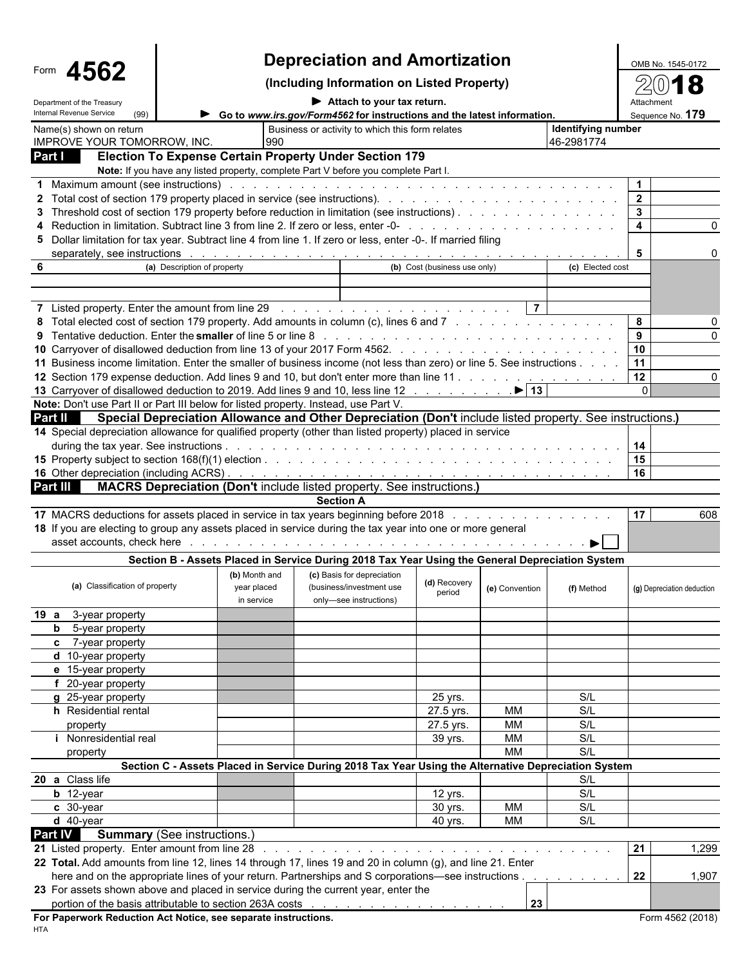| 4562<br>Form                                                                                                                                                                                                                   |                                    |                                                                                                          | OMB No. 1545-0172                                |                |                    |                            |          |  |  |
|--------------------------------------------------------------------------------------------------------------------------------------------------------------------------------------------------------------------------------|------------------------------------|----------------------------------------------------------------------------------------------------------|--------------------------------------------------|----------------|--------------------|----------------------------|----------|--|--|
|                                                                                                                                                                                                                                |                                    | (Including Information on Listed Property)                                                               |                                                  |                |                    |                            |          |  |  |
| Department of the Treasury                                                                                                                                                                                                     |                                    |                                                                                                          | $\blacktriangleright$ Attach to your tax return. |                |                    |                            |          |  |  |
| Internal Revenue Service<br>(99)                                                                                                                                                                                               |                                    | Go to www.irs.gov/Form4562 for instructions and the latest information.                                  |                                                  |                |                    | Sequence No. 179           |          |  |  |
| Name(s) shown on return<br>IMPROVE YOUR TOMORROW, INC.                                                                                                                                                                         |                                    | Business or activity to which this form relates                                                          |                                                  |                | Identifying number |                            |          |  |  |
| Part I                                                                                                                                                                                                                         |                                    | 990<br><b>Election To Expense Certain Property Under Section 179</b>                                     |                                                  |                | 46-2981774         |                            |          |  |  |
|                                                                                                                                                                                                                                |                                    | Note: If you have any listed property, complete Part V before you complete Part I.                       |                                                  |                |                    |                            |          |  |  |
| 1 Maximum amount (see instructions) with a contract of the contract of the contract of the contract of the contract of the contract of the contract of the contract of the contract of the contract of the contract of the con |                                    |                                                                                                          |                                                  |                |                    | $\blacktriangleleft$       |          |  |  |
|                                                                                                                                                                                                                                |                                    |                                                                                                          |                                                  |                |                    | $\overline{2}$             |          |  |  |
| 3 Threshold cost of section 179 property before reduction in limitation (see instructions).                                                                                                                                    |                                    |                                                                                                          |                                                  |                |                    | $\mathbf{3}$               |          |  |  |
|                                                                                                                                                                                                                                |                                    |                                                                                                          |                                                  |                |                    | $\overline{4}$             | $\Omega$ |  |  |
| 5 Dollar limitation for tax year. Subtract line 4 from line 1. If zero or less, enter -0-. If married filing                                                                                                                   |                                    |                                                                                                          |                                                  |                |                    |                            |          |  |  |
|                                                                                                                                                                                                                                |                                    |                                                                                                          | (b) Cost (business use only)                     |                |                    | 5                          |          |  |  |
| 6                                                                                                                                                                                                                              | (a) Description of property        |                                                                                                          |                                                  |                | (c) Elected cost   |                            |          |  |  |
|                                                                                                                                                                                                                                |                                    |                                                                                                          |                                                  |                |                    |                            |          |  |  |
| 7 Listed property. Enter the amount from line 29 rundless and contact the contact of the contact of the amount from line 29 rundless and contact the contact of the contact of the contact of the contact of the contact of th |                                    |                                                                                                          |                                                  | $\overline{7}$ |                    |                            |          |  |  |
| 8 Total elected cost of section 179 property. Add amounts in column (c), lines 6 and 7                                                                                                                                         |                                    |                                                                                                          |                                                  |                |                    | 8                          | 0        |  |  |
|                                                                                                                                                                                                                                |                                    |                                                                                                          |                                                  |                |                    | 9                          |          |  |  |
|                                                                                                                                                                                                                                |                                    |                                                                                                          |                                                  |                |                    | 10                         |          |  |  |
| 11 Business income limitation. Enter the smaller of business income (not less than zero) or line 5. See instructions                                                                                                           |                                    |                                                                                                          |                                                  |                |                    | 11                         |          |  |  |
| 12 Section 179 expense deduction. Add lines 9 and 10, but don't enter more than line 11                                                                                                                                        |                                    |                                                                                                          |                                                  |                |                    | 12                         | O        |  |  |
| 13 Carryover of disallowed deduction to 2019. Add lines 9 and 10, less line 12 ▶ 13                                                                                                                                            |                                    |                                                                                                          |                                                  |                |                    | $\Omega$                   |          |  |  |
| Note: Don't use Part II or Part III below for listed property. Instead, use Part V.                                                                                                                                            |                                    |                                                                                                          |                                                  |                |                    |                            |          |  |  |
| Part II<br>14 Special depreciation allowance for qualified property (other than listed property) placed in service                                                                                                             |                                    | Special Depreciation Allowance and Other Depreciation (Don't include listed property. See instructions.) |                                                  |                |                    |                            |          |  |  |
|                                                                                                                                                                                                                                |                                    |                                                                                                          |                                                  |                |                    | 14                         |          |  |  |
|                                                                                                                                                                                                                                |                                    |                                                                                                          |                                                  |                |                    | 15                         |          |  |  |
|                                                                                                                                                                                                                                |                                    |                                                                                                          |                                                  |                |                    | 16                         |          |  |  |
| Part III                                                                                                                                                                                                                       |                                    | <b>MACRS Depreciation (Don't include listed property. See instructions.)</b>                             |                                                  |                |                    |                            |          |  |  |
|                                                                                                                                                                                                                                |                                    | <b>Section A</b>                                                                                         |                                                  |                |                    |                            |          |  |  |
| 17 MACRS deductions for assets placed in service in tax years beginning before 2018                                                                                                                                            |                                    |                                                                                                          |                                                  |                |                    | 17                         | 608      |  |  |
| 18 If you are electing to group any assets placed in service during the tax year into one or more general                                                                                                                      |                                    |                                                                                                          |                                                  |                |                    |                            |          |  |  |
|                                                                                                                                                                                                                                |                                    |                                                                                                          |                                                  |                |                    |                            |          |  |  |
|                                                                                                                                                                                                                                |                                    | Section B - Assets Placed in Service During 2018 Tax Year Using the General Depreciation System          |                                                  |                |                    |                            |          |  |  |
|                                                                                                                                                                                                                                | (b) Month and                      | (c) Basis for depreciation                                                                               |                                                  |                |                    |                            |          |  |  |
| (a) Classification of property                                                                                                                                                                                                 | year placed                        | (business/investment use                                                                                 | (d) Recovery<br>period                           | (e) Convention | (f) Method         | (g) Depreciation deduction |          |  |  |
|                                                                                                                                                                                                                                | in service                         | only-see instructions)                                                                                   |                                                  |                |                    |                            |          |  |  |
| 19 a 3-year property                                                                                                                                                                                                           |                                    |                                                                                                          |                                                  |                |                    |                            |          |  |  |
| <b>b</b> 5-year property                                                                                                                                                                                                       |                                    |                                                                                                          |                                                  |                |                    |                            |          |  |  |
| c 7-year property                                                                                                                                                                                                              |                                    |                                                                                                          |                                                  |                |                    |                            |          |  |  |
| $d$ 10-year property<br>e 15-year property                                                                                                                                                                                     |                                    |                                                                                                          |                                                  |                |                    |                            |          |  |  |
| f 20-year property                                                                                                                                                                                                             |                                    |                                                                                                          |                                                  |                |                    |                            |          |  |  |
| g 25-year property                                                                                                                                                                                                             |                                    |                                                                                                          | 25 yrs.                                          |                | S/L                |                            |          |  |  |
| h Residential rental                                                                                                                                                                                                           |                                    |                                                                                                          | 27.5 yrs.                                        | MM             | S/L                |                            |          |  |  |
| property                                                                                                                                                                                                                       |                                    |                                                                                                          | 27.5 yrs.                                        | MM             | S/L                |                            |          |  |  |
| <i>i</i> Nonresidential real                                                                                                                                                                                                   |                                    |                                                                                                          | 39 yrs.                                          | MM             | S/L                |                            |          |  |  |
| property                                                                                                                                                                                                                       |                                    |                                                                                                          |                                                  | <b>MM</b>      | S/L                |                            |          |  |  |
|                                                                                                                                                                                                                                |                                    | Section C - Assets Placed in Service During 2018 Tax Year Using the Alternative Depreciation System      |                                                  |                |                    |                            |          |  |  |
| 20 a Class life                                                                                                                                                                                                                |                                    |                                                                                                          |                                                  |                | S/L                |                            |          |  |  |
| $b$ 12-year                                                                                                                                                                                                                    |                                    |                                                                                                          | 12 yrs.                                          |                | S/L                |                            |          |  |  |
| c 30-year                                                                                                                                                                                                                      |                                    |                                                                                                          | 30 yrs.                                          | MM             | S/L                |                            |          |  |  |
| $d$ 40-year                                                                                                                                                                                                                    |                                    |                                                                                                          | 40 yrs.                                          | MM             | S/L                |                            |          |  |  |
| Part IV                                                                                                                                                                                                                        | <b>Summary</b> (See instructions.) |                                                                                                          |                                                  |                |                    |                            |          |  |  |
| 21 Listed property. Enter amount from line 28                                                                                                                                                                                  |                                    |                                                                                                          |                                                  |                |                    | 21                         | 1,299    |  |  |
| 22 Total. Add amounts from line 12, lines 14 through 17, lines 19 and 20 in column (g), and line 21. Enter                                                                                                                     |                                    |                                                                                                          |                                                  |                |                    |                            |          |  |  |
| here and on the appropriate lines of your return. Partnerships and S corporations—see instructions                                                                                                                             |                                    |                                                                                                          |                                                  |                |                    | 22                         | 1,907    |  |  |
| 23 For assets shown above and placed in service during the current year, enter the                                                                                                                                             |                                    |                                                                                                          |                                                  |                |                    |                            |          |  |  |
| portion of the basis attributable to section 263A costs entitled and an amount of the basis attributable to section 263A costs<br>For Paperwork Reduction Act Notice, see separate instructions.                               |                                    |                                                                                                          |                                                  | 23             |                    | Form 4562 (2018)           |          |  |  |
|                                                                                                                                                                                                                                |                                    |                                                                                                          |                                                  |                |                    |                            |          |  |  |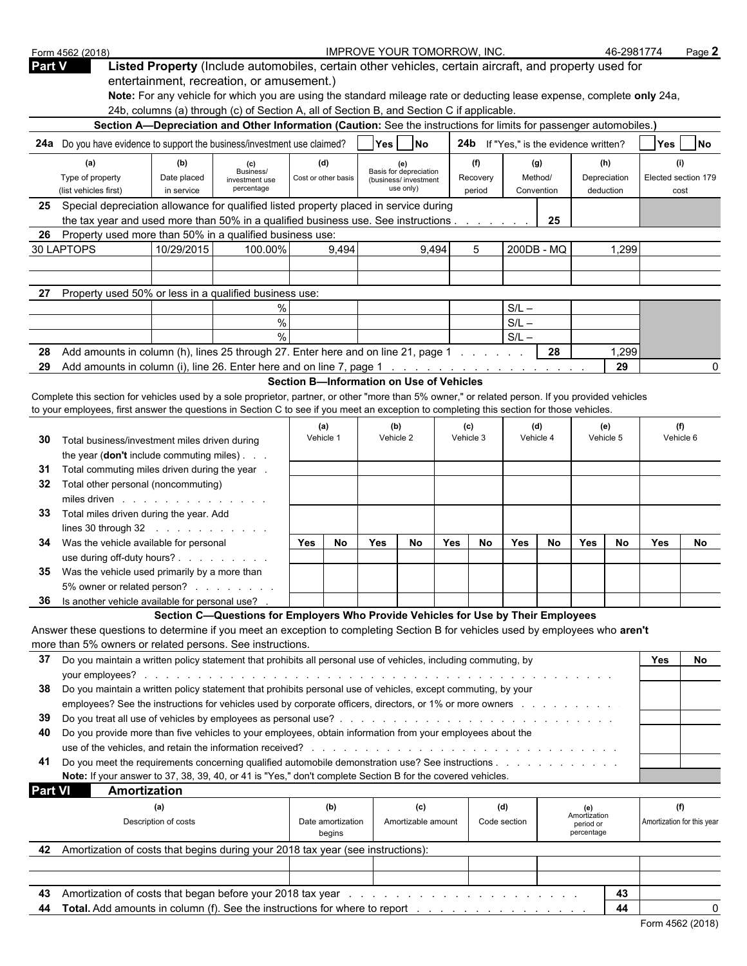|                | Form 4562 (2018)                                                                                                                                                                                                              |                           |                                                                                                                                                                                                                     |     |                             | <b>IMPROVE YOUR TOMORROW, INC.</b>       |                                   |       |                    |                                               |                       |                         | 46-2981774                |                             | Page 2    |
|----------------|-------------------------------------------------------------------------------------------------------------------------------------------------------------------------------------------------------------------------------|---------------------------|---------------------------------------------------------------------------------------------------------------------------------------------------------------------------------------------------------------------|-----|-----------------------------|------------------------------------------|-----------------------------------|-------|--------------------|-----------------------------------------------|-----------------------|-------------------------|---------------------------|-----------------------------|-----------|
| <b>Part V</b>  |                                                                                                                                                                                                                               |                           | Listed Property (Include automobiles, certain other vehicles, certain aircraft, and property used for                                                                                                               |     |                             |                                          |                                   |       |                    |                                               |                       |                         |                           |                             |           |
|                |                                                                                                                                                                                                                               |                           | entertainment, recreation, or amusement.)                                                                                                                                                                           |     |                             |                                          |                                   |       |                    |                                               |                       |                         |                           |                             |           |
|                |                                                                                                                                                                                                                               |                           | Note: For any vehicle for which you are using the standard mileage rate or deducting lease expense, complete only 24a,<br>24b, columns (a) through (c) of Section A, all of Section B, and Section C if applicable. |     |                             |                                          |                                   |       |                    |                                               |                       |                         |                           |                             |           |
|                |                                                                                                                                                                                                                               |                           | Section A-Depreciation and Other Information (Caution: See the instructions for limits for passenger automobiles.)                                                                                                  |     |                             |                                          |                                   |       |                    |                                               |                       |                         |                           |                             |           |
|                | 24a Do you have evidence to support the business/investment use claimed?                                                                                                                                                      |                           |                                                                                                                                                                                                                     |     |                             | Yes                                      | $\overline{\mathsf{No}}$          |       |                    | <b>24b</b> If "Yes," is the evidence written? |                       |                         |                           |                             | <b>No</b> |
|                |                                                                                                                                                                                                                               |                           |                                                                                                                                                                                                                     |     |                             |                                          |                                   |       |                    |                                               |                       |                         |                           | Yes                         |           |
|                | (a)                                                                                                                                                                                                                           | (b)                       | (c)<br>Business/                                                                                                                                                                                                    |     | (d)                         |                                          | Basis for depreciation            |       | (f)                |                                               | (g)                   |                         | (h)                       | (i)                         |           |
|                | Type of property<br>(list vehicles first)                                                                                                                                                                                     | Date placed<br>in service | investment use<br>percentage                                                                                                                                                                                        |     | Cost or other basis         |                                          | (business/investment<br>use only) |       | Recovery<br>period |                                               | Method/<br>Convention |                         | Depreciation<br>deduction | Elected section 179<br>cost |           |
|                | 25 Special depreciation allowance for qualified listed property placed in service during                                                                                                                                      |                           |                                                                                                                                                                                                                     |     |                             |                                          |                                   |       |                    |                                               |                       |                         |                           |                             |           |
|                | the tax year and used more than 50% in a qualified business use. See instructions                                                                                                                                             |                           |                                                                                                                                                                                                                     |     |                             |                                          |                                   |       |                    |                                               | 25                    |                         |                           |                             |           |
| 26             | Property used more than 50% in a qualified business use:                                                                                                                                                                      |                           |                                                                                                                                                                                                                     |     |                             |                                          |                                   |       |                    |                                               |                       |                         |                           |                             |           |
|                | 30 LAPTOPS                                                                                                                                                                                                                    | 10/29/2015                | 100.00%                                                                                                                                                                                                             |     | 9,494                       |                                          |                                   | 9,494 | 5                  |                                               | 200DB - MQ            |                         | 1,299                     |                             |           |
|                |                                                                                                                                                                                                                               |                           |                                                                                                                                                                                                                     |     |                             |                                          |                                   |       |                    |                                               |                       |                         |                           |                             |           |
|                |                                                                                                                                                                                                                               |                           |                                                                                                                                                                                                                     |     |                             |                                          |                                   |       |                    |                                               |                       |                         |                           |                             |           |
|                | Property used 50% or less in a qualified business use:                                                                                                                                                                        |                           |                                                                                                                                                                                                                     |     |                             |                                          |                                   |       |                    |                                               |                       |                         |                           |                             |           |
|                |                                                                                                                                                                                                                               |                           | %                                                                                                                                                                                                                   |     |                             |                                          |                                   |       |                    | $S/L -$                                       |                       |                         |                           |                             |           |
|                |                                                                                                                                                                                                                               |                           | $\%$                                                                                                                                                                                                                |     |                             |                                          |                                   |       |                    | $S/L -$                                       |                       |                         |                           |                             |           |
|                |                                                                                                                                                                                                                               |                           | $\frac{0}{0}$                                                                                                                                                                                                       |     |                             |                                          |                                   |       |                    | $S/L -$                                       |                       |                         |                           |                             |           |
| 28             | Add amounts in column (h), lines 25 through 27. Enter here and on line 21, page 1                                                                                                                                             |                           |                                                                                                                                                                                                                     |     |                             |                                          |                                   |       |                    |                                               | 28                    |                         | 1,299<br>29               |                             |           |
| 29             |                                                                                                                                                                                                                               |                           |                                                                                                                                                                                                                     |     |                             | Section B-Information on Use of Vehicles |                                   |       |                    |                                               |                       |                         |                           |                             |           |
|                | Complete this section for vehicles used by a sole proprietor, partner, or other "more than 5% owner," or related person. If you provided vehicles                                                                             |                           |                                                                                                                                                                                                                     |     |                             |                                          |                                   |       |                    |                                               |                       |                         |                           |                             |           |
|                | to your employees, first answer the questions in Section C to see if you meet an exception to completing this section for those vehicles.                                                                                     |                           |                                                                                                                                                                                                                     |     |                             |                                          |                                   |       |                    |                                               |                       |                         |                           |                             |           |
|                |                                                                                                                                                                                                                               |                           |                                                                                                                                                                                                                     |     | (a)                         |                                          | (b)                               |       | (c)                |                                               | (d)                   |                         | (e)                       | (f)                         |           |
| 30             | Total business/investment miles driven during                                                                                                                                                                                 |                           |                                                                                                                                                                                                                     |     | Vehicle 1                   |                                          | Vehicle 2                         |       | Vehicle 3          |                                               | Vehicle 4             |                         | Vehicle 5                 | Vehicle 6                   |           |
|                | the year (don't include commuting miles)                                                                                                                                                                                      |                           |                                                                                                                                                                                                                     |     |                             |                                          |                                   |       |                    |                                               |                       |                         |                           |                             |           |
| 31             | Total commuting miles driven during the year .                                                                                                                                                                                |                           |                                                                                                                                                                                                                     |     |                             |                                          |                                   |       |                    |                                               |                       |                         |                           |                             |           |
| 32             | Total other personal (noncommuting)                                                                                                                                                                                           |                           |                                                                                                                                                                                                                     |     |                             |                                          |                                   |       |                    |                                               |                       |                         |                           |                             |           |
|                | miles driven in the set of the set of the set of the set of the set of the set of the set of the set of the set of the set of the set of the set of the set of the set of the set of the set of the set of the set of the set |                           |                                                                                                                                                                                                                     |     |                             |                                          |                                   |       |                    |                                               |                       |                         |                           |                             |           |
| 33             | Total miles driven during the year. Add                                                                                                                                                                                       |                           |                                                                                                                                                                                                                     |     |                             |                                          |                                   |       |                    |                                               |                       |                         |                           |                             |           |
|                | lines 30 through $32$                                                                                                                                                                                                         |                           |                                                                                                                                                                                                                     |     |                             |                                          |                                   |       |                    |                                               |                       |                         |                           |                             |           |
| 34.            | Was the vehicle available for personal                                                                                                                                                                                        |                           |                                                                                                                                                                                                                     | Yes | No                          | <b>Yes</b>                               | No                                | Yes   | No                 | Yes                                           | No                    | Yes                     | No                        | <b>Yes</b>                  | No        |
|                | use during off-duty hours?                                                                                                                                                                                                    |                           |                                                                                                                                                                                                                     |     |                             |                                          |                                   |       |                    |                                               |                       |                         |                           |                             |           |
| 35             | Was the vehicle used primarily by a more than                                                                                                                                                                                 |                           |                                                                                                                                                                                                                     |     |                             |                                          |                                   |       |                    |                                               |                       |                         |                           |                             |           |
|                | 5% owner or related person?                                                                                                                                                                                                   |                           |                                                                                                                                                                                                                     |     |                             |                                          |                                   |       |                    |                                               |                       |                         |                           |                             |           |
|                | 36 Is another vehicle available for personal use? .                                                                                                                                                                           |                           | Section C-Questions for Employers Who Provide Vehicles for Use by Their Employees                                                                                                                                   |     |                             |                                          |                                   |       |                    |                                               |                       |                         |                           |                             |           |
|                | Answer these questions to determine if you meet an exception to completing Section B for vehicles used by employees who aren't                                                                                                |                           |                                                                                                                                                                                                                     |     |                             |                                          |                                   |       |                    |                                               |                       |                         |                           |                             |           |
|                | more than 5% owners or related persons. See instructions.                                                                                                                                                                     |                           |                                                                                                                                                                                                                     |     |                             |                                          |                                   |       |                    |                                               |                       |                         |                           |                             |           |
| 37             | Do you maintain a written policy statement that prohibits all personal use of vehicles, including commuting, by                                                                                                               |                           |                                                                                                                                                                                                                     |     |                             |                                          |                                   |       |                    |                                               |                       |                         |                           | Yes                         | No        |
|                |                                                                                                                                                                                                                               |                           |                                                                                                                                                                                                                     |     |                             |                                          |                                   |       |                    |                                               |                       |                         |                           |                             |           |
| 38             | Do you maintain a written policy statement that prohibits personal use of vehicles, except commuting, by your                                                                                                                 |                           |                                                                                                                                                                                                                     |     |                             |                                          |                                   |       |                    |                                               |                       |                         |                           |                             |           |
|                | employees? See the instructions for vehicles used by corporate officers, directors, or 1% or more owners                                                                                                                      |                           |                                                                                                                                                                                                                     |     |                             |                                          |                                   |       |                    |                                               |                       |                         |                           |                             |           |
| 39             |                                                                                                                                                                                                                               |                           |                                                                                                                                                                                                                     |     |                             |                                          |                                   |       |                    |                                               |                       |                         |                           |                             |           |
| 40             | Do you provide more than five vehicles to your employees, obtain information from your employees about the                                                                                                                    |                           |                                                                                                                                                                                                                     |     |                             |                                          |                                   |       |                    |                                               |                       |                         |                           |                             |           |
|                |                                                                                                                                                                                                                               |                           |                                                                                                                                                                                                                     |     |                             |                                          |                                   |       |                    |                                               |                       |                         |                           |                             |           |
| 41             | Do you meet the requirements concerning qualified automobile demonstration use? See instructions                                                                                                                              |                           |                                                                                                                                                                                                                     |     |                             |                                          |                                   |       |                    |                                               |                       |                         |                           |                             |           |
|                | Note: If your answer to 37, 38, 39, 40, or 41 is "Yes," don't complete Section B for the covered vehicles.                                                                                                                    |                           |                                                                                                                                                                                                                     |     |                             |                                          |                                   |       |                    |                                               |                       |                         |                           |                             |           |
| <b>Part VI</b> | Amortization                                                                                                                                                                                                                  |                           |                                                                                                                                                                                                                     |     |                             |                                          |                                   |       |                    |                                               |                       |                         |                           |                             |           |
|                |                                                                                                                                                                                                                               | (a)                       |                                                                                                                                                                                                                     |     | (b)                         |                                          | (c)                               |       |                    | (d)                                           |                       | (e)<br>Amortization     |                           | (f)                         |           |
|                |                                                                                                                                                                                                                               | Description of costs      |                                                                                                                                                                                                                     |     | Date amortization<br>begins |                                          | Amortizable amount                |       |                    | Code section                                  |                       | period or<br>percentage |                           | Amortization for this year  |           |
|                | 42 Amortization of costs that begins during your 2018 tax year (see instructions):                                                                                                                                            |                           |                                                                                                                                                                                                                     |     |                             |                                          |                                   |       |                    |                                               |                       |                         |                           |                             |           |
|                |                                                                                                                                                                                                                               |                           |                                                                                                                                                                                                                     |     |                             |                                          |                                   |       |                    |                                               |                       |                         |                           |                             |           |
|                |                                                                                                                                                                                                                               |                           |                                                                                                                                                                                                                     |     |                             |                                          |                                   |       |                    |                                               |                       |                         |                           |                             |           |
| 43             |                                                                                                                                                                                                                               |                           |                                                                                                                                                                                                                     |     |                             |                                          |                                   |       |                    |                                               |                       |                         | 43                        |                             |           |
| 44             | Total. Add amounts in column (f). See the instructions for where to report                                                                                                                                                    |                           |                                                                                                                                                                                                                     |     |                             |                                          |                                   |       |                    |                                               |                       |                         | 44                        |                             |           |
|                |                                                                                                                                                                                                                               |                           |                                                                                                                                                                                                                     |     |                             |                                          |                                   |       |                    |                                               |                       |                         |                           | Form 4562 (2018)            |           |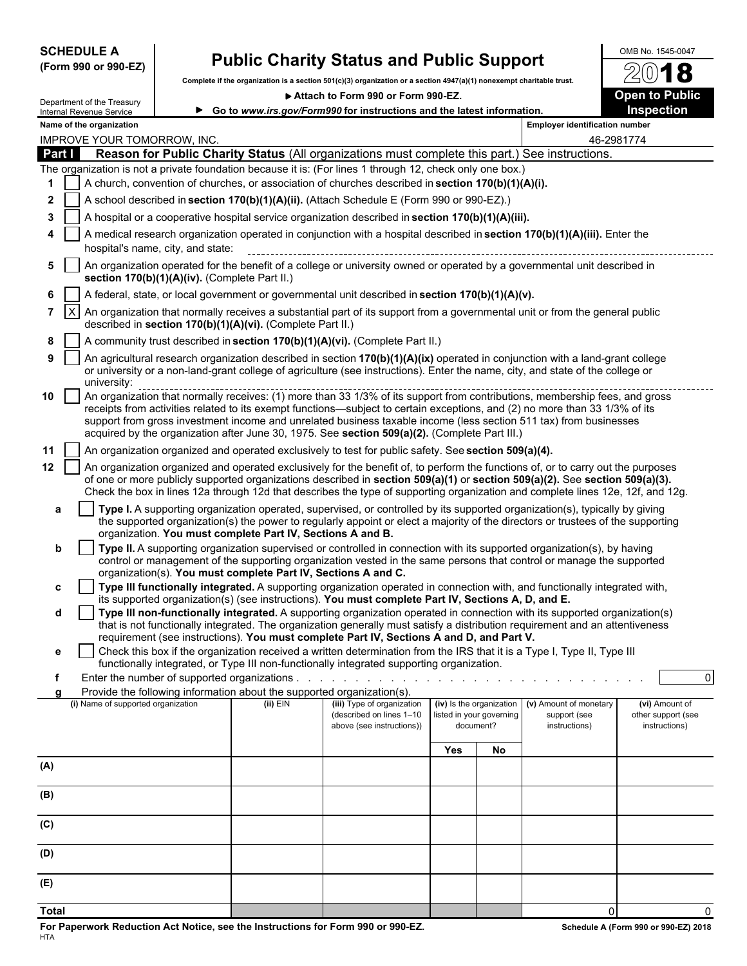| <b>SCHEDULE A</b> |  |                      |
|-------------------|--|----------------------|
|                   |  | (Form 990 or 990-EZ) |

# **Public Charity Status and Public Support**  $\frac{\text{OMB NO. 1545-0047}}{20}$

**Complete if the organization is a section 501(c)(3) organization or a section 4947(a)(1) nonexempt charitable trust.**

▶ Attach to Form 990 or Form 990-EZ. **Dem to Public** 

72

|                |                                                                                                                                                                                                                                                                                                                                                                                                                                                                                                  | Department of the Treasury                           |                                               |                                                               | ALLECTI TO LOLLII ABO OL LOLLII ABO-ET<br>► Go to www.irs.gov/Form990 for instructions and the latest information.                                                                                                                                             |     |                                       |                                                                                  | open to Fublic<br>Inspection                          |  |  |  |  |
|----------------|--------------------------------------------------------------------------------------------------------------------------------------------------------------------------------------------------------------------------------------------------------------------------------------------------------------------------------------------------------------------------------------------------------------------------------------------------------------------------------------------------|------------------------------------------------------|-----------------------------------------------|---------------------------------------------------------------|----------------------------------------------------------------------------------------------------------------------------------------------------------------------------------------------------------------------------------------------------------------|-----|---------------------------------------|----------------------------------------------------------------------------------|-------------------------------------------------------|--|--|--|--|
|                |                                                                                                                                                                                                                                                                                                                                                                                                                                                                                                  | Internal Revenue Service<br>Name of the organization |                                               |                                                               |                                                                                                                                                                                                                                                                |     |                                       | <b>Employer identification number</b>                                            |                                                       |  |  |  |  |
|                |                                                                                                                                                                                                                                                                                                                                                                                                                                                                                                  | <b>IMPROVE YOUR TOMORROW, INC.</b>                   |                                               |                                                               |                                                                                                                                                                                                                                                                |     |                                       |                                                                                  | 46-2981774                                            |  |  |  |  |
| Part I         |                                                                                                                                                                                                                                                                                                                                                                                                                                                                                                  |                                                      |                                               |                                                               | Reason for Public Charity Status (All organizations must complete this part.) See instructions.                                                                                                                                                                |     |                                       |                                                                                  |                                                       |  |  |  |  |
| 1              |                                                                                                                                                                                                                                                                                                                                                                                                                                                                                                  |                                                      |                                               |                                                               | The organization is not a private foundation because it is: (For lines 1 through 12, check only one box.)<br>A church, convention of churches, or association of churches described in section 170(b)(1)(A)(i).                                                |     |                                       |                                                                                  |                                                       |  |  |  |  |
| $\mathbf{2}$   |                                                                                                                                                                                                                                                                                                                                                                                                                                                                                                  |                                                      |                                               |                                                               |                                                                                                                                                                                                                                                                |     |                                       |                                                                                  |                                                       |  |  |  |  |
| 3              |                                                                                                                                                                                                                                                                                                                                                                                                                                                                                                  |                                                      |                                               |                                                               | A school described in section 170(b)(1)(A)(ii). (Attach Schedule E (Form 990 or 990-EZ).)                                                                                                                                                                      |     |                                       |                                                                                  |                                                       |  |  |  |  |
|                |                                                                                                                                                                                                                                                                                                                                                                                                                                                                                                  |                                                      |                                               |                                                               | A hospital or a cooperative hospital service organization described in section 170(b)(1)(A)(iii).                                                                                                                                                              |     |                                       |                                                                                  |                                                       |  |  |  |  |
|                | A medical research organization operated in conjunction with a hospital described in section 170(b)(1)(A)(iii). Enter the<br>hospital's name, city, and state:<br>An organization operated for the benefit of a college or university owned or operated by a governmental unit described in                                                                                                                                                                                                      |                                                      |                                               |                                                               |                                                                                                                                                                                                                                                                |     |                                       |                                                                                  |                                                       |  |  |  |  |
| 5              |                                                                                                                                                                                                                                                                                                                                                                                                                                                                                                  |                                                      | section 170(b)(1)(A)(iv). (Complete Part II.) |                                                               |                                                                                                                                                                                                                                                                |     |                                       |                                                                                  |                                                       |  |  |  |  |
| 6              |                                                                                                                                                                                                                                                                                                                                                                                                                                                                                                  |                                                      |                                               |                                                               | A federal, state, or local government or governmental unit described in section 170(b)(1)(A)(v).                                                                                                                                                               |     |                                       |                                                                                  |                                                       |  |  |  |  |
| $\overline{7}$ | An organization that normally receives a substantial part of its support from a governmental unit or from the general public<br>ΙX<br>described in section 170(b)(1)(A)(vi). (Complete Part II.)                                                                                                                                                                                                                                                                                                 |                                                      |                                               |                                                               |                                                                                                                                                                                                                                                                |     |                                       |                                                                                  |                                                       |  |  |  |  |
| 8              |                                                                                                                                                                                                                                                                                                                                                                                                                                                                                                  |                                                      |                                               |                                                               | A community trust described in section 170(b)(1)(A)(vi). (Complete Part II.)                                                                                                                                                                                   |     |                                       |                                                                                  |                                                       |  |  |  |  |
| 9              | An agricultural research organization described in section 170(b)(1)(A)(ix) operated in conjunction with a land-grant college<br>or university or a non-land-grant college of agriculture (see instructions). Enter the name, city, and state of the college or<br>university:                                                                                                                                                                                                                   |                                                      |                                               |                                                               |                                                                                                                                                                                                                                                                |     |                                       |                                                                                  |                                                       |  |  |  |  |
| 10             | diliversity.<br>An organization that normally receives: (1) more than 33 1/3% of its support from contributions, membership fees, and gross<br>receipts from activities related to its exempt functions—subject to certain exceptions, and (2) no more than 33 1/3% of its<br>support from gross investment income and unrelated business taxable income (less section 511 tax) from businesses<br>acquired by the organization after June 30, 1975. See section 509(a)(2). (Complete Part III.) |                                                      |                                               |                                                               |                                                                                                                                                                                                                                                                |     |                                       |                                                                                  |                                                       |  |  |  |  |
| 11             |                                                                                                                                                                                                                                                                                                                                                                                                                                                                                                  |                                                      |                                               |                                                               | An organization organized and operated exclusively to test for public safety. See section 509(a)(4).                                                                                                                                                           |     |                                       |                                                                                  |                                                       |  |  |  |  |
| $12 \,$        |                                                                                                                                                                                                                                                                                                                                                                                                                                                                                                  |                                                      |                                               |                                                               | An organization organized and operated exclusively for the benefit of, to perform the functions of, or to carry out the purposes                                                                                                                               |     |                                       |                                                                                  |                                                       |  |  |  |  |
|                |                                                                                                                                                                                                                                                                                                                                                                                                                                                                                                  |                                                      |                                               |                                                               | of one or more publicly supported organizations described in section 509(a)(1) or section 509(a)(2). See section 509(a)(3).<br>Check the box in lines 12a through 12d that describes the type of supporting organization and complete lines 12e, 12f, and 12g. |     |                                       |                                                                                  |                                                       |  |  |  |  |
| a              |                                                                                                                                                                                                                                                                                                                                                                                                                                                                                                  |                                                      |                                               |                                                               | Type I. A supporting organization operated, supervised, or controlled by its supported organization(s), typically by giving<br>the supported organization(s) the power to regularly appoint or elect a majority of the directors or trustees of the supporting |     |                                       |                                                                                  |                                                       |  |  |  |  |
| b              |                                                                                                                                                                                                                                                                                                                                                                                                                                                                                                  |                                                      |                                               | organization. You must complete Part IV, Sections A and B.    | Type II. A supporting organization supervised or controlled in connection with its supported organization(s), by having<br>control or management of the supporting organization vested in the same persons that control or manage the supported                |     |                                       |                                                                                  |                                                       |  |  |  |  |
|                |                                                                                                                                                                                                                                                                                                                                                                                                                                                                                                  |                                                      |                                               | organization(s). You must complete Part IV, Sections A and C. |                                                                                                                                                                                                                                                                |     |                                       |                                                                                  |                                                       |  |  |  |  |
| c              |                                                                                                                                                                                                                                                                                                                                                                                                                                                                                                  |                                                      |                                               |                                                               | Type III functionally integrated. A supporting organization operated in connection with, and functionally integrated with,                                                                                                                                     |     |                                       |                                                                                  |                                                       |  |  |  |  |
| d              |                                                                                                                                                                                                                                                                                                                                                                                                                                                                                                  |                                                      |                                               |                                                               | its supported organization(s) (see instructions). You must complete Part IV, Sections A, D, and E.<br>Type III non-functionally integrated. A supporting organization operated in connection with its supported organization(s)                                |     |                                       |                                                                                  |                                                       |  |  |  |  |
|                |                                                                                                                                                                                                                                                                                                                                                                                                                                                                                                  |                                                      |                                               |                                                               | that is not functionally integrated. The organization generally must satisfy a distribution requirement and an attentiveness                                                                                                                                   |     |                                       |                                                                                  |                                                       |  |  |  |  |
|                |                                                                                                                                                                                                                                                                                                                                                                                                                                                                                                  |                                                      |                                               |                                                               | requirement (see instructions). You must complete Part IV, Sections A and D, and Part V.                                                                                                                                                                       |     |                                       |                                                                                  |                                                       |  |  |  |  |
| е              |                                                                                                                                                                                                                                                                                                                                                                                                                                                                                                  |                                                      |                                               |                                                               | Check this box if the organization received a written determination from the IRS that it is a Type I, Type II, Type III<br>functionally integrated, or Type III non-functionally integrated supporting organization.                                           |     |                                       |                                                                                  |                                                       |  |  |  |  |
|                |                                                                                                                                                                                                                                                                                                                                                                                                                                                                                                  |                                                      |                                               |                                                               |                                                                                                                                                                                                                                                                |     |                                       |                                                                                  | $\overline{0}$                                        |  |  |  |  |
| a              |                                                                                                                                                                                                                                                                                                                                                                                                                                                                                                  |                                                      |                                               |                                                               | Provide the following information about the supported organization(s).                                                                                                                                                                                         |     |                                       |                                                                                  |                                                       |  |  |  |  |
|                |                                                                                                                                                                                                                                                                                                                                                                                                                                                                                                  | (i) Name of supported organization                   |                                               | $(ii)$ EIN                                                    | (iii) Type of organization<br>(described on lines 1-10<br>above (see instructions))                                                                                                                                                                            |     | listed in your governing<br>document? | (iv) Is the organization (v) Amount of monetary<br>support (see<br>instructions) | (vi) Amount of<br>other support (see<br>instructions) |  |  |  |  |
|                |                                                                                                                                                                                                                                                                                                                                                                                                                                                                                                  |                                                      |                                               |                                                               |                                                                                                                                                                                                                                                                |     |                                       |                                                                                  |                                                       |  |  |  |  |
|                |                                                                                                                                                                                                                                                                                                                                                                                                                                                                                                  |                                                      |                                               |                                                               |                                                                                                                                                                                                                                                                | Yes | No                                    |                                                                                  |                                                       |  |  |  |  |
| (A)            |                                                                                                                                                                                                                                                                                                                                                                                                                                                                                                  |                                                      |                                               |                                                               |                                                                                                                                                                                                                                                                |     |                                       |                                                                                  |                                                       |  |  |  |  |
| (B)            |                                                                                                                                                                                                                                                                                                                                                                                                                                                                                                  |                                                      |                                               |                                                               |                                                                                                                                                                                                                                                                |     |                                       |                                                                                  |                                                       |  |  |  |  |
| (C)            |                                                                                                                                                                                                                                                                                                                                                                                                                                                                                                  |                                                      |                                               |                                                               |                                                                                                                                                                                                                                                                |     |                                       |                                                                                  |                                                       |  |  |  |  |
| (D)            |                                                                                                                                                                                                                                                                                                                                                                                                                                                                                                  |                                                      |                                               |                                                               |                                                                                                                                                                                                                                                                |     |                                       |                                                                                  |                                                       |  |  |  |  |
| (E)            |                                                                                                                                                                                                                                                                                                                                                                                                                                                                                                  |                                                      |                                               |                                                               |                                                                                                                                                                                                                                                                |     |                                       |                                                                                  |                                                       |  |  |  |  |
|                |                                                                                                                                                                                                                                                                                                                                                                                                                                                                                                  |                                                      |                                               |                                                               |                                                                                                                                                                                                                                                                |     |                                       |                                                                                  |                                                       |  |  |  |  |
| <b>Total</b>   |                                                                                                                                                                                                                                                                                                                                                                                                                                                                                                  |                                                      |                                               |                                                               |                                                                                                                                                                                                                                                                |     |                                       | $\mathbf 0$                                                                      | $\Omega$                                              |  |  |  |  |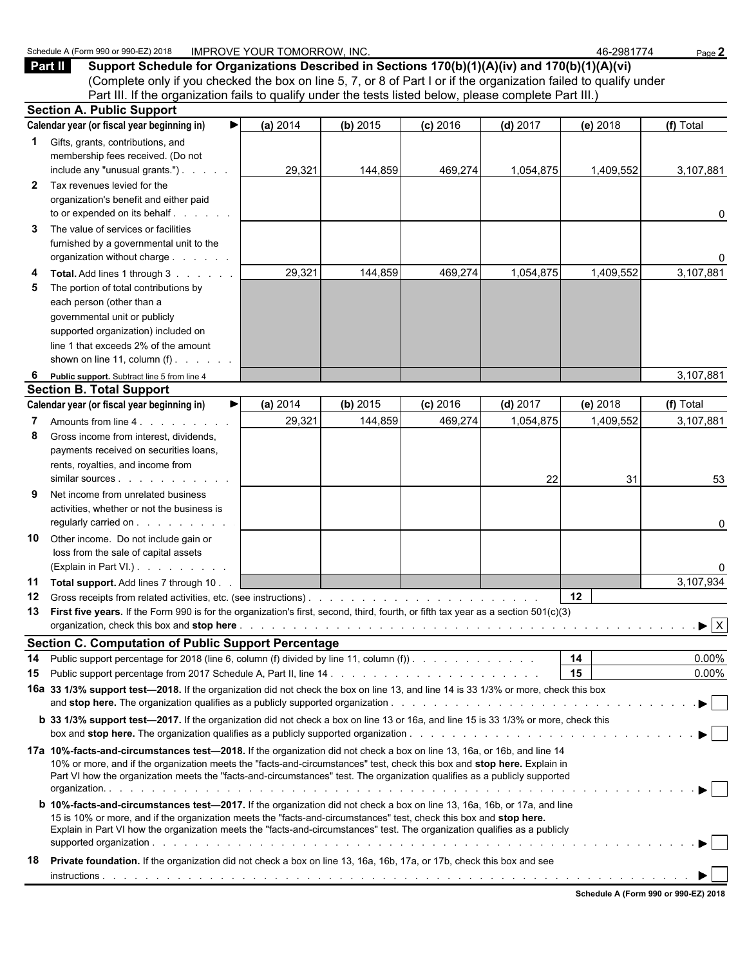|              | Part II<br>Support Schedule for Organizations Described in Sections 170(b)(1)(A)(iv) and 170(b)(1)(A)(vi)<br>(Complete only if you checked the box on line 5, 7, or 8 of Part I or if the organization failed to qualify under                                                                                                                                                     |          |          |            |            |           |                      |
|--------------|------------------------------------------------------------------------------------------------------------------------------------------------------------------------------------------------------------------------------------------------------------------------------------------------------------------------------------------------------------------------------------|----------|----------|------------|------------|-----------|----------------------|
|              | Part III. If the organization fails to qualify under the tests listed below, please complete Part III.)                                                                                                                                                                                                                                                                            |          |          |            |            |           |                      |
|              | <b>Section A. Public Support</b>                                                                                                                                                                                                                                                                                                                                                   |          |          |            |            |           |                      |
|              | Calendar year (or fiscal year beginning in)<br>▶                                                                                                                                                                                                                                                                                                                                   | (a) 2014 | (b) 2015 | $(c)$ 2016 | $(d)$ 2017 | (e) 2018  | (f) Total            |
| $\mathbf{1}$ | Gifts, grants, contributions, and<br>membership fees received. (Do not<br>include any "unusual grants.")                                                                                                                                                                                                                                                                           | 29,321   | 144,859  | 469,274    | 1,054,875  | 1,409,552 | 3,107,881            |
| $\mathbf{2}$ | Tax revenues levied for the<br>organization's benefit and either paid<br>to or expended on its behalf.                                                                                                                                                                                                                                                                             |          |          |            |            |           | 0                    |
| 3            | The value of services or facilities<br>furnished by a governmental unit to the<br>organization without charge                                                                                                                                                                                                                                                                      |          |          |            |            |           | 0                    |
| 4<br>5       | Total. Add lines 1 through 3<br>The portion of total contributions by<br>each person (other than a<br>governmental unit or publicly<br>supported organization) included on<br>line 1 that exceeds 2% of the amount<br>shown on line 11, column $(f)$ .                                                                                                                             | 29,321   | 144,859  | 469,274    | 1,054,875  | 1,409,552 | 3,107,881            |
| 6            | Public support. Subtract line 5 from line 4                                                                                                                                                                                                                                                                                                                                        |          |          |            |            |           | 3,107,881            |
|              | <b>Section B. Total Support</b>                                                                                                                                                                                                                                                                                                                                                    |          |          |            |            |           |                      |
|              | Calendar year (or fiscal year beginning in)                                                                                                                                                                                                                                                                                                                                        | (a) 2014 | (b) 2015 | $(c)$ 2016 | $(d)$ 2017 | (e) 2018  | (f) Total            |
| 8            | Amounts from line 4.<br>Gross income from interest, dividends,<br>payments received on securities loans,<br>rents, royalties, and income from                                                                                                                                                                                                                                      | 29,321   | 144,859  | 469,274    | 1,054,875  | 1,409,552 | 3,107,881            |
| 9            | Net income from unrelated business<br>activities, whether or not the business is<br>regularly carried on                                                                                                                                                                                                                                                                           |          |          |            | 22         | 31        | 53<br>0              |
| 10           | Other income. Do not include gain or<br>loss from the sale of capital assets<br>(Explain in Part VI.)                                                                                                                                                                                                                                                                              |          |          |            |            |           | 0                    |
| 11           | Total support. Add lines 7 through 10.                                                                                                                                                                                                                                                                                                                                             |          |          |            |            |           | 3,107,934            |
|              | 13 First five years. If the Form 990 is for the organization's first, second, third, fourth, or fifth tax year as a section 501(c)(3)                                                                                                                                                                                                                                              |          |          |            |            | 12        |                      |
|              | Section C. Computation of Public Support Percentage Manager Assembly Proposed Section 1.1 Apr 2.1 Apr 2.1 Apr 2.1 Apr 2.1 Apr 2.1 Apr 2.1 Apr 2.1 Apr 2.1 Apr 2.1 Apr 2.1 Apr 2.1 Apr 2.1 Apr 2.1 Apr 2.1 Apr 2.1 Apr 2.1 Apr                                                                                                                                                      |          |          |            |            |           |                      |
| 14<br>15     | Public support percentage for 2018 (line 6, column (f) divided by line 11, column (f)).                                                                                                                                                                                                                                                                                            |          |          |            |            | 14<br>15  | $0.00\%$<br>$0.00\%$ |
|              | 16a 33 1/3% support test-2018. If the organization did not check the box on line 13, and line 14 is 33 1/3% or more, check this box                                                                                                                                                                                                                                                |          |          |            |            |           |                      |
|              | b 33 1/3% support test-2017. If the organization did not check a box on line 13 or 16a, and line 15 is 33 1/3% or more, check this                                                                                                                                                                                                                                                 |          |          |            |            |           |                      |
|              | 17a 10%-facts-and-circumstances test-2018. If the organization did not check a box on line 13, 16a, or 16b, and line 14<br>10% or more, and if the organization meets the "facts-and-circumstances" test, check this box and stop here. Explain in<br>Part VI how the organization meets the "facts-and-circumstances" test. The organization qualifies as a publicly supported    |          |          |            |            |           |                      |
|              | <b>b 10%-facts-and-circumstances test-2017.</b> If the organization did not check a box on line 13, 16a, 16b, or 17a, and line<br>15 is 10% or more, and if the organization meets the "facts-and-circumstances" test, check this box and stop here.<br>Explain in Part VI how the organization meets the "facts-and-circumstances" test. The organization qualifies as a publicly |          |          |            |            |           |                      |
| 18           | <b>Private foundation.</b> If the organization did not check a box on line 13, 16a, 16b, 17a, or 17b, check this box and see                                                                                                                                                                                                                                                       |          |          |            |            |           |                      |

Schedule A (Form 990 or 990-EZ) 2018 IMPROVE YOUR TOMORROW, INC. 46-2981774 Page 2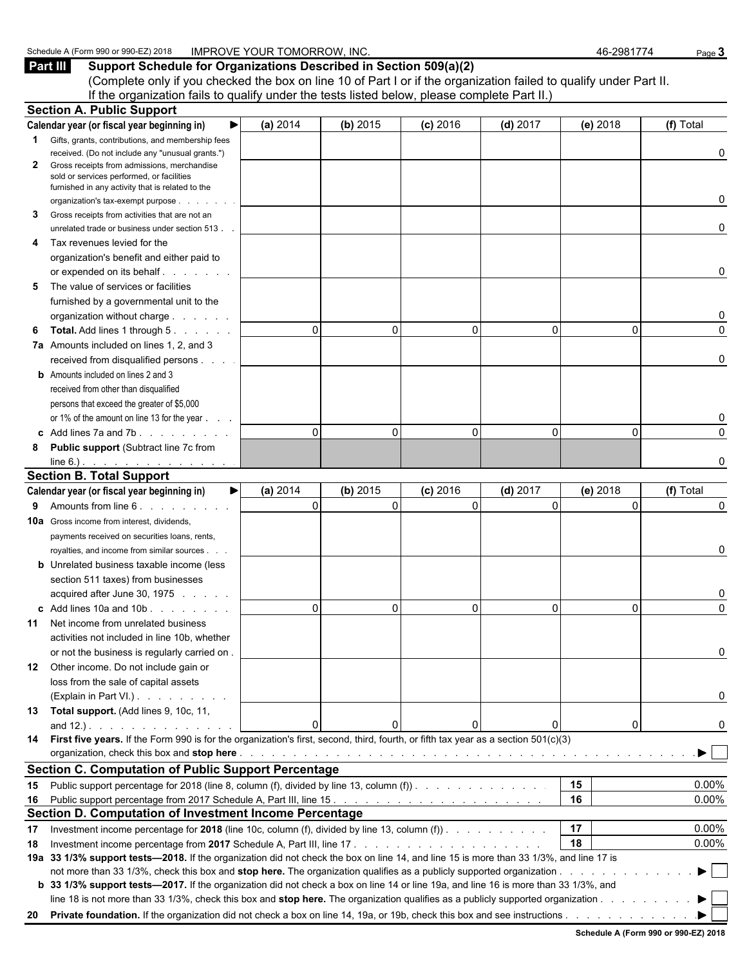**Part III Support Schedule for Organizations Described in Section 509(a)(2)** (Complete only if you checked the box on line 10 of Part I or if the organization failed to qualify under Part II. If the organization fails to qualify under the tests listed below, please complete Part II.)

|    | <b>Section A. Public Support</b>                                                                                                                                                                                              |          |                      |            |              |          |           |
|----|-------------------------------------------------------------------------------------------------------------------------------------------------------------------------------------------------------------------------------|----------|----------------------|------------|--------------|----------|-----------|
|    | Calendar year (or fiscal year beginning in)                                                                                                                                                                                   | (a) 2014 | (b) 2015             | $(c)$ 2016 | $(d)$ 2017   | (e) 2018 | (f) Total |
|    | <b>1</b> Gifts, grants, contributions, and membership fees                                                                                                                                                                    |          |                      |            |              |          |           |
|    | received. (Do not include any "unusual grants.")                                                                                                                                                                              |          |                      |            |              |          | 0         |
| 2  | Gross receipts from admissions, merchandise<br>sold or services performed, or facilities<br>furnished in any activity that is related to the                                                                                  |          |                      |            |              |          |           |
|    | organization's tax-exempt purpose                                                                                                                                                                                             |          |                      |            |              |          | 0         |
| 3  | Gross receipts from activities that are not an                                                                                                                                                                                |          |                      |            |              |          |           |
|    | unrelated trade or business under section 513.                                                                                                                                                                                |          |                      |            |              |          | 0         |
| 4  | Tax revenues levied for the                                                                                                                                                                                                   |          |                      |            |              |          |           |
|    | organization's benefit and either paid to                                                                                                                                                                                     |          |                      |            |              |          |           |
|    | or expended on its behalf.                                                                                                                                                                                                    |          |                      |            |              |          | 0         |
| 5  | The value of services or facilities                                                                                                                                                                                           |          |                      |            |              |          |           |
|    | furnished by a governmental unit to the                                                                                                                                                                                       |          |                      |            |              |          |           |
|    | organization without charge                                                                                                                                                                                                   |          |                      |            |              |          | 0         |
| 6  | <b>Total.</b> Add lines 1 through 5.                                                                                                                                                                                          |          | $\Omega$<br>0        | $\Omega$   | $\mathbf{0}$ | 0        | 0         |
|    | 7a Amounts included on lines 1, 2, and 3                                                                                                                                                                                      |          |                      |            |              |          |           |
|    | received from disqualified persons                                                                                                                                                                                            |          |                      |            |              |          | 0         |
|    | <b>b</b> Amounts included on lines 2 and 3                                                                                                                                                                                    |          |                      |            |              |          |           |
|    | received from other than disqualified                                                                                                                                                                                         |          |                      |            |              |          |           |
|    | persons that exceed the greater of \$5,000                                                                                                                                                                                    |          |                      |            |              |          |           |
|    | or 1% of the amount on line 13 for the year                                                                                                                                                                                   |          |                      |            |              |          | 0         |
|    | c Add lines $7a$ and $7b$ .                                                                                                                                                                                                   |          | $\Omega$<br>0        | $\Omega$   | $\Omega$     | 0        | $\Omega$  |
| 8  | <b>Public support (Subtract line 7c from</b>                                                                                                                                                                                  |          |                      |            |              |          |           |
|    | $line 6.)$ .                                                                                                                                                                                                                  |          |                      |            |              |          | 0         |
|    | <b>Section B. Total Support</b>                                                                                                                                                                                               |          |                      |            |              |          |           |
|    | Calendar year (or fiscal year beginning in)<br>▶                                                                                                                                                                              | (a) 2014 | (b) 2015             | $(c)$ 2016 | $(d)$ 2017   | (e) 2018 | (f) Total |
| 9  | Amounts from line 6.                                                                                                                                                                                                          |          | $\Omega$<br>$\Omega$ | $\Omega$   | $\Omega$     | $\Omega$ | $\Omega$  |
|    | <b>10a</b> Gross income from interest, dividends,                                                                                                                                                                             |          |                      |            |              |          |           |
|    | payments received on securities loans, rents,                                                                                                                                                                                 |          |                      |            |              |          |           |
|    | royalties, and income from similar sources.                                                                                                                                                                                   |          |                      |            |              |          | 0         |
|    | <b>b</b> Unrelated business taxable income (less                                                                                                                                                                              |          |                      |            |              |          |           |
|    | section 511 taxes) from businesses                                                                                                                                                                                            |          |                      |            |              |          |           |
|    | acquired after June 30, 1975                                                                                                                                                                                                  |          |                      |            |              |          | 0         |
|    | c Add lines 10a and 10b                                                                                                                                                                                                       |          | $\Omega$<br>0        | O          | $\Omega$     | 0        | $\Omega$  |
| 11 | Net income from unrelated business                                                                                                                                                                                            |          |                      |            |              |          |           |
|    | activities not included in line 10b, whether                                                                                                                                                                                  |          |                      |            |              |          |           |
|    | or not the business is regularly carried on.                                                                                                                                                                                  |          |                      |            |              |          |           |
|    | 12 Other income. Do not include gain or                                                                                                                                                                                       |          |                      |            |              |          |           |
|    | loss from the sale of capital assets                                                                                                                                                                                          |          |                      |            |              |          |           |
|    | (Explain in Part VI.)                                                                                                                                                                                                         |          |                      |            |              |          | 0         |
|    | 13 Total support. (Add lines 9, 10c, 11,                                                                                                                                                                                      |          | n                    |            |              |          |           |
|    | and $12.$ ). $\ldots$ $\ldots$ $\ldots$ $\ldots$<br>14 First five years. If the Form 990 is for the organization's first, second, third, fourth, or fifth tax year as a section 501(c)(3)                                     |          |                      |            | 0            | 0        | 0         |
|    | organization, check this box and stop here enterpresent and the content of the content of the content of the content of the content of the content of the content of the content of the content of the content of the content |          |                      |            |              |          |           |
|    | <b>Section C. Computation of Public Support Percentage</b>                                                                                                                                                                    |          |                      |            |              |          |           |
|    |                                                                                                                                                                                                                               |          |                      |            |              | 15       | $0.00\%$  |
|    | 15 Public support percentage for 2018 (line 8, column (f), divided by line 13, column (f)).                                                                                                                                   |          |                      |            |              | 16       | $0.00\%$  |
|    | <b>Section D. Computation of Investment Income Percentage</b>                                                                                                                                                                 |          |                      |            |              |          |           |
| 17 | Investment income percentage for 2018 (line 10c, column (f), divided by line 13, column (f)).                                                                                                                                 |          |                      |            |              | 17       | $0.00\%$  |
| 18 |                                                                                                                                                                                                                               |          |                      |            |              | 18       | $0.00\%$  |
|    | 19a 33 1/3% support tests-2018. If the organization did not check the box on line 14, and line 15 is more than 33 1/3%, and line 17 is                                                                                        |          |                      |            |              |          |           |
|    |                                                                                                                                                                                                                               |          |                      |            |              |          | ▶         |
|    | b 33 1/3% support tests—2017. If the organization did not check a box on line 14 or line 19a, and line 16 is more than 33 1/3%, and                                                                                           |          |                      |            |              |          |           |
|    | line 18 is not more than 33 1/3%, check this box and stop here. The organization qualifies as a publicly supported organization                                                                                               |          |                      |            |              |          |           |
|    |                                                                                                                                                                                                                               |          |                      |            |              |          |           |
|    |                                                                                                                                                                                                                               |          |                      |            |              |          |           |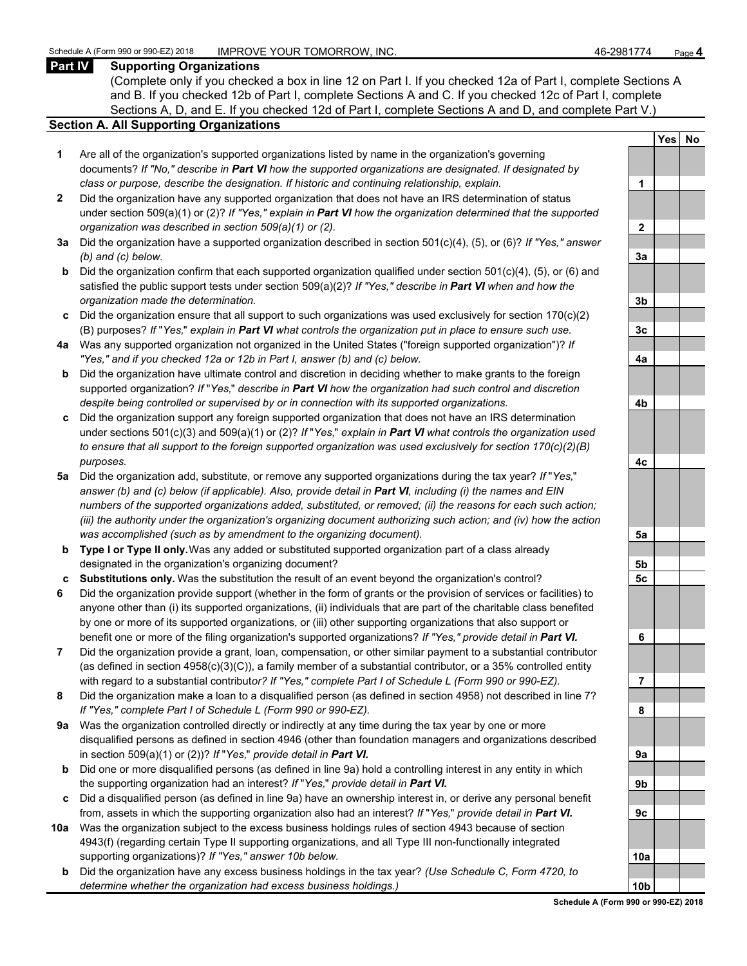#### **Part IV Supporting Organizations**

(Complete only if you checked a box in line 12 on Part I. If you checked 12a of Part I, complete Sections A and B. If you checked 12b of Part I, complete Sections A and C. If you checked 12c of Part I, complete Sections A, D, and E. If you checked 12d of Part I, complete Sections A and D, and complete Part V.)

#### **Section A. All Supporting Organizations**

- **1** Are all of the organization's supported organizations listed by name in the organization's governing documents? *If "No," describe in Part VI how the supported organizations are designated. If designated by class or purpose, describe the designation. If historic and continuing relationship, explain.* **1**
- **2** Did the organization have any supported organization that does not have an IRS determination of status under section 509(a)(1) or (2)? *If "Yes," explain in Part VI how the organization determined that the supported organization was described in section 509(a)(1) or (2).*
- **3a** Did the organization have a supported organization described in section 501(c)(4), (5), or (6)? *If "Yes," answer (b) and (c) below.* **3a**
- **b** Did the organization confirm that each supported organization qualified under section 501(c)(4), (5), or (6) and satisfied the public support tests under section 509(a)(2)? *If "Yes," describe in Part VI when and how the organization made the determination.* **3b**
- **c** Did the organization ensure that all support to such organizations was used exclusively for section 170(c)(2) (B) purposes? *If* "*Yes,*" *explain in Part VI what controls the organization put in place to ensure such use.* **3c**
- **4a** Was any supported organization not organized in the United States ("foreign supported organization")? *If "Yes," and if you checked 12a or 12b in Part I, answer (b) and (c) below.* **4a**
- **b** Did the organization have ultimate control and discretion in deciding whether to make grants to the foreign supported organization? *If* "*Yes,*" *describe in Part VI how the organization had such control and discretion despite being controlled or supervised by or in connection with its supported organizations.* **4b**
- **c** Did the organization support any foreign supported organization that does not have an IRS determination under sections 501(c)(3) and 509(a)(1) or (2)? *If* "*Yes,*" *explain in Part VI what controls the organization used to ensure that all support to the foreign supported organization was used exclusively for section 170(c)(2)(B) purposes.* **4c**
- **5a** Did the organization add, substitute, or remove any supported organizations during the tax year? *If* "*Yes,*" *answer (b) and (c) below (if applicable). Also, provide detail in Part VI, including (i) the names and EIN numbers of the supported organizations added, substituted, or removed; (ii) the reasons for each such action; (iii) the authority under the organization's organizing document authorizing such action; and (iv) how the action was accomplished (such as by amendment to the organizing document).* **5a**
- **b Type I or Type II only.** Was any added or substituted supported organization part of a class already designated in the organization's organizing document? **5b**
- **c Substitutions only.** Was the substitution the result of an event beyond the organization's control? **5c**
- **6** Did the organization provide support (whether in the form of grants or the provision of services or facilities) to anyone other than (i) its supported organizations, (ii) individuals that are part of the charitable class benefited by one or more of its supported organizations, or (iii) other supporting organizations that also support or benefit one or more of the filing organization's supported organizations? *If "Yes," provide detail in Part VI.* **6**
- **7** Did the organization provide a grant, loan, compensation, or other similar payment to a substantial contributor (as defined in section 4958(c)(3)(C)), a family member of a substantial contributor, or a 35% controlled entity with regard to a substantial contribut*or? If "Yes," complete Part I of Schedule L (Form 990 or 990-EZ).* **7**
- **8** Did the organization make a loan to a disqualified person (as defined in section 4958) not described in line 7? *If "Yes," complete Part I of Schedule L (Form 990 or 990-EZ).* **8**
- **9a** Was the organization controlled directly or indirectly at any time during the tax year by one or more disqualified persons as defined in section 4946 (other than foundation managers and organizations described in section 509(a)(1) or (2))? *If* "*Yes*," *provide detail in Part VI.*
- **b** Did one or more disqualified persons (as defined in line 9a) hold a controlling interest in any entity in which the supporting organization had an interest? *If* "*Yes,*" *provide detail in Part VI.* **9b**
- **c** Did a disqualified person (as defined in line 9a) have an ownership interest in, or derive any personal benefit from, assets in which the supporting organization also had an interest? *If* "*Yes,*" *provide detail in Part VI.* **9c**
- **10a** Was the organization subject to the excess business holdings rules of section 4943 because of section 4943(f) (regarding certain Type II supporting organizations, and all Type III non-functionally integrated supporting organizations)? If "Yes," answer 10b below.
	- **b** Did the organization have any excess business holdings in the tax year? *(Use Schedule C, Form 4720, to determine whether the organization had excess business holdings.)* **10b**

|                | Yes<br>$\overline{\phantom{a}}$ | <u>No</u> |
|----------------|---------------------------------|-----------|
|                |                                 |           |
| 1              |                                 |           |
|                |                                 |           |
| $\overline{2}$ |                                 |           |
|                |                                 |           |
| 3a             |                                 |           |
|                |                                 |           |
| 3 <sub>b</sub> |                                 |           |
|                |                                 |           |
| 3c             |                                 |           |
|                |                                 |           |
| 4a             |                                 |           |
|                |                                 |           |
| 4b             |                                 |           |
|                |                                 |           |
| 4c             |                                 |           |
|                |                                 |           |
| 5a             |                                 |           |
| 5 <sub>b</sub> |                                 |           |
| 5 <u>c</u>     |                                 |           |
|                |                                 |           |
| 6              |                                 |           |
|                |                                 |           |
| j<br>7         |                                 |           |
| 8              |                                 |           |
|                |                                 |           |
| 9а             |                                 |           |
|                |                                 |           |
| 9b             |                                 |           |
| 9с             |                                 |           |
|                |                                 |           |
| 10a            |                                 |           |
| ı              |                                 |           |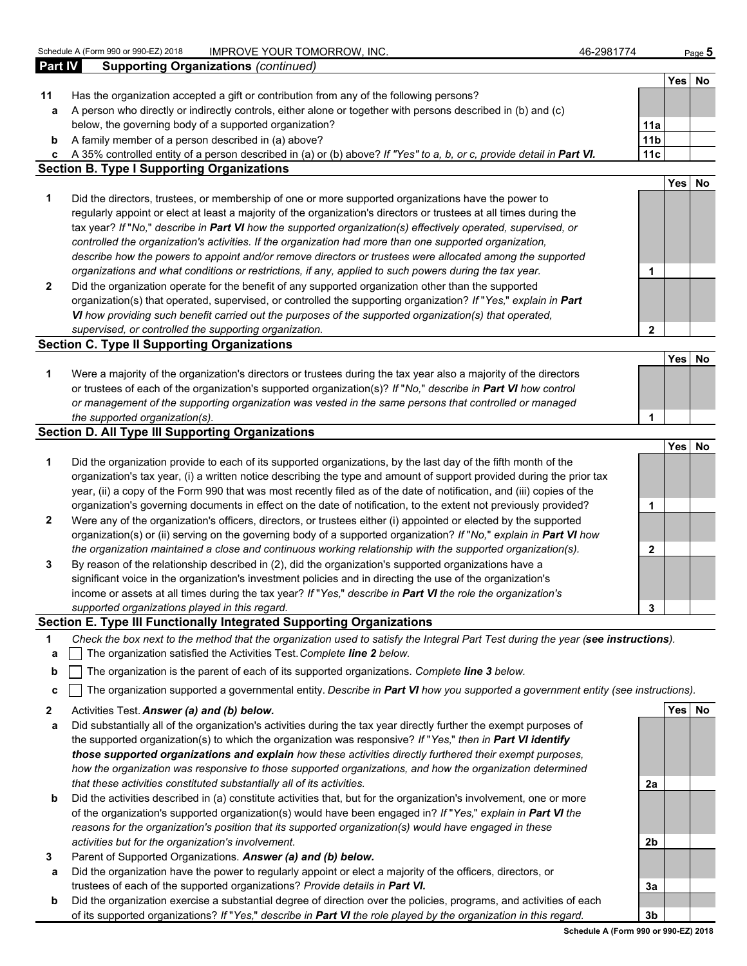**Part IV Supporting Organizations** *(continued)*

| 46-2981774 |  |
|------------|--|
|            |  |

| Part IV      | supporting Urganizations ( <i>commuta)</i>                                                                                        |                 |            |           |
|--------------|-----------------------------------------------------------------------------------------------------------------------------------|-----------------|------------|-----------|
|              |                                                                                                                                   |                 | Yesl       | No        |
| 11           | Has the organization accepted a gift or contribution from any of the following persons?                                           |                 |            |           |
| a            | A person who directly or indirectly controls, either alone or together with persons described in (b) and (c)                      |                 |            |           |
|              | below, the governing body of a supported organization?                                                                            | 11a             |            |           |
| b            | A family member of a person described in (a) above?                                                                               | 11 <sub>b</sub> |            |           |
| c            | A 35% controlled entity of a person described in (a) or (b) above? If "Yes" to a, b, or c, provide detail in Part VI.             | 11c             |            |           |
|              | <b>Section B. Type I Supporting Organizations</b>                                                                                 |                 |            |           |
|              |                                                                                                                                   |                 | <b>Yes</b> | <b>No</b> |
| 1            | Did the directors, trustees, or membership of one or more supported organizations have the power to                               |                 |            |           |
|              | regularly appoint or elect at least a majority of the organization's directors or trustees at all times during the                |                 |            |           |
|              | tax year? If "No," describe in Part VI how the supported organization(s) effectively operated, supervised, or                     |                 |            |           |
|              | controlled the organization's activities. If the organization had more than one supported organization,                           |                 |            |           |
|              | describe how the powers to appoint and/or remove directors or trustees were allocated among the supported                         |                 |            |           |
|              | organizations and what conditions or restrictions, if any, applied to such powers during the tax year.                            | 1               |            |           |
| $\mathbf{2}$ | Did the organization operate for the benefit of any supported organization other than the supported                               |                 |            |           |
|              | organization(s) that operated, supervised, or controlled the supporting organization? If "Yes," explain in Part                   |                 |            |           |
|              | VI how providing such benefit carried out the purposes of the supported organization(s) that operated,                            |                 |            |           |
|              | supervised, or controlled the supporting organization.                                                                            | $\mathbf{2}$    |            |           |
|              | <b>Section C. Type II Supporting Organizations</b>                                                                                |                 |            |           |
|              |                                                                                                                                   |                 | Yes        | <b>No</b> |
| 1            | Were a majority of the organization's directors or trustees during the tax year also a majority of the directors                  |                 |            |           |
|              | or trustees of each of the organization's supported organization(s)? If "No," describe in Part VI how control                     |                 |            |           |
|              | or management of the supporting organization was vested in the same persons that controlled or managed                            |                 |            |           |
|              | the supported organization(s).                                                                                                    | 1               |            |           |
|              | <b>Section D. All Type III Supporting Organizations</b>                                                                           |                 |            |           |
|              |                                                                                                                                   |                 | Yes        | <b>No</b> |
| 1            | Did the organization provide to each of its supported organizations, by the last day of the fifth month of the                    |                 |            |           |
|              | organization's tax year, (i) a written notice describing the type and amount of support provided during the prior tax             |                 |            |           |
|              | year, (ii) a copy of the Form 990 that was most recently filed as of the date of notification, and (iii) copies of the            |                 |            |           |
|              | organization's governing documents in effect on the date of notification, to the extent not previously provided?                  | 1               |            |           |
| $\mathbf{2}$ | Were any of the organization's officers, directors, or trustees either (i) appointed or elected by the supported                  |                 |            |           |
|              | organization(s) or (ii) serving on the governing body of a supported organization? If "No," explain in Part VI how                |                 |            |           |
|              | the organization maintained a close and continuous working relationship with the supported organization(s).                       | $\mathbf{2}$    |            |           |
| 3            | By reason of the relationship described in (2), did the organization's supported organizations have a                             |                 |            |           |
|              | significant voice in the organization's investment policies and in directing the use of the organization's                        |                 |            |           |
|              | income or assets at all times during the tax year? If "Yes," describe in Part VI the role the organization's                      |                 |            |           |
|              | supported organizations played in this regard.                                                                                    | 3               |            |           |
|              | Section E. Type III Functionally Integrated Supporting Organizations                                                              |                 |            |           |
| 1            | Check the box next to the method that the organization used to satisfy the Integral Part Test during the year (see instructions). |                 |            |           |
| a            | The organization satisfied the Activities Test. Complete line 2 below.                                                            |                 |            |           |
|              | $\mathbf{h}$   The examization is the parent of each of its supported examizations. Complete line 2 below                         |                 |            |           |

- **b** The organization is the parent of each of its supported organizations. *Complete line 3 below.*
- **c** The organization supported a governmental entity. *Describe in Part VI how you supported a government entity (see instructions).*
- **2** Activities Test. *Answer (a) and (b) below.* **Yes No**
- **a** Did substantially all of the organization's activities during the tax year directly further the exempt purposes of the supported organization(s) to which the organization was responsive? *If* "*Yes,*" *then in Part VI identify those supported organizations and explain how these activities directly furthered their exempt purposes, how the organization was responsive to those supported organizations, and how the organization determined that these activities constituted substantially all of its activities.* **2a**
- **b** Did the activities described in (a) constitute activities that, but for the organization's involvement, one or more of the organization's supported organization(s) would have been engaged in? *If* "*Yes,*" *explain in Part VI the reasons for the organization's position that its supported organization(s) would have engaged in these activities but for the organization's involvement.* **2b**
- **3** Parent of Supported Organizations. *Answer (a) and (b) below.*
- **a** Did the organization have the power to regularly appoint or elect a majority of the officers, directors, or trustees of each of the supported organizations? *Provide details in Part VI.* **3a**
- **b** Did the organization exercise a substantial degree of direction over the policies, programs, and activities of each of its supported organizations? *If* "*Yes,*" *describe in Part VI the role played by the organization in this regard.* **3b**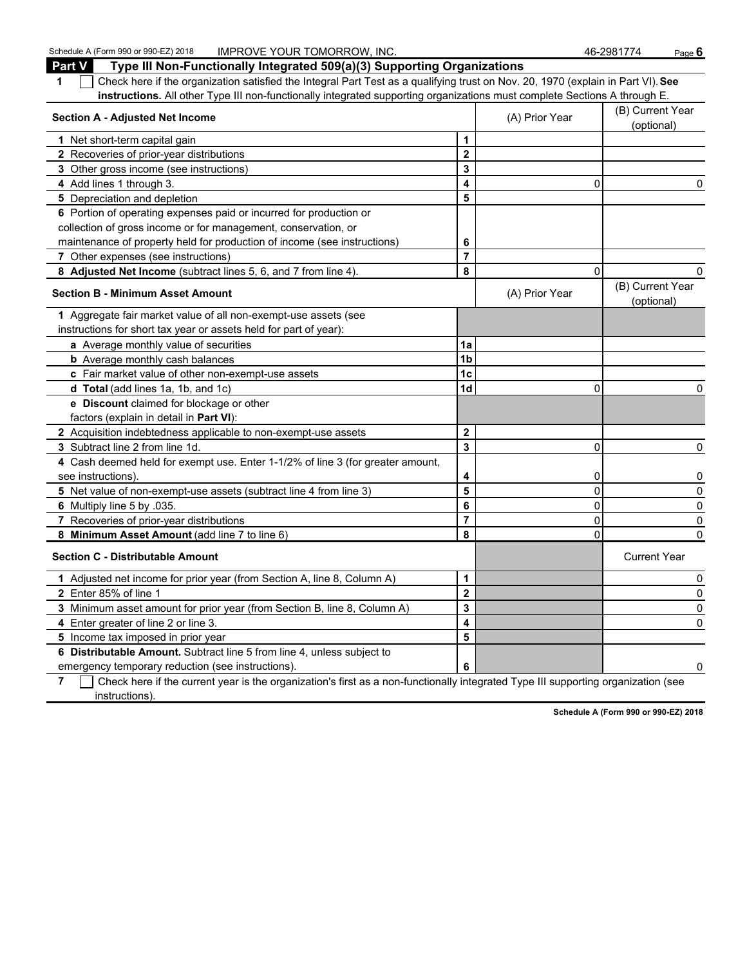Schedule A (Form 990 or 990-EZ) 2018 **IMPROVE YOUR TOMORROW, INC.** 46-2981774 Page 6

| <b>Part V</b><br>Type III Non-Functionally Integrated 509(a)(3) Supporting Organizations                                         |                         |                |                                |
|----------------------------------------------------------------------------------------------------------------------------------|-------------------------|----------------|--------------------------------|
| Check here if the organization satisfied the Integral Part Test as a qualifying trust on Nov. 20, 1970 (explain in Part VI). See |                         |                |                                |
| instructions. All other Type III non-functionally integrated supporting organizations must complete Sections A through E.        |                         |                |                                |
| <b>Section A - Adjusted Net Income</b>                                                                                           |                         | (A) Prior Year | (B) Current Year<br>(optional) |
| 1 Net short-term capital gain                                                                                                    | 1                       |                |                                |
| 2 Recoveries of prior-year distributions                                                                                         | $\overline{\mathbf{2}}$ |                |                                |
| 3 Other gross income (see instructions)                                                                                          | 3                       |                |                                |
| 4 Add lines 1 through 3.                                                                                                         | 4                       | 0              |                                |
| 5 Depreciation and depletion                                                                                                     | 5                       |                |                                |
| 6 Portion of operating expenses paid or incurred for production or                                                               |                         |                |                                |
| collection of gross income or for management, conservation, or                                                                   |                         |                |                                |
| maintenance of property held for production of income (see instructions)                                                         | 6                       |                |                                |
| 7 Other expenses (see instructions)                                                                                              | $\overline{7}$          |                |                                |
| 8 Adjusted Net Income (subtract lines 5, 6, and 7 from line 4).                                                                  | 8                       | 0              |                                |
| <b>Section B - Minimum Asset Amount</b>                                                                                          |                         | (A) Prior Year | (B) Current Year<br>(optional) |
| 1 Aggregate fair market value of all non-exempt-use assets (see                                                                  |                         |                |                                |
| instructions for short tax year or assets held for part of year):                                                                |                         |                |                                |
| a Average monthly value of securities                                                                                            | 1a                      |                |                                |
| <b>b</b> Average monthly cash balances                                                                                           | 1 <sub>b</sub>          |                |                                |
| c Fair market value of other non-exempt-use assets                                                                               | 1c                      |                |                                |
| d Total (add lines 1a, 1b, and 1c)                                                                                               | 1d                      | 0              | 0                              |
| e Discount claimed for blockage or other                                                                                         |                         |                |                                |
| factors (explain in detail in Part VI):                                                                                          |                         |                |                                |
| 2 Acquisition indebtedness applicable to non-exempt-use assets                                                                   | $\boldsymbol{2}$        |                |                                |
| 3 Subtract line 2 from line 1d.                                                                                                  | 3                       | $\Omega$       | 0                              |
| 4 Cash deemed held for exempt use. Enter 1-1/2% of line 3 (for greater amount,                                                   |                         |                |                                |
| see instructions)                                                                                                                | 4                       | 0              | 0                              |
| 5 Net value of non-exempt-use assets (subtract line 4 from line 3)                                                               | 5                       | $\mathsf 0$    | 0                              |
| 6 Multiply line 5 by .035.                                                                                                       | 6                       | $\mathbf 0$    | $\pmb{0}$                      |
| 7 Recoveries of prior-year distributions                                                                                         | $\overline{7}$          | 0              | 0                              |
| 8 Minimum Asset Amount (add line 7 to line 6)                                                                                    | 8                       | $\Omega$       | $\mathbf{0}$                   |
| <b>Section C - Distributable Amount</b>                                                                                          |                         |                | <b>Current Year</b>            |
| 1 Adjusted net income for prior year (from Section A, line 8, Column A)                                                          | 1                       |                | 0                              |
| 2 Enter 85% of line 1                                                                                                            | $\mathbf{2}$            |                | 0                              |
| 3 Minimum asset amount for prior year (from Section B, line 8, Column A)                                                         | 3                       |                | 0                              |
| 4 Enter greater of line 2 or line 3.                                                                                             | 4                       |                | 0                              |
| 5 Income tax imposed in prior year                                                                                               | 5                       |                |                                |
| 6 Distributable Amount. Subtract line 5 from line 4, unless subject to                                                           |                         |                |                                |
| emergency temporary reduction (see instructions).                                                                                | 6                       |                | 0                              |
|                                                                                                                                  |                         |                |                                |

**7** Check here if the current year is the organization's first as a non-functionally integrated Type III supporting organization (see instructions).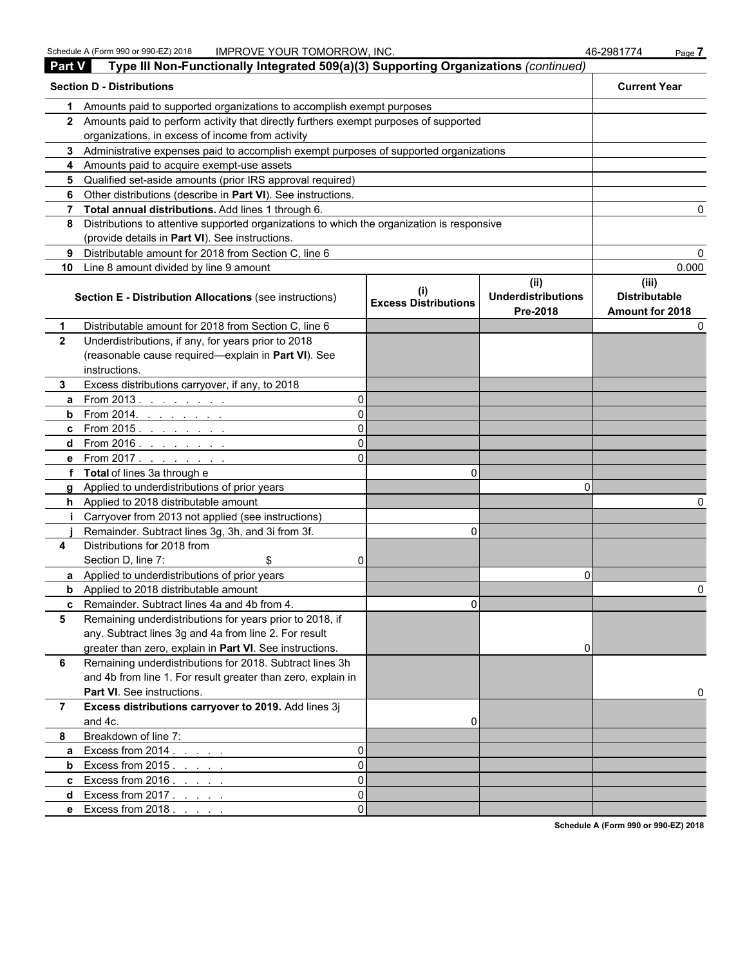| <b>Part V</b>  | Type III Non-Functionally Integrated 509(a)(3) Supporting Organizations (continued)                                                           |                             |                                   |                               |
|----------------|-----------------------------------------------------------------------------------------------------------------------------------------------|-----------------------------|-----------------------------------|-------------------------------|
|                | <b>Section D - Distributions</b>                                                                                                              |                             |                                   | <b>Current Year</b>           |
| 1              | Amounts paid to supported organizations to accomplish exempt purposes                                                                         |                             |                                   |                               |
|                | 2 Amounts paid to perform activity that directly furthers exempt purposes of supported                                                        |                             |                                   |                               |
|                | organizations, in excess of income from activity                                                                                              |                             |                                   |                               |
|                | 3 Administrative expenses paid to accomplish exempt purposes of supported organizations                                                       |                             |                                   |                               |
|                | 4 Amounts paid to acquire exempt-use assets                                                                                                   |                             |                                   |                               |
|                | 5 Qualified set-aside amounts (prior IRS approval required)                                                                                   |                             |                                   |                               |
|                | 6 Other distributions (describe in Part VI). See instructions.                                                                                |                             |                                   |                               |
|                | 7 Total annual distributions. Add lines 1 through 6.                                                                                          |                             |                                   |                               |
| 8              | Distributions to attentive supported organizations to which the organization is responsive<br>(provide details in Part VI). See instructions. |                             |                                   |                               |
| 9              | Distributable amount for 2018 from Section C, line 6                                                                                          |                             |                                   |                               |
|                | 10 Line 8 amount divided by line 9 amount                                                                                                     |                             |                                   | 0.000                         |
|                | Section E - Distribution Allocations (see instructions)                                                                                       | <b>Excess Distributions</b> | (ii)<br><b>Underdistributions</b> | (iii)<br><b>Distributable</b> |
| 1              | Distributable amount for 2018 from Section C, line 6                                                                                          |                             | Pre-2018                          | Amount for 2018               |
| $\mathbf{2}$   | Underdistributions, if any, for years prior to 2018                                                                                           |                             |                                   |                               |
|                | (reasonable cause required-explain in Part VI). See                                                                                           |                             |                                   |                               |
|                | instructions.                                                                                                                                 |                             |                                   |                               |
| 3.             | Excess distributions carryover, if any, to 2018                                                                                               |                             |                                   |                               |
| a              | From 2013. $\ldots$<br>ΩI                                                                                                                     |                             |                                   |                               |
|                | <b>b</b> From 2014. <u>.</u><br>ΩI                                                                                                            |                             |                                   |                               |
|                | ΩI<br>c From 2015. <u>.</u>                                                                                                                   |                             |                                   |                               |
|                | d From 2016. <u>.</u><br>ΩI                                                                                                                   |                             |                                   |                               |
|                | e From 2017.<br>ΩI                                                                                                                            |                             |                                   |                               |
|                | f Total of lines 3a through e                                                                                                                 | 0                           |                                   |                               |
|                | g Applied to underdistributions of prior years                                                                                                |                             | n                                 |                               |
|                | h Applied to 2018 distributable amount                                                                                                        |                             |                                   |                               |
|                | Carryover from 2013 not applied (see instructions)                                                                                            |                             |                                   |                               |
|                | Remainder. Subtract lines 3g, 3h, and 3i from 3f.                                                                                             | 0                           |                                   |                               |
| 4              | Distributions for 2018 from                                                                                                                   |                             |                                   |                               |
|                | Section D, line 7:<br>\$<br>01                                                                                                                |                             |                                   |                               |
|                | a Applied to underdistributions of prior years                                                                                                |                             | 0                                 |                               |
|                | <b>b</b> Applied to 2018 distributable amount                                                                                                 |                             |                                   |                               |
|                | c Remainder. Subtract lines 4a and 4b from 4                                                                                                  | U.                          |                                   |                               |
| 5              | Remaining underdistributions for years prior to 2018, if                                                                                      |                             |                                   |                               |
|                | any. Subtract lines 3g and 4a from line 2. For result                                                                                         |                             |                                   |                               |
|                | greater than zero, explain in Part VI. See instructions.                                                                                      |                             | 0                                 |                               |
| 6              | Remaining underdistributions for 2018. Subtract lines 3h                                                                                      |                             |                                   |                               |
|                | and 4b from line 1. For result greater than zero, explain in                                                                                  |                             |                                   |                               |
|                | Part VI. See instructions.                                                                                                                    |                             |                                   |                               |
| $\overline{7}$ | Excess distributions carryover to 2019. Add lines 3j                                                                                          |                             |                                   |                               |
|                | and 4c.                                                                                                                                       | 0                           |                                   |                               |
| 8              | Breakdown of line 7:                                                                                                                          |                             |                                   |                               |
| a              | Excess from $2014.$ $\ldots$ $\ldots$<br>$\Omega$                                                                                             |                             |                                   |                               |
| b              | Excess from $2015$ .<br>$\Omega$                                                                                                              |                             |                                   |                               |
|                | c Excess from $2016.$ $\ldots$ $\ldots$<br>$\Omega$                                                                                           |                             |                                   |                               |
| d              | Excess from 2017.<br>$\Omega$                                                                                                                 |                             |                                   |                               |
|                | e Excess from 2018.<br>$\Omega$                                                                                                               |                             |                                   |                               |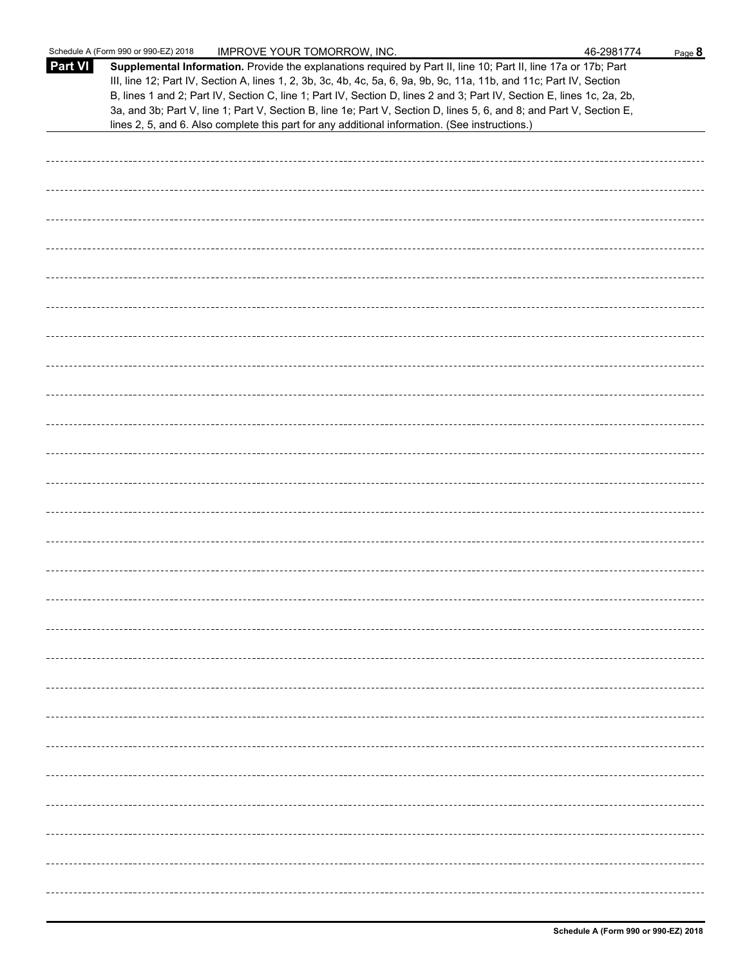|                | Schedule A (Form 990 or 990-EZ) 2018<br><b>IMPROVE YOUR TOMORROW, INC.</b>                                                                                                                                                                                                                                                                                                                                                                                                                                                                                                                  | 46-2981774 | Page 8 |
|----------------|---------------------------------------------------------------------------------------------------------------------------------------------------------------------------------------------------------------------------------------------------------------------------------------------------------------------------------------------------------------------------------------------------------------------------------------------------------------------------------------------------------------------------------------------------------------------------------------------|------------|--------|
| <b>Part VI</b> | Supplemental Information. Provide the explanations required by Part II, line 10; Part II, line 17a or 17b; Part<br>III, line 12; Part IV, Section A, lines 1, 2, 3b, 3c, 4b, 4c, 5a, 6, 9a, 9b, 9c, 11a, 11b, and 11c; Part IV, Section<br>B, lines 1 and 2; Part IV, Section C, line 1; Part IV, Section D, lines 2 and 3; Part IV, Section E, lines 1c, 2a, 2b,<br>3a, and 3b; Part V, line 1; Part V, Section B, line 1e; Part V, Section D, lines 5, 6, and 8; and Part V, Section E,<br>lines 2, 5, and 6. Also complete this part for any additional information. (See instructions.) |            |        |
|                |                                                                                                                                                                                                                                                                                                                                                                                                                                                                                                                                                                                             |            |        |
|                |                                                                                                                                                                                                                                                                                                                                                                                                                                                                                                                                                                                             |            |        |
|                |                                                                                                                                                                                                                                                                                                                                                                                                                                                                                                                                                                                             |            |        |
|                |                                                                                                                                                                                                                                                                                                                                                                                                                                                                                                                                                                                             |            |        |
|                |                                                                                                                                                                                                                                                                                                                                                                                                                                                                                                                                                                                             |            |        |
|                |                                                                                                                                                                                                                                                                                                                                                                                                                                                                                                                                                                                             |            |        |
|                |                                                                                                                                                                                                                                                                                                                                                                                                                                                                                                                                                                                             |            |        |
|                |                                                                                                                                                                                                                                                                                                                                                                                                                                                                                                                                                                                             |            |        |
|                |                                                                                                                                                                                                                                                                                                                                                                                                                                                                                                                                                                                             |            |        |
|                |                                                                                                                                                                                                                                                                                                                                                                                                                                                                                                                                                                                             |            |        |
|                |                                                                                                                                                                                                                                                                                                                                                                                                                                                                                                                                                                                             |            |        |
|                |                                                                                                                                                                                                                                                                                                                                                                                                                                                                                                                                                                                             |            |        |
|                |                                                                                                                                                                                                                                                                                                                                                                                                                                                                                                                                                                                             |            |        |
|                |                                                                                                                                                                                                                                                                                                                                                                                                                                                                                                                                                                                             |            |        |
|                |                                                                                                                                                                                                                                                                                                                                                                                                                                                                                                                                                                                             |            |        |
|                |                                                                                                                                                                                                                                                                                                                                                                                                                                                                                                                                                                                             |            |        |
|                |                                                                                                                                                                                                                                                                                                                                                                                                                                                                                                                                                                                             |            |        |
|                |                                                                                                                                                                                                                                                                                                                                                                                                                                                                                                                                                                                             |            |        |
|                |                                                                                                                                                                                                                                                                                                                                                                                                                                                                                                                                                                                             |            |        |
|                |                                                                                                                                                                                                                                                                                                                                                                                                                                                                                                                                                                                             |            |        |
|                |                                                                                                                                                                                                                                                                                                                                                                                                                                                                                                                                                                                             |            |        |
|                |                                                                                                                                                                                                                                                                                                                                                                                                                                                                                                                                                                                             |            |        |
|                |                                                                                                                                                                                                                                                                                                                                                                                                                                                                                                                                                                                             |            |        |
|                |                                                                                                                                                                                                                                                                                                                                                                                                                                                                                                                                                                                             |            |        |
|                |                                                                                                                                                                                                                                                                                                                                                                                                                                                                                                                                                                                             |            |        |
|                |                                                                                                                                                                                                                                                                                                                                                                                                                                                                                                                                                                                             |            |        |
|                |                                                                                                                                                                                                                                                                                                                                                                                                                                                                                                                                                                                             |            |        |
|                |                                                                                                                                                                                                                                                                                                                                                                                                                                                                                                                                                                                             |            |        |
|                |                                                                                                                                                                                                                                                                                                                                                                                                                                                                                                                                                                                             |            |        |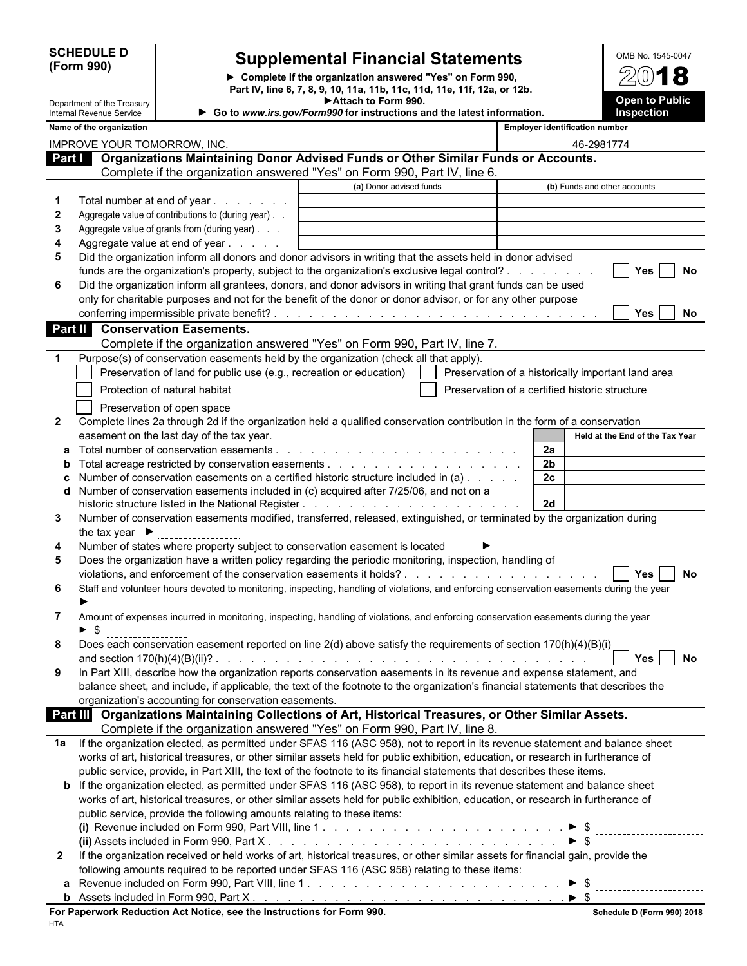| <b>SCHEDULE D</b> |  |
|-------------------|--|
| (Form 990)        |  |

# **Supplemental Financial Statements**

**Complete if the organization answered "Yes" on Form 990, Part IV, line 6, 7, 8, 9, 10, 11a, 11b, 11c, 11d, 11e, 11f, 12a, or 12b. Attach to Form 990.**

| OMB No. 1545-0047                   |
|-------------------------------------|
| 2018                                |
| <b>Open to Public</b><br>Inspection |

|              | Department of the Treasury<br>Internal Revenue Service                                                                                                | ► Attach to Form 990.<br>Go to www.irs.gov/Form990 for instructions and the latest information. |                                                    |                |                                       | <b>Open to Public</b><br><b>Inspection</b> |
|--------------|-------------------------------------------------------------------------------------------------------------------------------------------------------|-------------------------------------------------------------------------------------------------|----------------------------------------------------|----------------|---------------------------------------|--------------------------------------------|
|              | Name of the organization                                                                                                                              |                                                                                                 |                                                    |                | <b>Employer identification number</b> |                                            |
|              |                                                                                                                                                       |                                                                                                 |                                                    |                |                                       |                                            |
|              | IMPROVE YOUR TOMORROW, INC.<br>Part   Organizations Maintaining Donor Advised Funds or Other Similar Funds or Accounts.                               |                                                                                                 |                                                    |                | 46-2981774                            |                                            |
|              | Complete if the organization answered "Yes" on Form 990, Part IV, line 6.                                                                             |                                                                                                 |                                                    |                |                                       |                                            |
|              |                                                                                                                                                       | (a) Donor advised funds                                                                         |                                                    |                | (b) Funds and other accounts          |                                            |
|              | Total number at end of year                                                                                                                           |                                                                                                 |                                                    |                |                                       |                                            |
| $\mathbf{2}$ | Aggregate value of contributions to (during year). .                                                                                                  |                                                                                                 |                                                    |                |                                       |                                            |
| 3            | Aggregate value of grants from (during year)                                                                                                          |                                                                                                 |                                                    |                |                                       |                                            |
| 4            | Aggregate value at end of year                                                                                                                        |                                                                                                 |                                                    |                |                                       |                                            |
| 5            | Did the organization inform all donors and donor advisors in writing that the assets held in donor advised                                            |                                                                                                 |                                                    |                |                                       |                                            |
|              | funds are the organization's property, subject to the organization's exclusive legal control?                                                         |                                                                                                 |                                                    |                |                                       | <b>Yes</b><br>No                           |
| 6            | Did the organization inform all grantees, donors, and donor advisors in writing that grant funds can be used                                          |                                                                                                 |                                                    |                |                                       |                                            |
|              | only for charitable purposes and not for the benefit of the donor or donor advisor, or for any other purpose                                          |                                                                                                 |                                                    |                |                                       |                                            |
|              |                                                                                                                                                       |                                                                                                 |                                                    |                |                                       | <b>Yes</b><br>No.                          |
|              | <b>Conservation Easements.</b><br>Part II                                                                                                             |                                                                                                 |                                                    |                |                                       |                                            |
|              | Complete if the organization answered "Yes" on Form 990, Part IV, line 7.                                                                             |                                                                                                 |                                                    |                |                                       |                                            |
| $\mathbf 1$  | Purpose(s) of conservation easements held by the organization (check all that apply).                                                                 |                                                                                                 |                                                    |                |                                       |                                            |
|              | Preservation of land for public use (e.g., recreation or education)                                                                                   |                                                                                                 | Preservation of a historically important land area |                |                                       |                                            |
|              | Protection of natural habitat                                                                                                                         |                                                                                                 | Preservation of a certified historic structure     |                |                                       |                                            |
|              | Preservation of open space                                                                                                                            |                                                                                                 |                                                    |                |                                       |                                            |
| $\mathbf{2}$ | Complete lines 2a through 2d if the organization held a qualified conservation contribution in the form of a conservation                             |                                                                                                 |                                                    |                |                                       |                                            |
|              | easement on the last day of the tax year.                                                                                                             |                                                                                                 |                                                    |                |                                       | Held at the End of the Tax Year            |
|              | Total number of conservation easements.                                                                                                               |                                                                                                 |                                                    | 2a             |                                       |                                            |
|              |                                                                                                                                                       |                                                                                                 |                                                    | 2 <sub>b</sub> |                                       |                                            |
|              | Number of conservation easements on a certified historic structure included in (a)                                                                    |                                                                                                 |                                                    | 2 <sub>c</sub> |                                       |                                            |
| d            | Number of conservation easements included in (c) acquired after 7/25/06, and not on a                                                                 |                                                                                                 |                                                    |                |                                       |                                            |
|              |                                                                                                                                                       |                                                                                                 |                                                    | 2d             |                                       |                                            |
| 3            | Number of conservation easements modified, transferred, released, extinguished, or terminated by the organization during                              |                                                                                                 |                                                    |                |                                       |                                            |
|              | the tax year $\blacktriangleright$                                                                                                                    |                                                                                                 |                                                    |                |                                       |                                            |
| 4            | Number of states where property subject to conservation easement is located                                                                           |                                                                                                 |                                                    |                |                                       |                                            |
| 5            | Does the organization have a written policy regarding the periodic monitoring, inspection, handling of                                                |                                                                                                 |                                                    |                |                                       |                                            |
|              |                                                                                                                                                       |                                                                                                 |                                                    |                |                                       | No<br><b>Yes</b>                           |
| 6            | Staff and volunteer hours devoted to monitoring, inspecting, handling of violations, and enforcing conservation easements during the year             |                                                                                                 |                                                    |                |                                       |                                            |
| 7            | Amount of expenses incurred in monitoring, inspecting, handling of violations, and enforcing conservation easements during the year                   |                                                                                                 |                                                    |                |                                       |                                            |
|              | - \$                                                                                                                                                  |                                                                                                 |                                                    |                |                                       |                                            |
|              | Does each conservation easement reported on line 2(d) above satisfy the requirements of section 170(h)(4)(B)(i)                                       |                                                                                                 |                                                    |                |                                       |                                            |
|              |                                                                                                                                                       |                                                                                                 |                                                    |                |                                       | Yes I<br>No                                |
| 9            | In Part XIII, describe how the organization reports conservation easements in its revenue and expense statement, and                                  |                                                                                                 |                                                    |                |                                       |                                            |
|              | balance sheet, and include, if applicable, the text of the footnote to the organization's financial statements that describes the                     |                                                                                                 |                                                    |                |                                       |                                            |
|              | organization's accounting for conservation easements.                                                                                                 |                                                                                                 |                                                    |                |                                       |                                            |
|              | Part III Organizations Maintaining Collections of Art, Historical Treasures, or Other Similar Assets.                                                 |                                                                                                 |                                                    |                |                                       |                                            |
|              | Complete if the organization answered "Yes" on Form 990, Part IV, line 8.                                                                             |                                                                                                 |                                                    |                |                                       |                                            |
| 1a           | If the organization elected, as permitted under SFAS 116 (ASC 958), not to report in its revenue statement and balance sheet                          |                                                                                                 |                                                    |                |                                       |                                            |
|              | works of art, historical treasures, or other similar assets held for public exhibition, education, or research in furtherance of                      |                                                                                                 |                                                    |                |                                       |                                            |
|              | public service, provide, in Part XIII, the text of the footnote to its financial statements that describes these items.                               |                                                                                                 |                                                    |                |                                       |                                            |
|              | <b>b</b> If the organization elected, as permitted under SFAS 116 (ASC 958), to report in its revenue statement and balance sheet                     |                                                                                                 |                                                    |                |                                       |                                            |
|              | works of art, historical treasures, or other similar assets held for public exhibition, education, or research in furtherance of                      |                                                                                                 |                                                    |                |                                       |                                            |
|              | public service, provide the following amounts relating to these items:                                                                                |                                                                                                 |                                                    |                |                                       |                                            |
|              |                                                                                                                                                       |                                                                                                 |                                                    |                |                                       |                                            |
|              | (ii) Assets included in Form 990, Part X. $\ldots$ , $\ldots$ , $\ldots$ , $\ldots$ , $\ldots$ , $\ldots$ , $\ldots$ , $\ldots$ , $\ldots$ , $\ldots$ |                                                                                                 |                                                    |                | $\triangleright$ \$                   | ----------------------                     |
| 2            | If the organization received or held works of art, historical treasures, or other similar assets for financial gain, provide the                      |                                                                                                 |                                                    |                |                                       |                                            |
|              | following amounts required to be reported under SFAS 116 (ASC 958) relating to these items:                                                           |                                                                                                 |                                                    |                |                                       |                                            |
|              |                                                                                                                                                       |                                                                                                 |                                                    |                |                                       |                                            |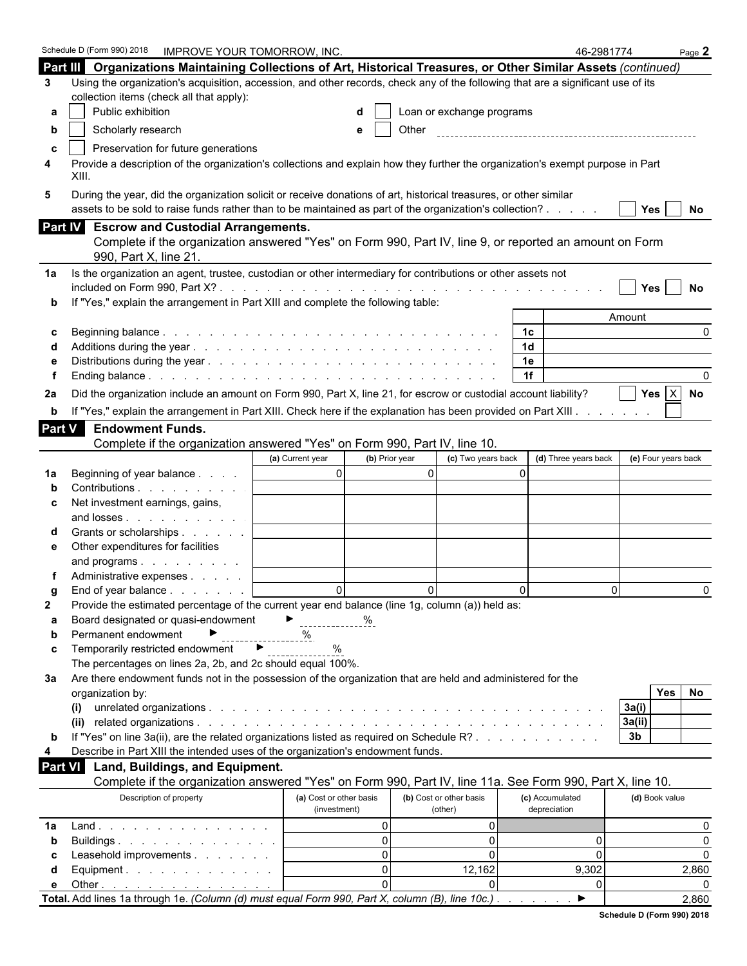|                | Schedule D (Form 990) 2018<br><b>IMPROVE YOUR TOMORROW, INC.</b>                                                                 |                                    |                           |                      | 46-2981774          | Page $2$     |
|----------------|----------------------------------------------------------------------------------------------------------------------------------|------------------------------------|---------------------------|----------------------|---------------------|--------------|
|                | Part III Organizations Maintaining Collections of Art, Historical Treasures, or Other Similar Assets (continued)                 |                                    |                           |                      |                     |              |
| 3              | Using the organization's acquisition, accession, and other records, check any of the following that are a significant use of its |                                    |                           |                      |                     |              |
|                | collection items (check all that apply):                                                                                         |                                    |                           |                      |                     |              |
| а              | Public exhibition                                                                                                                |                                    | Loan or exchange programs |                      |                     |              |
| b              | Scholarly research                                                                                                               | е                                  | Other                     |                      |                     |              |
| C              | Preservation for future generations                                                                                              |                                    |                           |                      |                     |              |
| 4              | Provide a description of the organization's collections and explain how they further the organization's exempt purpose in Part   |                                    |                           |                      |                     |              |
|                | XIII.                                                                                                                            |                                    |                           |                      |                     |              |
| 5              | During the year, did the organization solicit or receive donations of art, historical treasures, or other similar                |                                    |                           |                      |                     |              |
|                | assets to be sold to raise funds rather than to be maintained as part of the organization's collection?                          |                                    |                           |                      | Yes                 | No           |
|                | Part IV Escrow and Custodial Arrangements.                                                                                       |                                    |                           |                      |                     |              |
|                | Complete if the organization answered "Yes" on Form 990, Part IV, line 9, or reported an amount on Form                          |                                    |                           |                      |                     |              |
|                | 990, Part X, line 21                                                                                                             |                                    |                           |                      |                     |              |
| 1a             | Is the organization an agent, trustee, custodian or other intermediary for contributions or other assets not                     |                                    |                           |                      |                     |              |
|                |                                                                                                                                  |                                    |                           |                      | <b>Yes</b>          | No           |
|                | If "Yes," explain the arrangement in Part XIII and complete the following table:                                                 |                                    |                           |                      |                     |              |
|                |                                                                                                                                  |                                    |                           |                      | Amount              |              |
| c              |                                                                                                                                  |                                    |                           | 1с.                  |                     | <sup>0</sup> |
|                |                                                                                                                                  |                                    |                           | 1 <sub>d</sub>       |                     |              |
|                |                                                                                                                                  |                                    |                           | 1e                   |                     |              |
|                |                                                                                                                                  |                                    |                           | 1f                   |                     |              |
| 2a             | Did the organization include an amount on Form 990, Part X, line 21, for escrow or custodial account liability?                  |                                    |                           |                      | Yes $ X $           | No           |
| b              | If "Yes," explain the arrangement in Part XIII. Check here if the explanation has been provided on Part XIII.                    |                                    |                           |                      |                     |              |
| Part V         | <b>Endowment Funds.</b>                                                                                                          |                                    |                           |                      |                     |              |
|                | Complete if the organization answered "Yes" on Form 990, Part IV, line 10.                                                       |                                    |                           |                      |                     |              |
|                |                                                                                                                                  | (a) Current year<br>(b) Prior year | (c) Two years back        | (d) Three years back | (e) Four years back |              |
| 1a             | Beginning of year balance                                                                                                        | $\Omega$                           | $\Omega$                  | $\Omega$             |                     |              |
|                | Contributions                                                                                                                    |                                    |                           |                      |                     |              |
| c              | Net investment earnings, gains,                                                                                                  |                                    |                           |                      |                     |              |
|                | and losses                                                                                                                       |                                    |                           |                      |                     |              |
|                | Grants or scholarships                                                                                                           |                                    |                           |                      |                     |              |
| е              | Other expenditures for facilities                                                                                                |                                    |                           |                      |                     |              |
|                | and programs                                                                                                                     |                                    |                           |                      |                     |              |
|                | Administrative expenses                                                                                                          |                                    |                           |                      |                     |              |
|                | End of year balance $\ldots$ $\ldots$ $\ldots$                                                                                   | $\Omega$                           | $\Omega$                  | $\Omega$             | $\Omega$            |              |
| $\mathbf{2}$   | Provide the estimated percentage of the current year end balance (line 1g, column (a)) held as:                                  |                                    |                           |                      |                     |              |
| а              | Board designated or quasi-endowment                                                                                              | ▶.                                 |                           |                      |                     |              |
| b              | Permanent endowment<br>Temporarily restricted endowment ▶                                                                        | ℅                                  |                           |                      |                     |              |
| C              | The percentages on lines 2a, 2b, and 2c should equal 100%.                                                                       | $\%$                               |                           |                      |                     |              |
| За             | Are there endowment funds not in the possession of the organization that are held and administered for the                       |                                    |                           |                      |                     |              |
|                | organization by:                                                                                                                 |                                    |                           |                      | Yes                 | No           |
|                | (i)                                                                                                                              |                                    |                           |                      | 3a(i)               |              |
|                | (ii)                                                                                                                             |                                    |                           |                      | 3a(ii)              |              |
| b              | If "Yes" on line 3a(ii), are the related organizations listed as required on Schedule R?                                         |                                    |                           |                      | 3 <sub>b</sub>      |              |
| 4              | Describe in Part XIII the intended uses of the organization's endowment funds.                                                   |                                    |                           |                      |                     |              |
| <b>Part VI</b> | Land, Buildings, and Equipment.                                                                                                  |                                    |                           |                      |                     |              |
|                | Complete if the organization answered "Yes" on Form 990, Part IV, line 11a. See Form 990, Part X, line 10.                       |                                    |                           |                      |                     |              |
|                | Description of property                                                                                                          | (a) Cost or other basis            | (b) Cost or other basis   | (c) Accumulated      | (d) Book value      |              |
|                |                                                                                                                                  | (investment)                       | (other)                   | depreciation         |                     |              |
| 1a             | Land.                                                                                                                            | $\mathbf{0}$                       | 0                         |                      |                     | 0            |
| b              | Buildings                                                                                                                        | $\mathbf{0}$                       | $\Omega$                  | 0                    |                     | $\mathbf{0}$ |
| С              | Leasehold improvements                                                                                                           | $\Omega$                           | $\Omega$                  | 0                    |                     | $\Omega$     |
| d              | Equipment.                                                                                                                       | $\Omega$                           | 12,162                    | 9,302                |                     | 2,860        |
| е              | Other $\ldots$ $\ldots$ $\ldots$ $\ldots$ $\ldots$ $\ldots$                                                                      | $\Omega$                           |                           | 0                    |                     |              |
|                | Total. Add lines 1a through 1e. (Column (d) must equal Form 990, Part X, column (B), line 10c.).                                 |                                    |                           | ▶                    |                     | 2,860        |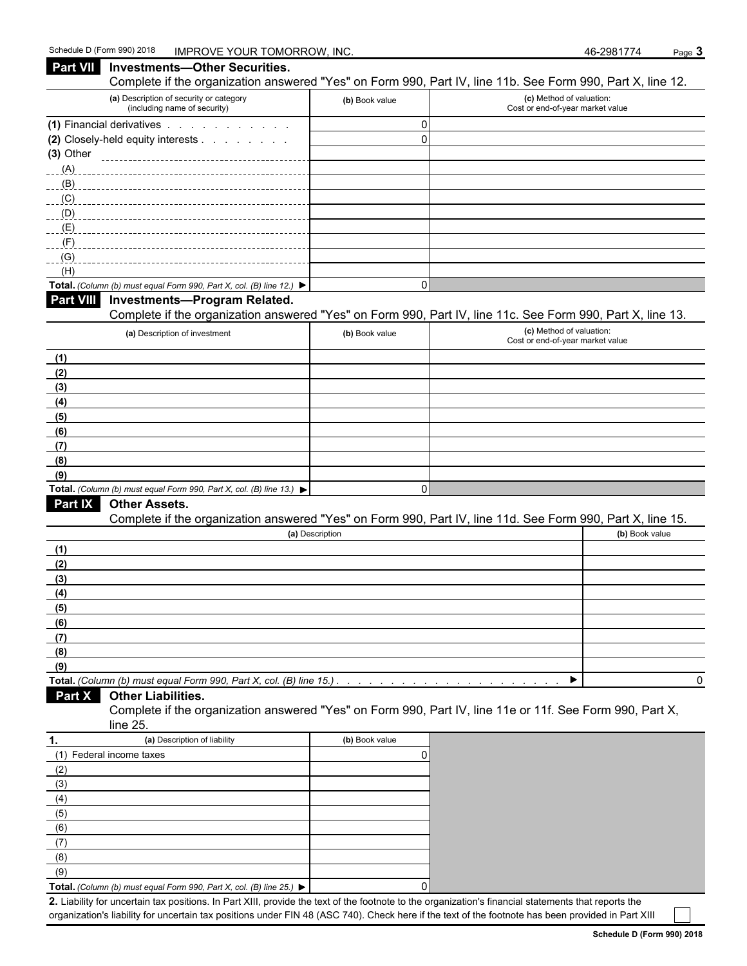(5) (6) (7) (8) (9)

**Total.** *(Column (b) must equal Form 990, Part X, col.* (*B) line 25.)* ▶ | (0)

**2.** Liability for uncertain tax positions. In Part XIII, provide the text of the footnote to the organization's financial statements that reports the organization's liability for uncertain tax positions under FIN 48 (ASC 740). Check here if the text of the footnote has been provided in Part XIII

| Part VII Investments-Other Securities.                                                   |                 | Complete if the organization answered "Yes" on Form 990, Part IV, line 11b. See Form 990, Part X, line 12. |
|------------------------------------------------------------------------------------------|-----------------|------------------------------------------------------------------------------------------------------------|
| (a) Description of security or category<br>(including name of security)                  | (b) Book value  | (c) Method of valuation:<br>Cost or end-of-year market value                                               |
| (1) Financial derivatives                                                                | $\mathbf 0$     |                                                                                                            |
| (2) Closely-held equity interests                                                        | $\mathbf 0$     |                                                                                                            |
| $(3)$ Other                                                                              |                 |                                                                                                            |
| (A)                                                                                      |                 |                                                                                                            |
|                                                                                          |                 |                                                                                                            |
| (C)                                                                                      |                 |                                                                                                            |
| (D)                                                                                      |                 |                                                                                                            |
| (E)                                                                                      |                 |                                                                                                            |
| (F)                                                                                      |                 |                                                                                                            |
| (G)                                                                                      |                 |                                                                                                            |
| (H)                                                                                      |                 |                                                                                                            |
| Total. (Column (b) must equal Form 990, Part X, col. (B) line 12.) $\blacktriangleright$ | $\pmb{0}$       |                                                                                                            |
| Part VIII<br><b>Investments-Program Related.</b>                                         |                 | Complete if the organization answered "Yes" on Form 990, Part IV, line 11c. See Form 990, Part X, line 13. |
| (a) Description of investment                                                            | (b) Book value  | (c) Method of valuation:<br>Cost or end-of-year market value                                               |
| (1)                                                                                      |                 |                                                                                                            |
| (2)                                                                                      |                 |                                                                                                            |
| (3)                                                                                      |                 |                                                                                                            |
| (4)                                                                                      |                 |                                                                                                            |
| (5)                                                                                      |                 |                                                                                                            |
| (6)                                                                                      |                 |                                                                                                            |
| (7)                                                                                      |                 |                                                                                                            |
| (8)                                                                                      |                 |                                                                                                            |
| (9)                                                                                      |                 |                                                                                                            |
| Total. (Column (b) must equal Form 990, Part X, col. (B) line 13.) $\blacktriangleright$ | $\mathbf 0$     |                                                                                                            |
| <b>Part IX</b><br><b>Other Assets.</b>                                                   |                 |                                                                                                            |
|                                                                                          |                 | Complete if the organization answered "Yes" on Form 990, Part IV, line 11d. See Form 990, Part X, line 15. |
|                                                                                          | (a) Description | (b) Book value                                                                                             |
| (1)                                                                                      |                 |                                                                                                            |
| (2)                                                                                      |                 |                                                                                                            |
| (3)                                                                                      |                 |                                                                                                            |
| (4)                                                                                      |                 |                                                                                                            |
| (5)                                                                                      |                 |                                                                                                            |
| (6)                                                                                      |                 |                                                                                                            |
| (7)                                                                                      |                 |                                                                                                            |
| (8)                                                                                      |                 |                                                                                                            |
| (9)                                                                                      |                 |                                                                                                            |
|                                                                                          |                 | ▶                                                                                                          |
| <b>Other Liabilities.</b><br>Part X                                                      |                 |                                                                                                            |
| line 25.                                                                                 |                 | Complete if the organization answered "Yes" on Form 990, Part IV, line 11e or 11f. See Form 990, Part X,   |
| (a) Description of liability<br>1.                                                       | (b) Book value  |                                                                                                            |
| (1) Federal income taxes                                                                 | 0               |                                                                                                            |
| (2)                                                                                      |                 |                                                                                                            |
| (3)                                                                                      |                 |                                                                                                            |
| (4)                                                                                      |                 |                                                                                                            |
|                                                                                          |                 |                                                                                                            |

**Schedule D (Form 990) 2018**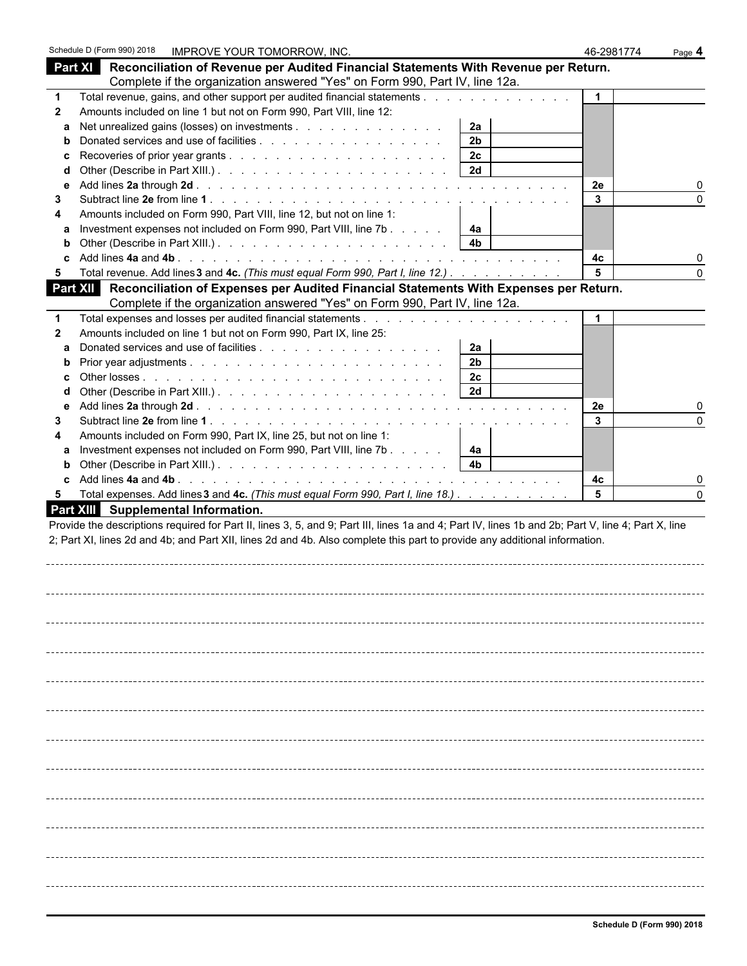| Part XI Reconciliation of Revenue per Audited Financial Statements With Revenue per Return.<br>Complete if the organization answered "Yes" on Form 990, Part IV, line 12a.<br>Total revenue, gains, and other support per audited financial statements<br>$\mathbf{1}$<br>Amounts included on line 1 but not on Form 990, Part VIII, line 12:<br>$\mathbf{2}$<br>Net unrealized gains (losses) on investments<br>2a<br>a<br>2 <sub>b</sub><br>b<br>2c<br>2d<br>d<br>2e<br>е<br>3<br>$\Omega$<br>3<br>Amounts included on Form 990, Part VIII, line 12, but not on line 1:<br>4<br>Investment expenses not included on Form 990, Part VIII, line 7b<br>4a<br>a<br>4 <sub>b</sub><br>b<br>4c<br>Total revenue. Add lines 3 and 4c. (This must equal Form 990, Part I, line 12.)<br>5<br>$\Omega$<br>5<br>Part XII Reconciliation of Expenses per Audited Financial Statements With Expenses per Return.<br>Complete if the organization answered "Yes" on Form 990, Part IV, line 12a.<br>Amounts included on line 1 but not on Form 990, Part IX, line 25:<br>2<br>2a<br>a<br>2 <sub>b</sub><br>b<br>2 <sub>c</sub><br>2d<br>d<br>2e<br>е<br>3<br>3<br>Amounts included on Form 990, Part IX, line 25, but not on line 1:<br>Investment expenses not included on Form 990, Part VIII, line 7b<br>4а<br>a<br>4 <sub>b</sub><br>b<br>4с<br>5<br>Total expenses. Add lines 3 and 4c. (This must equal Form 990, Part I, line 18.)<br>5 | Schedule D (Form 990) 2018<br>IMPROVE YOUR TOMORROW, INC. | 46-2981774 | Page 4 |
|------------------------------------------------------------------------------------------------------------------------------------------------------------------------------------------------------------------------------------------------------------------------------------------------------------------------------------------------------------------------------------------------------------------------------------------------------------------------------------------------------------------------------------------------------------------------------------------------------------------------------------------------------------------------------------------------------------------------------------------------------------------------------------------------------------------------------------------------------------------------------------------------------------------------------------------------------------------------------------------------------------------------------------------------------------------------------------------------------------------------------------------------------------------------------------------------------------------------------------------------------------------------------------------------------------------------------------------------------------------------------------------------------------------------------------|-----------------------------------------------------------|------------|--------|
| Part XIII Supplemental Information.<br>Provide the descriptions required for Part II, lines 3, 5, and 9; Part III, lines 1a and 4; Part IV, lines 1b and 2b; Part V, line 4; Part X, line<br>2; Part XI, lines 2d and 4b; and Part XII, lines 2d and 4b. Also complete this part to provide any additional information.                                                                                                                                                                                                                                                                                                                                                                                                                                                                                                                                                                                                                                                                                                                                                                                                                                                                                                                                                                                                                                                                                                            |                                                           |            |        |
|                                                                                                                                                                                                                                                                                                                                                                                                                                                                                                                                                                                                                                                                                                                                                                                                                                                                                                                                                                                                                                                                                                                                                                                                                                                                                                                                                                                                                                    |                                                           |            |        |
|                                                                                                                                                                                                                                                                                                                                                                                                                                                                                                                                                                                                                                                                                                                                                                                                                                                                                                                                                                                                                                                                                                                                                                                                                                                                                                                                                                                                                                    |                                                           |            |        |
|                                                                                                                                                                                                                                                                                                                                                                                                                                                                                                                                                                                                                                                                                                                                                                                                                                                                                                                                                                                                                                                                                                                                                                                                                                                                                                                                                                                                                                    |                                                           |            |        |
|                                                                                                                                                                                                                                                                                                                                                                                                                                                                                                                                                                                                                                                                                                                                                                                                                                                                                                                                                                                                                                                                                                                                                                                                                                                                                                                                                                                                                                    |                                                           |            |        |
|                                                                                                                                                                                                                                                                                                                                                                                                                                                                                                                                                                                                                                                                                                                                                                                                                                                                                                                                                                                                                                                                                                                                                                                                                                                                                                                                                                                                                                    |                                                           |            |        |
|                                                                                                                                                                                                                                                                                                                                                                                                                                                                                                                                                                                                                                                                                                                                                                                                                                                                                                                                                                                                                                                                                                                                                                                                                                                                                                                                                                                                                                    |                                                           |            |        |
|                                                                                                                                                                                                                                                                                                                                                                                                                                                                                                                                                                                                                                                                                                                                                                                                                                                                                                                                                                                                                                                                                                                                                                                                                                                                                                                                                                                                                                    |                                                           |            |        |
|                                                                                                                                                                                                                                                                                                                                                                                                                                                                                                                                                                                                                                                                                                                                                                                                                                                                                                                                                                                                                                                                                                                                                                                                                                                                                                                                                                                                                                    |                                                           |            |        |
|                                                                                                                                                                                                                                                                                                                                                                                                                                                                                                                                                                                                                                                                                                                                                                                                                                                                                                                                                                                                                                                                                                                                                                                                                                                                                                                                                                                                                                    |                                                           |            |        |
|                                                                                                                                                                                                                                                                                                                                                                                                                                                                                                                                                                                                                                                                                                                                                                                                                                                                                                                                                                                                                                                                                                                                                                                                                                                                                                                                                                                                                                    |                                                           |            |        |
|                                                                                                                                                                                                                                                                                                                                                                                                                                                                                                                                                                                                                                                                                                                                                                                                                                                                                                                                                                                                                                                                                                                                                                                                                                                                                                                                                                                                                                    |                                                           |            |        |
|                                                                                                                                                                                                                                                                                                                                                                                                                                                                                                                                                                                                                                                                                                                                                                                                                                                                                                                                                                                                                                                                                                                                                                                                                                                                                                                                                                                                                                    |                                                           |            |        |
|                                                                                                                                                                                                                                                                                                                                                                                                                                                                                                                                                                                                                                                                                                                                                                                                                                                                                                                                                                                                                                                                                                                                                                                                                                                                                                                                                                                                                                    |                                                           |            |        |
|                                                                                                                                                                                                                                                                                                                                                                                                                                                                                                                                                                                                                                                                                                                                                                                                                                                                                                                                                                                                                                                                                                                                                                                                                                                                                                                                                                                                                                    |                                                           |            |        |
|                                                                                                                                                                                                                                                                                                                                                                                                                                                                                                                                                                                                                                                                                                                                                                                                                                                                                                                                                                                                                                                                                                                                                                                                                                                                                                                                                                                                                                    |                                                           |            |        |
|                                                                                                                                                                                                                                                                                                                                                                                                                                                                                                                                                                                                                                                                                                                                                                                                                                                                                                                                                                                                                                                                                                                                                                                                                                                                                                                                                                                                                                    |                                                           |            |        |
|                                                                                                                                                                                                                                                                                                                                                                                                                                                                                                                                                                                                                                                                                                                                                                                                                                                                                                                                                                                                                                                                                                                                                                                                                                                                                                                                                                                                                                    |                                                           |            |        |
|                                                                                                                                                                                                                                                                                                                                                                                                                                                                                                                                                                                                                                                                                                                                                                                                                                                                                                                                                                                                                                                                                                                                                                                                                                                                                                                                                                                                                                    |                                                           |            |        |
|                                                                                                                                                                                                                                                                                                                                                                                                                                                                                                                                                                                                                                                                                                                                                                                                                                                                                                                                                                                                                                                                                                                                                                                                                                                                                                                                                                                                                                    |                                                           |            |        |
|                                                                                                                                                                                                                                                                                                                                                                                                                                                                                                                                                                                                                                                                                                                                                                                                                                                                                                                                                                                                                                                                                                                                                                                                                                                                                                                                                                                                                                    |                                                           |            |        |
|                                                                                                                                                                                                                                                                                                                                                                                                                                                                                                                                                                                                                                                                                                                                                                                                                                                                                                                                                                                                                                                                                                                                                                                                                                                                                                                                                                                                                                    |                                                           |            |        |
|                                                                                                                                                                                                                                                                                                                                                                                                                                                                                                                                                                                                                                                                                                                                                                                                                                                                                                                                                                                                                                                                                                                                                                                                                                                                                                                                                                                                                                    |                                                           |            |        |
|                                                                                                                                                                                                                                                                                                                                                                                                                                                                                                                                                                                                                                                                                                                                                                                                                                                                                                                                                                                                                                                                                                                                                                                                                                                                                                                                                                                                                                    |                                                           |            |        |
|                                                                                                                                                                                                                                                                                                                                                                                                                                                                                                                                                                                                                                                                                                                                                                                                                                                                                                                                                                                                                                                                                                                                                                                                                                                                                                                                                                                                                                    |                                                           |            |        |
|                                                                                                                                                                                                                                                                                                                                                                                                                                                                                                                                                                                                                                                                                                                                                                                                                                                                                                                                                                                                                                                                                                                                                                                                                                                                                                                                                                                                                                    |                                                           |            |        |
|                                                                                                                                                                                                                                                                                                                                                                                                                                                                                                                                                                                                                                                                                                                                                                                                                                                                                                                                                                                                                                                                                                                                                                                                                                                                                                                                                                                                                                    |                                                           |            |        |
|                                                                                                                                                                                                                                                                                                                                                                                                                                                                                                                                                                                                                                                                                                                                                                                                                                                                                                                                                                                                                                                                                                                                                                                                                                                                                                                                                                                                                                    |                                                           |            |        |
|                                                                                                                                                                                                                                                                                                                                                                                                                                                                                                                                                                                                                                                                                                                                                                                                                                                                                                                                                                                                                                                                                                                                                                                                                                                                                                                                                                                                                                    |                                                           |            |        |
|                                                                                                                                                                                                                                                                                                                                                                                                                                                                                                                                                                                                                                                                                                                                                                                                                                                                                                                                                                                                                                                                                                                                                                                                                                                                                                                                                                                                                                    |                                                           |            |        |
|                                                                                                                                                                                                                                                                                                                                                                                                                                                                                                                                                                                                                                                                                                                                                                                                                                                                                                                                                                                                                                                                                                                                                                                                                                                                                                                                                                                                                                    |                                                           |            |        |
|                                                                                                                                                                                                                                                                                                                                                                                                                                                                                                                                                                                                                                                                                                                                                                                                                                                                                                                                                                                                                                                                                                                                                                                                                                                                                                                                                                                                                                    |                                                           |            |        |
|                                                                                                                                                                                                                                                                                                                                                                                                                                                                                                                                                                                                                                                                                                                                                                                                                                                                                                                                                                                                                                                                                                                                                                                                                                                                                                                                                                                                                                    |                                                           |            |        |
|                                                                                                                                                                                                                                                                                                                                                                                                                                                                                                                                                                                                                                                                                                                                                                                                                                                                                                                                                                                                                                                                                                                                                                                                                                                                                                                                                                                                                                    |                                                           |            |        |
|                                                                                                                                                                                                                                                                                                                                                                                                                                                                                                                                                                                                                                                                                                                                                                                                                                                                                                                                                                                                                                                                                                                                                                                                                                                                                                                                                                                                                                    |                                                           |            |        |
|                                                                                                                                                                                                                                                                                                                                                                                                                                                                                                                                                                                                                                                                                                                                                                                                                                                                                                                                                                                                                                                                                                                                                                                                                                                                                                                                                                                                                                    |                                                           |            |        |
|                                                                                                                                                                                                                                                                                                                                                                                                                                                                                                                                                                                                                                                                                                                                                                                                                                                                                                                                                                                                                                                                                                                                                                                                                                                                                                                                                                                                                                    |                                                           |            |        |
|                                                                                                                                                                                                                                                                                                                                                                                                                                                                                                                                                                                                                                                                                                                                                                                                                                                                                                                                                                                                                                                                                                                                                                                                                                                                                                                                                                                                                                    |                                                           |            |        |
|                                                                                                                                                                                                                                                                                                                                                                                                                                                                                                                                                                                                                                                                                                                                                                                                                                                                                                                                                                                                                                                                                                                                                                                                                                                                                                                                                                                                                                    |                                                           |            |        |
|                                                                                                                                                                                                                                                                                                                                                                                                                                                                                                                                                                                                                                                                                                                                                                                                                                                                                                                                                                                                                                                                                                                                                                                                                                                                                                                                                                                                                                    |                                                           |            |        |
|                                                                                                                                                                                                                                                                                                                                                                                                                                                                                                                                                                                                                                                                                                                                                                                                                                                                                                                                                                                                                                                                                                                                                                                                                                                                                                                                                                                                                                    |                                                           |            |        |
|                                                                                                                                                                                                                                                                                                                                                                                                                                                                                                                                                                                                                                                                                                                                                                                                                                                                                                                                                                                                                                                                                                                                                                                                                                                                                                                                                                                                                                    |                                                           |            |        |
|                                                                                                                                                                                                                                                                                                                                                                                                                                                                                                                                                                                                                                                                                                                                                                                                                                                                                                                                                                                                                                                                                                                                                                                                                                                                                                                                                                                                                                    |                                                           |            |        |
|                                                                                                                                                                                                                                                                                                                                                                                                                                                                                                                                                                                                                                                                                                                                                                                                                                                                                                                                                                                                                                                                                                                                                                                                                                                                                                                                                                                                                                    |                                                           |            |        |
|                                                                                                                                                                                                                                                                                                                                                                                                                                                                                                                                                                                                                                                                                                                                                                                                                                                                                                                                                                                                                                                                                                                                                                                                                                                                                                                                                                                                                                    |                                                           |            |        |
|                                                                                                                                                                                                                                                                                                                                                                                                                                                                                                                                                                                                                                                                                                                                                                                                                                                                                                                                                                                                                                                                                                                                                                                                                                                                                                                                                                                                                                    |                                                           |            |        |
|                                                                                                                                                                                                                                                                                                                                                                                                                                                                                                                                                                                                                                                                                                                                                                                                                                                                                                                                                                                                                                                                                                                                                                                                                                                                                                                                                                                                                                    |                                                           |            |        |
|                                                                                                                                                                                                                                                                                                                                                                                                                                                                                                                                                                                                                                                                                                                                                                                                                                                                                                                                                                                                                                                                                                                                                                                                                                                                                                                                                                                                                                    |                                                           |            |        |
|                                                                                                                                                                                                                                                                                                                                                                                                                                                                                                                                                                                                                                                                                                                                                                                                                                                                                                                                                                                                                                                                                                                                                                                                                                                                                                                                                                                                                                    |                                                           |            |        |
|                                                                                                                                                                                                                                                                                                                                                                                                                                                                                                                                                                                                                                                                                                                                                                                                                                                                                                                                                                                                                                                                                                                                                                                                                                                                                                                                                                                                                                    |                                                           |            |        |
|                                                                                                                                                                                                                                                                                                                                                                                                                                                                                                                                                                                                                                                                                                                                                                                                                                                                                                                                                                                                                                                                                                                                                                                                                                                                                                                                                                                                                                    |                                                           |            |        |
|                                                                                                                                                                                                                                                                                                                                                                                                                                                                                                                                                                                                                                                                                                                                                                                                                                                                                                                                                                                                                                                                                                                                                                                                                                                                                                                                                                                                                                    |                                                           |            |        |
|                                                                                                                                                                                                                                                                                                                                                                                                                                                                                                                                                                                                                                                                                                                                                                                                                                                                                                                                                                                                                                                                                                                                                                                                                                                                                                                                                                                                                                    |                                                           |            |        |
|                                                                                                                                                                                                                                                                                                                                                                                                                                                                                                                                                                                                                                                                                                                                                                                                                                                                                                                                                                                                                                                                                                                                                                                                                                                                                                                                                                                                                                    |                                                           |            |        |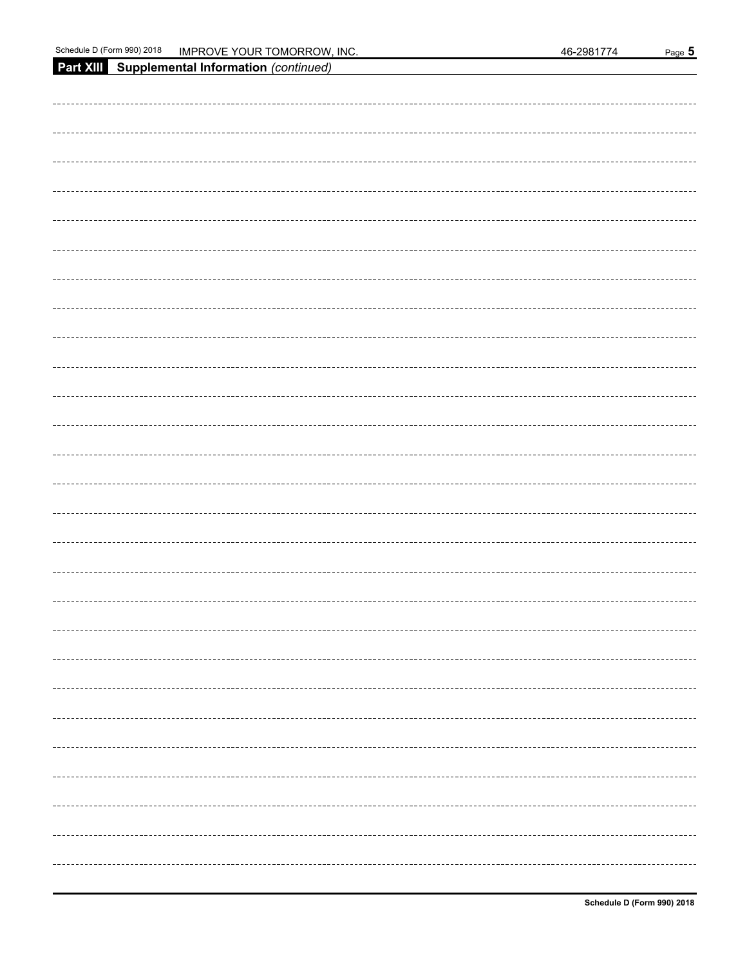**Part XIII Supplemental Information** *(continued)*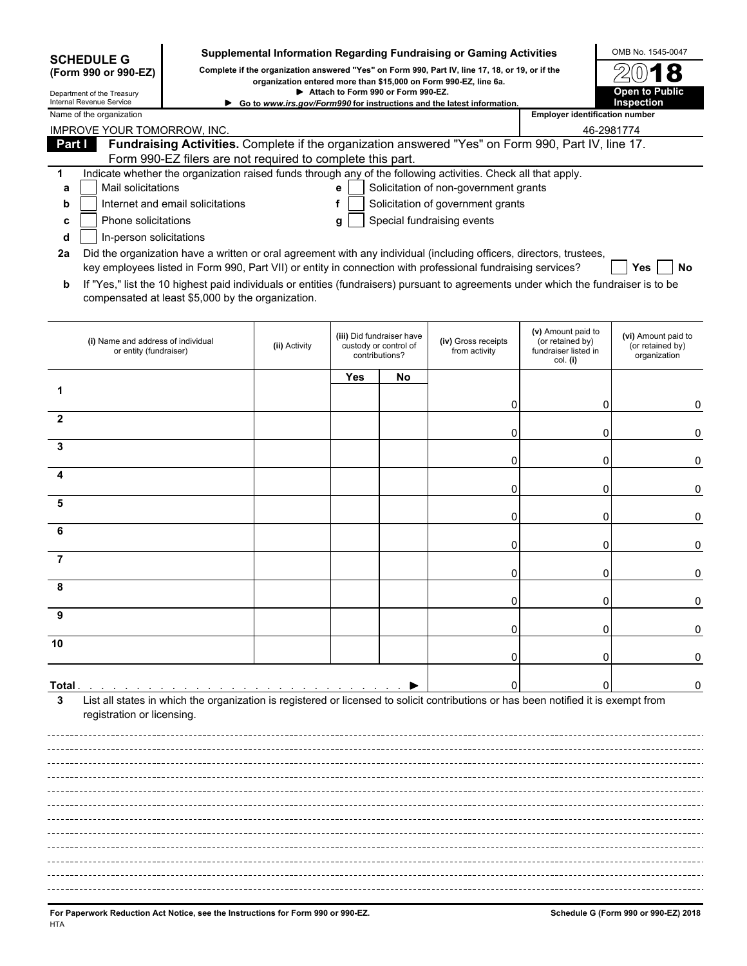|                | <b>SCHEDULE G</b>                                            |                                                            |                                                                                                                                                                     |     |                                                                      | Supplemental Information Regarding Fundraising or Gaming Activities                                                                 |                                                                            | OMB No. 1545-0047                                       |
|----------------|--------------------------------------------------------------|------------------------------------------------------------|---------------------------------------------------------------------------------------------------------------------------------------------------------------------|-----|----------------------------------------------------------------------|-------------------------------------------------------------------------------------------------------------------------------------|----------------------------------------------------------------------------|---------------------------------------------------------|
|                | (Form 990 or 990-EZ)                                         |                                                            | Complete if the organization answered "Yes" on Form 990, Part IV, line 17, 18, or 19, or if the<br>organization entered more than \$15,000 on Form 990-EZ, line 6a. |     |                                                                      |                                                                                                                                     |                                                                            |                                                         |
|                | Department of the Treasury<br>Internal Revenue Service       |                                                            | Attach to Form 990 or Form 990-EZ.<br>Go to www.irs.gov/Form990 for instructions and the latest information.                                                        |     | <b>Open to Public</b><br><b>Inspection</b>                           |                                                                                                                                     |                                                                            |                                                         |
|                | Name of the organization                                     |                                                            | <b>Employer identification number</b>                                                                                                                               |     |                                                                      |                                                                                                                                     |                                                                            |                                                         |
|                | IMPROVE YOUR TOMORROW, INC.                                  |                                                            |                                                                                                                                                                     |     |                                                                      |                                                                                                                                     | 46-2981774                                                                 |                                                         |
| Part I         |                                                              | Form 990-EZ filers are not required to complete this part. |                                                                                                                                                                     |     |                                                                      | Fundraising Activities. Complete if the organization answered "Yes" on Form 990, Part IV, line 17.                                  |                                                                            |                                                         |
| 1              |                                                              |                                                            |                                                                                                                                                                     |     |                                                                      | Indicate whether the organization raised funds through any of the following activities. Check all that apply.                       |                                                                            |                                                         |
| a              | Mail solicitations                                           |                                                            |                                                                                                                                                                     | e   |                                                                      | Solicitation of non-government grants                                                                                               |                                                                            |                                                         |
| b              |                                                              | Internet and email solicitations                           |                                                                                                                                                                     | f   |                                                                      | Solicitation of government grants                                                                                                   |                                                                            |                                                         |
| C<br>d         | Phone solicitations<br>In-person solicitations               |                                                            |                                                                                                                                                                     | g   |                                                                      | Special fundraising events                                                                                                          |                                                                            |                                                         |
| 2a             |                                                              |                                                            |                                                                                                                                                                     |     |                                                                      | Did the organization have a written or oral agreement with any individual (including officers, directors, trustees,                 |                                                                            |                                                         |
|                |                                                              |                                                            |                                                                                                                                                                     |     |                                                                      | key employees listed in Form 990, Part VII) or entity in connection with professional fundraising services?                         |                                                                            | Yes<br>No                                               |
| b              |                                                              | compensated at least \$5,000 by the organization.          |                                                                                                                                                                     |     |                                                                      | If "Yes," list the 10 highest paid individuals or entities (fundraisers) pursuant to agreements under which the fundraiser is to be |                                                                            |                                                         |
|                | (i) Name and address of individual<br>or entity (fundraiser) |                                                            | (ii) Activity                                                                                                                                                       |     | (iii) Did fundraiser have<br>custody or control of<br>contributions? | (iv) Gross receipts<br>from activity                                                                                                | (v) Amount paid to<br>(or retained by)<br>fundraiser listed in<br>col. (i) | (vi) Amount paid to<br>(or retained by)<br>organization |
|                |                                                              |                                                            |                                                                                                                                                                     | Yes | No                                                                   |                                                                                                                                     |                                                                            |                                                         |
| 1              |                                                              |                                                            |                                                                                                                                                                     |     |                                                                      |                                                                                                                                     |                                                                            |                                                         |
| 2              |                                                              |                                                            |                                                                                                                                                                     |     |                                                                      | 0                                                                                                                                   | 0                                                                          | 0                                                       |
|                |                                                              |                                                            |                                                                                                                                                                     |     |                                                                      | 0                                                                                                                                   | 0                                                                          | 0                                                       |
| 3              |                                                              |                                                            |                                                                                                                                                                     |     |                                                                      |                                                                                                                                     |                                                                            |                                                         |
| 4              |                                                              |                                                            |                                                                                                                                                                     |     |                                                                      | 0                                                                                                                                   | 0                                                                          | 0                                                       |
|                |                                                              |                                                            |                                                                                                                                                                     |     |                                                                      | 0                                                                                                                                   | 0                                                                          | 0                                                       |
| 5              |                                                              |                                                            |                                                                                                                                                                     |     |                                                                      |                                                                                                                                     |                                                                            |                                                         |
| 6              |                                                              |                                                            |                                                                                                                                                                     |     |                                                                      | 0                                                                                                                                   | 0                                                                          | 0                                                       |
|                |                                                              |                                                            |                                                                                                                                                                     |     |                                                                      | 0                                                                                                                                   | 0                                                                          | 0                                                       |
| $\overline{7}$ |                                                              |                                                            |                                                                                                                                                                     |     |                                                                      |                                                                                                                                     |                                                                            |                                                         |
| 8              |                                                              |                                                            |                                                                                                                                                                     |     |                                                                      | 0                                                                                                                                   | 0                                                                          | 0                                                       |
|                |                                                              |                                                            |                                                                                                                                                                     |     |                                                                      | O                                                                                                                                   | 0                                                                          | 0                                                       |
| 9              |                                                              |                                                            |                                                                                                                                                                     |     |                                                                      |                                                                                                                                     |                                                                            |                                                         |
| 10             |                                                              |                                                            |                                                                                                                                                                     |     |                                                                      |                                                                                                                                     | 0                                                                          |                                                         |
|                |                                                              |                                                            |                                                                                                                                                                     |     |                                                                      |                                                                                                                                     |                                                                            |                                                         |
|                |                                                              |                                                            |                                                                                                                                                                     |     |                                                                      |                                                                                                                                     |                                                                            |                                                         |
| Total.<br>3    |                                                              |                                                            |                                                                                                                                                                     |     |                                                                      | List all states in which the organization is registered or licensed to solicit contributions or has been notified it is exempt from |                                                                            | 0                                                       |
|                | registration or licensing.                                   |                                                            |                                                                                                                                                                     |     |                                                                      |                                                                                                                                     |                                                                            |                                                         |
|                |                                                              |                                                            |                                                                                                                                                                     |     |                                                                      |                                                                                                                                     |                                                                            |                                                         |
|                |                                                              |                                                            |                                                                                                                                                                     |     |                                                                      |                                                                                                                                     |                                                                            |                                                         |
|                |                                                              |                                                            |                                                                                                                                                                     |     |                                                                      |                                                                                                                                     |                                                                            |                                                         |
|                |                                                              |                                                            |                                                                                                                                                                     |     |                                                                      |                                                                                                                                     |                                                                            |                                                         |
|                |                                                              |                                                            |                                                                                                                                                                     |     |                                                                      |                                                                                                                                     |                                                                            |                                                         |
|                |                                                              |                                                            |                                                                                                                                                                     |     |                                                                      |                                                                                                                                     |                                                                            |                                                         |
|                |                                                              |                                                            |                                                                                                                                                                     |     |                                                                      |                                                                                                                                     |                                                                            |                                                         |
|                |                                                              |                                                            |                                                                                                                                                                     |     |                                                                      |                                                                                                                                     |                                                                            |                                                         |
|                |                                                              |                                                            |                                                                                                                                                                     |     |                                                                      |                                                                                                                                     |                                                                            |                                                         |
|                |                                                              |                                                            |                                                                                                                                                                     |     |                                                                      |                                                                                                                                     |                                                                            |                                                         |
|                |                                                              |                                                            |                                                                                                                                                                     |     |                                                                      |                                                                                                                                     |                                                                            |                                                         |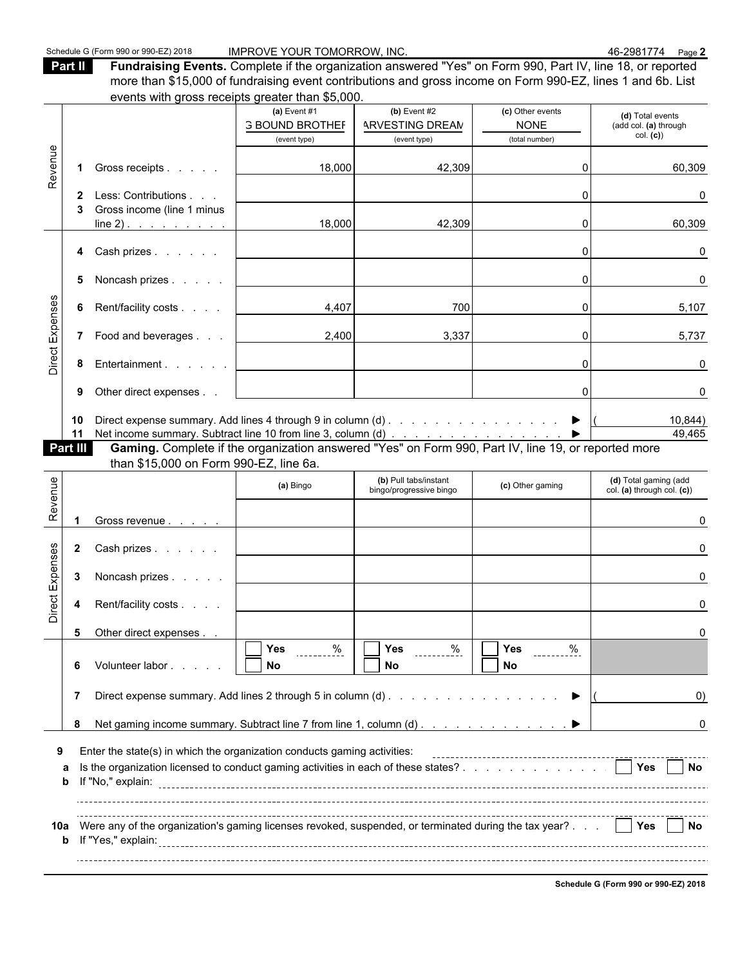**Part II Fundraising Events.** Complete if the organization answered "Yes" on Form 990, Part IV, line 18, or reported more than \$15,000 of fundraising event contributions and gross income on Form 990-EZ, lines 1 and 6b. List events with gross receipts greater than \$5,000.

|                 |                 | Cronto with gross receipts groater than voluus                                                      |                                                          |                                                  |                                             |                                                     |
|-----------------|-----------------|-----------------------------------------------------------------------------------------------------|----------------------------------------------------------|--------------------------------------------------|---------------------------------------------|-----------------------------------------------------|
|                 |                 |                                                                                                     | (a) Event $#1$                                           | (b) Event $#2$                                   | (c) Other events                            | (d) Total events                                    |
|                 |                 |                                                                                                     | <b>3 BOUND BROTHEF</b><br>(event type)                   | <b>ARVESTING DREAM</b><br>(event type)           | <b>NONE</b><br>(total number)               | (add col. (a) through<br>col. (c)                   |
|                 |                 |                                                                                                     |                                                          |                                                  |                                             |                                                     |
| Revenue         |                 | Gross receipts                                                                                      | 18,000                                                   | 42,309                                           | ΩI                                          | 60,309                                              |
|                 | $\mathbf{2}$    | Less: Contributions                                                                                 |                                                          |                                                  | $\Omega$                                    | 0                                                   |
|                 |                 | Gross income (line 1 minus<br>$line 2)$ .                                                           | 18,000                                                   | 42,309                                           | 0                                           | 60,309                                              |
|                 |                 | 4 Cash prizes                                                                                       |                                                          |                                                  | $\Omega$                                    | 0                                                   |
|                 | 5               | Noncash prizes                                                                                      |                                                          |                                                  | $\Omega$                                    | $\Omega$                                            |
|                 | 6               | Rent/facility costs                                                                                 | 4,407                                                    | 700                                              | $\overline{0}$                              | 5,107                                               |
| Direct Expenses |                 | 7 Food and beverages                                                                                | 2,400                                                    | 3,337                                            | $\overline{0}$                              | 5,737                                               |
|                 | 8               | Entertainment                                                                                       |                                                          |                                                  | $\Omega$                                    | 0                                                   |
|                 | 9               | Other direct expenses                                                                               |                                                          |                                                  | $\Omega$                                    | 0                                                   |
|                 | 10<br>11        | Direct expense summary. Add lines 4 through 9 in column (d) ▶                                       |                                                          |                                                  |                                             | 10,844)<br>49,465                                   |
|                 | <b>Part III</b> | Gaming. Complete if the organization answered "Yes" on Form 990, Part IV, line 19, or reported more |                                                          |                                                  |                                             |                                                     |
|                 |                 | than \$15,000 on Form 990-EZ, line 6a.                                                              |                                                          |                                                  |                                             |                                                     |
| Revenue         |                 |                                                                                                     | (a) Bingo                                                | (b) Pull tabs/instant<br>bingo/progressive bingo | (c) Other gaming                            | (d) Total gaming (add<br>col. (a) through col. (c)) |
|                 |                 |                                                                                                     |                                                          |                                                  |                                             |                                                     |
|                 |                 | Gross revenue                                                                                       |                                                          |                                                  |                                             |                                                     |
|                 | $\mathbf{2}$    | Cash prizes                                                                                         |                                                          |                                                  |                                             |                                                     |
|                 | 3               | Noncash prizes                                                                                      |                                                          |                                                  |                                             | U                                                   |
|                 | 4               | Rent/facility costs                                                                                 |                                                          |                                                  |                                             |                                                     |
| Direct Expenses | 5               | Other direct expenses                                                                               |                                                          |                                                  |                                             |                                                     |
|                 | 6               | Volunteer labor                                                                                     | $\sqrt{1 + \gamma_{\text{es}}}$<br>$\frac{\%}{\%}$<br>No | $\sqrt{1 + \gamma}$<br><u>%</u><br>No            | $\sqrt{1-\gamma_{\text{es}}}$<br>$\%$<br>No |                                                     |
|                 | 7               | Direct expense summary. Add lines 2 through 5 in column (d)                                         |                                                          |                                                  |                                             | $\left( 0\right)$                                   |
|                 | 8               | Net gaming income summary. Subtract line 7 from line 1, column (d)                                  |                                                          |                                                  |                                             | 0                                                   |
| 9               |                 | Enter the state(s) in which the organization conducts gaming activities:                            |                                                          |                                                  |                                             |                                                     |
|                 | а<br>b          | Is the organization licensed to conduct gaming activities in each of these states?                  |                                                          |                                                  |                                             | <b>Nes</b><br>l INo                                 |
|                 |                 |                                                                                                     |                                                          |                                                  |                                             |                                                     |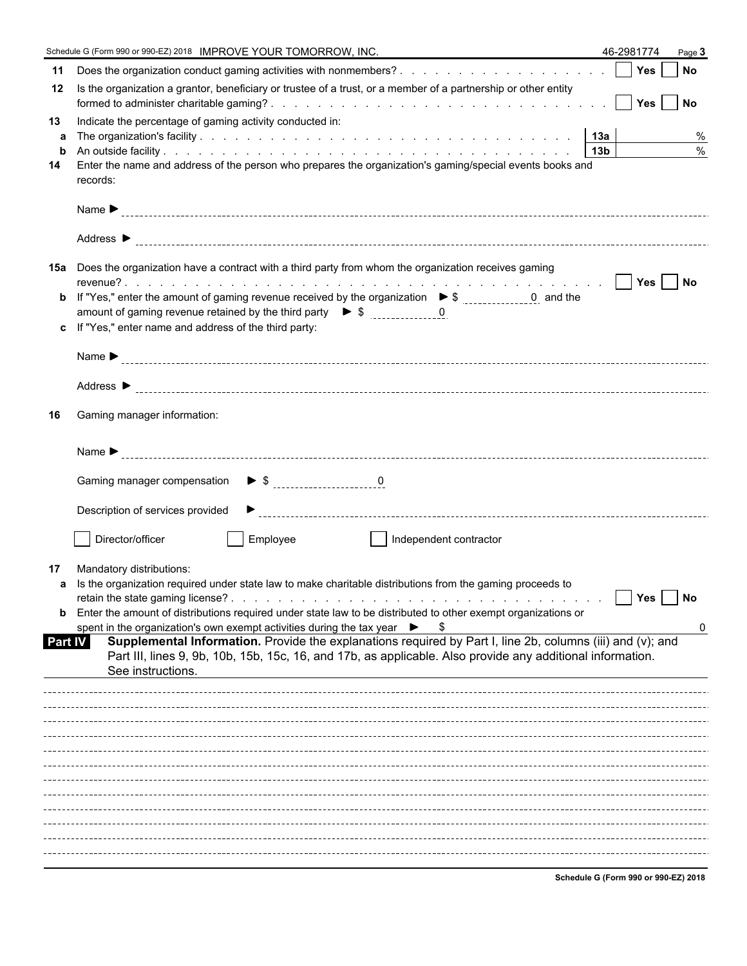|                | Schedule G (Form 990 or 990-EZ) 2018 IMPROVE YOUR TOMORROW, INC.                                                                                                                                                                              | 46-2981774                           | Page 3 |
|----------------|-----------------------------------------------------------------------------------------------------------------------------------------------------------------------------------------------------------------------------------------------|--------------------------------------|--------|
| 11             |                                                                                                                                                                                                                                               |                                      |        |
| 12             | Is the organization a grantor, beneficiary or trustee of a trust, or a member of a partnership or other entity                                                                                                                                |                                      |        |
| 13<br>a        | Indicate the percentage of gaming activity conducted in:                                                                                                                                                                                      |                                      | %      |
| $\mathbf b$    |                                                                                                                                                                                                                                               |                                      | $\%$   |
| 14             | Enter the name and address of the person who prepares the organization's gaming/special events books and<br>records:                                                                                                                          |                                      |        |
|                |                                                                                                                                                                                                                                               |                                      |        |
|                |                                                                                                                                                                                                                                               |                                      |        |
|                | 15a Does the organization have a contract with a third party from whom the organization receives gaming                                                                                                                                       |                                      |        |
|                |                                                                                                                                                                                                                                               |                                      |        |
|                |                                                                                                                                                                                                                                               |                                      |        |
|                | c If "Yes," enter name and address of the third party:                                                                                                                                                                                        |                                      |        |
|                |                                                                                                                                                                                                                                               |                                      |        |
|                |                                                                                                                                                                                                                                               |                                      |        |
| 16             | Gaming manager information:                                                                                                                                                                                                                   |                                      |        |
|                |                                                                                                                                                                                                                                               |                                      |        |
|                |                                                                                                                                                                                                                                               |                                      |        |
|                | Description of services provided                                                                                                                                                                                                              |                                      |        |
|                | Director/officer<br>Employee<br>Independent contractor                                                                                                                                                                                        |                                      |        |
| 17             | Mandatory distributions:                                                                                                                                                                                                                      |                                      |        |
|                | a Is the organization required under state law to make charitable distributions from the gaming proceeds to                                                                                                                                   |                                      |        |
|                | Enter the amount of distributions required under state law to be distributed to other exempt organizations or                                                                                                                                 | Yes                                  | No     |
|                | spent in the organization's own exempt activities during the tax year $\triangleright$ \$                                                                                                                                                     |                                      | 0      |
| <b>Part IV</b> | Supplemental Information. Provide the explanations required by Part I, line 2b, columns (iii) and (v); and<br>Part III, lines 9, 9b, 10b, 15b, 15c, 16, and 17b, as applicable. Also provide any additional information.<br>See instructions. |                                      |        |
|                |                                                                                                                                                                                                                                               |                                      |        |
|                |                                                                                                                                                                                                                                               |                                      |        |
|                |                                                                                                                                                                                                                                               |                                      |        |
|                |                                                                                                                                                                                                                                               |                                      |        |
|                |                                                                                                                                                                                                                                               |                                      |        |
|                |                                                                                                                                                                                                                                               |                                      |        |
|                |                                                                                                                                                                                                                                               |                                      |        |
|                |                                                                                                                                                                                                                                               |                                      |        |
|                |                                                                                                                                                                                                                                               |                                      |        |
|                |                                                                                                                                                                                                                                               |                                      |        |
|                |                                                                                                                                                                                                                                               | Schodule C (Form 000 or 000 F7) 2019 |        |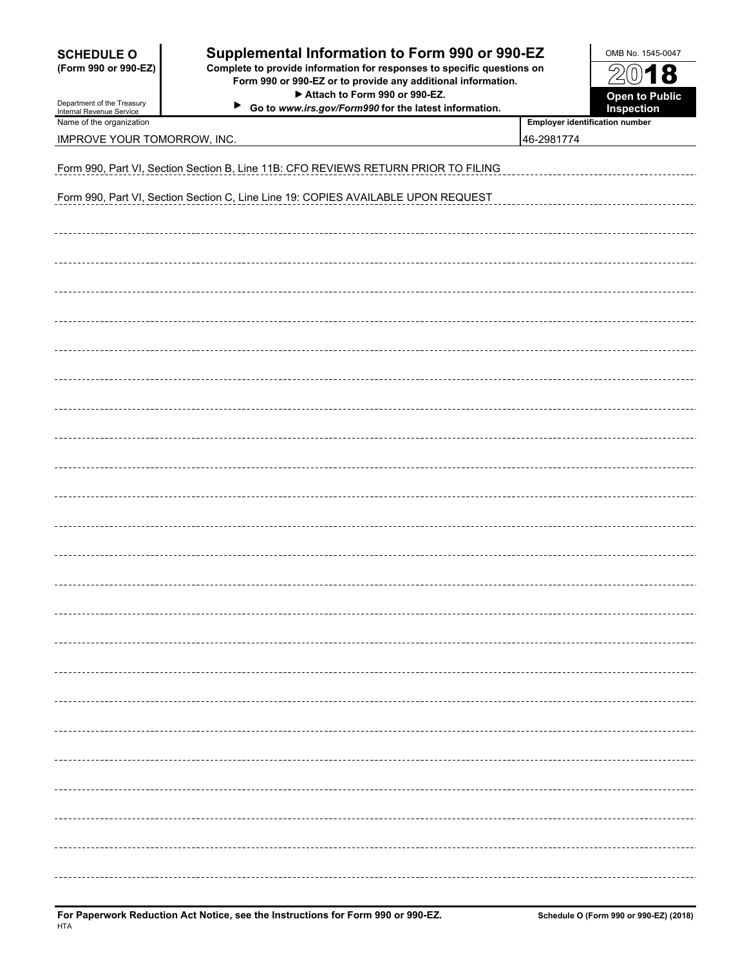| <b>SCHEDULE O</b><br>(Form 990 or 990-EZ)<br>Department of the Treasury<br>Internal Revenue Service | Supplemental Information to Form 990 or 990-EZ<br>Complete to provide information for responses to specific questions on<br>Form 990 or 990-EZ or to provide any additional information.<br>Attach to Form 990 or 990-EZ.<br>▶<br>Go to www.irs.gov/Form990 for the latest information. |                                | OMB No. 1545-0047<br>$20$ 18<br><b>Open to Public</b><br>Inspection |  |  |  |  |  |  |  |  |
|-----------------------------------------------------------------------------------------------------|-----------------------------------------------------------------------------------------------------------------------------------------------------------------------------------------------------------------------------------------------------------------------------------------|--------------------------------|---------------------------------------------------------------------|--|--|--|--|--|--|--|--|
| Name of the organization                                                                            |                                                                                                                                                                                                                                                                                         | Employer identification number |                                                                     |  |  |  |  |  |  |  |  |
| IMPROVE YOUR TOMORROW, INC.                                                                         |                                                                                                                                                                                                                                                                                         | 46-2981774                     |                                                                     |  |  |  |  |  |  |  |  |
| Form 990, Part VI, Section Section B, Line 11B: CFO REVIEWS RETURN PRIOR TO FILING                  |                                                                                                                                                                                                                                                                                         |                                |                                                                     |  |  |  |  |  |  |  |  |
|                                                                                                     | Form 990, Part VI, Section Section C, Line Line 19: COPIES AVAILABLE UPON REQUEST                                                                                                                                                                                                       |                                |                                                                     |  |  |  |  |  |  |  |  |
|                                                                                                     |                                                                                                                                                                                                                                                                                         |                                |                                                                     |  |  |  |  |  |  |  |  |
|                                                                                                     |                                                                                                                                                                                                                                                                                         |                                |                                                                     |  |  |  |  |  |  |  |  |
|                                                                                                     |                                                                                                                                                                                                                                                                                         |                                |                                                                     |  |  |  |  |  |  |  |  |
|                                                                                                     |                                                                                                                                                                                                                                                                                         |                                |                                                                     |  |  |  |  |  |  |  |  |
|                                                                                                     |                                                                                                                                                                                                                                                                                         |                                |                                                                     |  |  |  |  |  |  |  |  |
|                                                                                                     |                                                                                                                                                                                                                                                                                         |                                |                                                                     |  |  |  |  |  |  |  |  |
|                                                                                                     |                                                                                                                                                                                                                                                                                         |                                |                                                                     |  |  |  |  |  |  |  |  |
|                                                                                                     |                                                                                                                                                                                                                                                                                         |                                |                                                                     |  |  |  |  |  |  |  |  |
|                                                                                                     |                                                                                                                                                                                                                                                                                         |                                |                                                                     |  |  |  |  |  |  |  |  |
|                                                                                                     |                                                                                                                                                                                                                                                                                         |                                |                                                                     |  |  |  |  |  |  |  |  |
|                                                                                                     |                                                                                                                                                                                                                                                                                         |                                |                                                                     |  |  |  |  |  |  |  |  |
|                                                                                                     |                                                                                                                                                                                                                                                                                         |                                |                                                                     |  |  |  |  |  |  |  |  |
|                                                                                                     |                                                                                                                                                                                                                                                                                         |                                |                                                                     |  |  |  |  |  |  |  |  |
|                                                                                                     |                                                                                                                                                                                                                                                                                         |                                |                                                                     |  |  |  |  |  |  |  |  |
|                                                                                                     |                                                                                                                                                                                                                                                                                         |                                |                                                                     |  |  |  |  |  |  |  |  |
|                                                                                                     |                                                                                                                                                                                                                                                                                         |                                |                                                                     |  |  |  |  |  |  |  |  |
|                                                                                                     |                                                                                                                                                                                                                                                                                         |                                |                                                                     |  |  |  |  |  |  |  |  |
|                                                                                                     |                                                                                                                                                                                                                                                                                         |                                |                                                                     |  |  |  |  |  |  |  |  |
|                                                                                                     |                                                                                                                                                                                                                                                                                         |                                |                                                                     |  |  |  |  |  |  |  |  |
|                                                                                                     |                                                                                                                                                                                                                                                                                         |                                |                                                                     |  |  |  |  |  |  |  |  |
|                                                                                                     |                                                                                                                                                                                                                                                                                         |                                |                                                                     |  |  |  |  |  |  |  |  |
|                                                                                                     |                                                                                                                                                                                                                                                                                         |                                |                                                                     |  |  |  |  |  |  |  |  |
|                                                                                                     |                                                                                                                                                                                                                                                                                         |                                |                                                                     |  |  |  |  |  |  |  |  |
|                                                                                                     |                                                                                                                                                                                                                                                                                         |                                |                                                                     |  |  |  |  |  |  |  |  |
|                                                                                                     |                                                                                                                                                                                                                                                                                         |                                |                                                                     |  |  |  |  |  |  |  |  |
|                                                                                                     |                                                                                                                                                                                                                                                                                         |                                |                                                                     |  |  |  |  |  |  |  |  |
|                                                                                                     |                                                                                                                                                                                                                                                                                         |                                |                                                                     |  |  |  |  |  |  |  |  |
|                                                                                                     |                                                                                                                                                                                                                                                                                         |                                |                                                                     |  |  |  |  |  |  |  |  |
|                                                                                                     |                                                                                                                                                                                                                                                                                         |                                |                                                                     |  |  |  |  |  |  |  |  |
|                                                                                                     |                                                                                                                                                                                                                                                                                         |                                |                                                                     |  |  |  |  |  |  |  |  |
|                                                                                                     |                                                                                                                                                                                                                                                                                         |                                |                                                                     |  |  |  |  |  |  |  |  |
|                                                                                                     |                                                                                                                                                                                                                                                                                         |                                |                                                                     |  |  |  |  |  |  |  |  |
|                                                                                                     |                                                                                                                                                                                                                                                                                         |                                |                                                                     |  |  |  |  |  |  |  |  |
|                                                                                                     |                                                                                                                                                                                                                                                                                         |                                |                                                                     |  |  |  |  |  |  |  |  |
|                                                                                                     |                                                                                                                                                                                                                                                                                         |                                |                                                                     |  |  |  |  |  |  |  |  |
|                                                                                                     |                                                                                                                                                                                                                                                                                         |                                |                                                                     |  |  |  |  |  |  |  |  |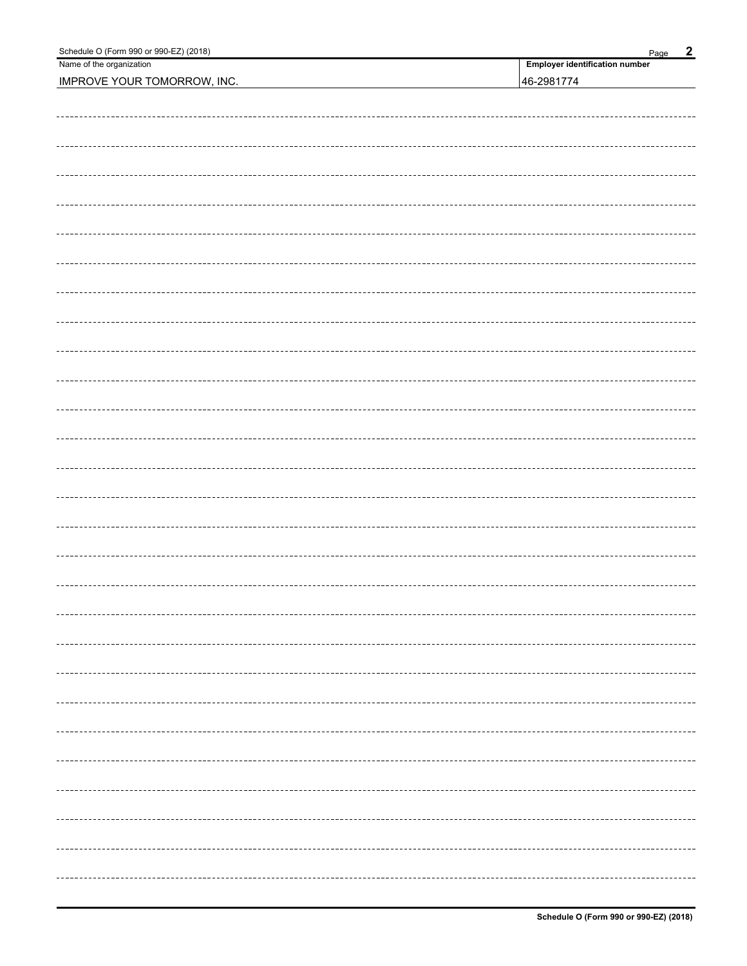| Schedule O (Form 990 or 990-EZ) (2018) | $\overline{2}$<br>Page                |  |  |  |  |
|----------------------------------------|---------------------------------------|--|--|--|--|
| Name of the organization               | <b>Employer identification number</b> |  |  |  |  |
| <b>IMPROVE YOUR TOMORROW, INC.</b>     | 46-2981774                            |  |  |  |  |
|                                        |                                       |  |  |  |  |
|                                        |                                       |  |  |  |  |
|                                        |                                       |  |  |  |  |
|                                        |                                       |  |  |  |  |
|                                        |                                       |  |  |  |  |
|                                        |                                       |  |  |  |  |
|                                        |                                       |  |  |  |  |
|                                        |                                       |  |  |  |  |
|                                        |                                       |  |  |  |  |
|                                        |                                       |  |  |  |  |
|                                        |                                       |  |  |  |  |
|                                        |                                       |  |  |  |  |
|                                        |                                       |  |  |  |  |
|                                        |                                       |  |  |  |  |
|                                        |                                       |  |  |  |  |
|                                        |                                       |  |  |  |  |
|                                        |                                       |  |  |  |  |
|                                        |                                       |  |  |  |  |
|                                        |                                       |  |  |  |  |
|                                        |                                       |  |  |  |  |
|                                        |                                       |  |  |  |  |
|                                        |                                       |  |  |  |  |
|                                        |                                       |  |  |  |  |
|                                        |                                       |  |  |  |  |
|                                        |                                       |  |  |  |  |
|                                        |                                       |  |  |  |  |
|                                        |                                       |  |  |  |  |
|                                        |                                       |  |  |  |  |
|                                        |                                       |  |  |  |  |
|                                        |                                       |  |  |  |  |
|                                        |                                       |  |  |  |  |
|                                        |                                       |  |  |  |  |
|                                        |                                       |  |  |  |  |
|                                        |                                       |  |  |  |  |
|                                        |                                       |  |  |  |  |
|                                        |                                       |  |  |  |  |
|                                        |                                       |  |  |  |  |
|                                        |                                       |  |  |  |  |
|                                        |                                       |  |  |  |  |
|                                        |                                       |  |  |  |  |
|                                        |                                       |  |  |  |  |
|                                        |                                       |  |  |  |  |
|                                        |                                       |  |  |  |  |
|                                        |                                       |  |  |  |  |
|                                        |                                       |  |  |  |  |
|                                        |                                       |  |  |  |  |
|                                        |                                       |  |  |  |  |
|                                        |                                       |  |  |  |  |
|                                        |                                       |  |  |  |  |
|                                        |                                       |  |  |  |  |
|                                        |                                       |  |  |  |  |
|                                        |                                       |  |  |  |  |
|                                        |                                       |  |  |  |  |
|                                        |                                       |  |  |  |  |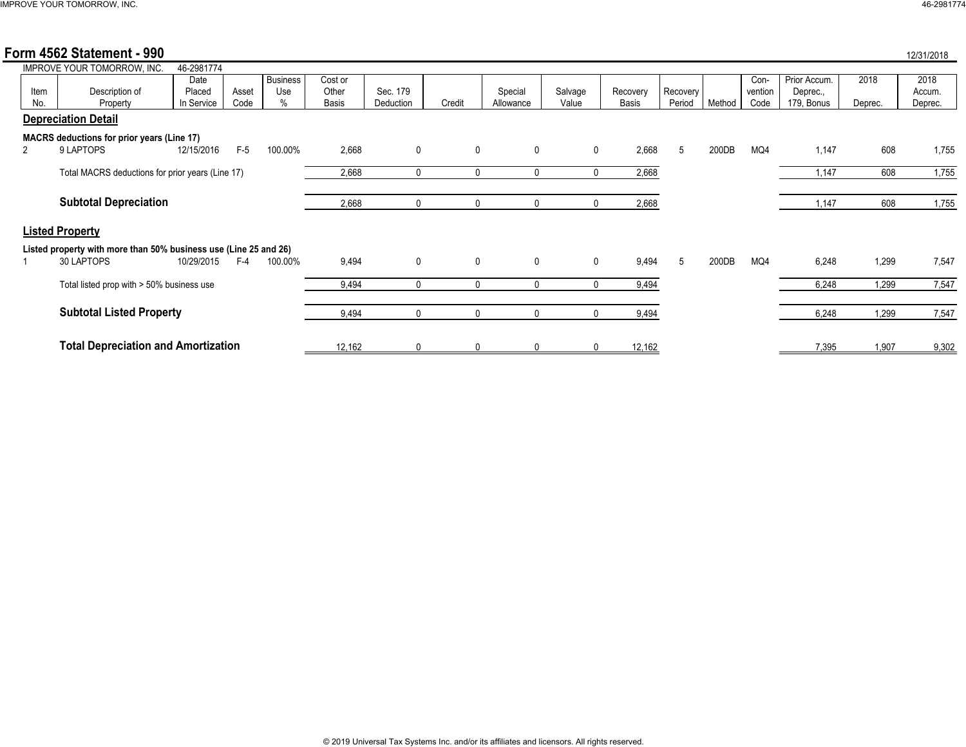|  | 12/31/2018 |  |  |
|--|------------|--|--|

|             | Form 4562 Statement - 990                                        |                              |               |                                |                           |                       |              |                      |                  |                   |                    |        |                         |                                        |                 | 12/31/2018                |
|-------------|------------------------------------------------------------------|------------------------------|---------------|--------------------------------|---------------------------|-----------------------|--------------|----------------------|------------------|-------------------|--------------------|--------|-------------------------|----------------------------------------|-----------------|---------------------------|
|             | IMPROVE YOUR TOMORROW, INC.                                      | 46-2981774                   |               |                                |                           |                       |              |                      |                  |                   |                    |        |                         |                                        |                 |                           |
| Item<br>No. | Description of<br>Property                                       | Date<br>Placed<br>In Service | Asset<br>Code | <b>Business</b><br>Use<br>$\%$ | Cost or<br>Other<br>Basis | Sec. 179<br>Deduction | Credit       | Special<br>Allowance | Salvage<br>Value | Recovery<br>Basis | Recovery<br>Period | Method | Con-<br>vention<br>Code | Prior Accum.<br>Deprec.,<br>179, Bonus | 2018<br>Deprec. | 2018<br>Accum.<br>Deprec. |
|             | <b>Depreciation Detail</b>                                       |                              |               |                                |                           |                       |              |                      |                  |                   |                    |        |                         |                                        |                 |                           |
|             | <b>MACRS</b> deductions for prior years (Line 17)                |                              |               |                                |                           |                       |              |                      |                  |                   |                    |        |                         |                                        |                 |                           |
|             | 9 LAPTOPS                                                        | 12/15/2016                   | $F-5$         | 100.00%                        | 2,668                     | 0                     | 0            | $\mathbf 0$          | $\mathbf 0$      | 2,668             | 5                  | 200DB  | MQ4                     | 1,147                                  | 608             | 1,755                     |
|             | Total MACRS deductions for prior years (Line 17)                 |                              |               |                                | 2,668                     | 0                     | $\mathbf{0}$ | $\mathbf{0}$         | $\mathbf 0$      | 2,668             |                    |        |                         | 1,147                                  | 608             | 1,755                     |
|             | <b>Subtotal Depreciation</b>                                     |                              |               |                                | 2,668                     | 0                     | $\mathbf{0}$ | $\mathbf{0}$         | $\mathbf 0$      | 2,668             |                    |        |                         | 1,147                                  | 608             | 1,755                     |
|             | <b>Listed Property</b>                                           |                              |               |                                |                           |                       |              |                      |                  |                   |                    |        |                         |                                        |                 |                           |
|             | Listed property with more than 50% business use (Line 25 and 26) |                              |               |                                |                           |                       |              |                      |                  |                   |                    |        |                         |                                        |                 |                           |
|             | 30 LAPTOPS                                                       | 10/29/2015                   | $F-4$         | 100.00%                        | 9,494                     | 0                     | $\mathbf 0$  | $\mathbf 0$          | $\mathbf 0$      | 9,494             | 5                  | 200DB  | MQ4                     | 6,248                                  | 1,299           | 7,547                     |
|             | Total listed prop with > 50% business use                        |                              |               |                                | 9,494                     | $\Omega$              | $\Omega$     | $\Omega$             | $\mathbf{0}$     | 9,494             |                    |        |                         | 6,248                                  | 1,299           | 7,547                     |
|             | <b>Subtotal Listed Property</b>                                  |                              |               |                                | 9,494                     | 0                     | $\Omega$     | $\mathbf{0}$         | $\mathbf{0}$     | 9,494             |                    |        |                         | 6,248                                  | 1,299           | 7,547                     |
|             | <b>Total Depreciation and Amortization</b>                       |                              |               |                                | 12,162                    | n                     |              |                      |                  | 12,162            |                    |        |                         | 7,395                                  | 1,907           | 9,302                     |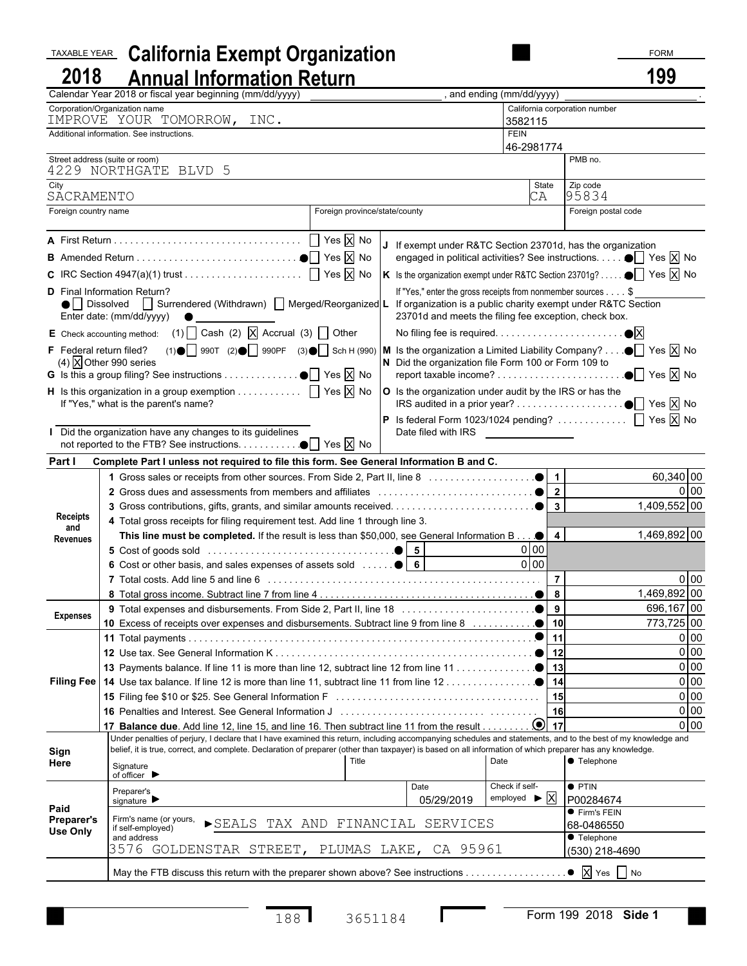## TAXABLE YEAR **California Exempt Organization** FORM **FORM FORM 2018 Annual Information Return 199**

|                                | Calendar Year 2018 or fiscal year beginning (mm/dd/yyyy)                                                                                                                                                                                                                                                                  |                                                               | , and ending (mm/dd/yyyy)                |                                                                                    |
|--------------------------------|---------------------------------------------------------------------------------------------------------------------------------------------------------------------------------------------------------------------------------------------------------------------------------------------------------------------------|---------------------------------------------------------------|------------------------------------------|------------------------------------------------------------------------------------|
|                                | Corporation/Organization name<br>IMPROVE YOUR TOMORROW, INC.                                                                                                                                                                                                                                                              |                                                               | California corporation number<br>3582115 |                                                                                    |
|                                | Additional information. See instructions.                                                                                                                                                                                                                                                                                 |                                                               | <b>FEIN</b>                              |                                                                                    |
| Street address (suite or room) |                                                                                                                                                                                                                                                                                                                           |                                                               | 46-2981774                               | PMB no.                                                                            |
|                                | 4229 NORTHGATE BLVD 5                                                                                                                                                                                                                                                                                                     |                                                               |                                          |                                                                                    |
| City                           |                                                                                                                                                                                                                                                                                                                           |                                                               | State                                    | Zip code                                                                           |
| SACRAMENTO                     |                                                                                                                                                                                                                                                                                                                           |                                                               | CA                                       | 95834                                                                              |
| Foreign country name           |                                                                                                                                                                                                                                                                                                                           | Foreign province/state/county                                 |                                          | Foreign postal code                                                                |
|                                |                                                                                                                                                                                                                                                                                                                           | If exempt under R&TC Section 23701d, has the organization     |                                          |                                                                                    |
|                                |                                                                                                                                                                                                                                                                                                                           |                                                               |                                          | engaged in political activities? See instructions. $\bullet$ Yes $\overline{X}$ No |
|                                |                                                                                                                                                                                                                                                                                                                           |                                                               |                                          | Is the organization exempt under R&TC Section 23701g? ● T Yes X No                 |
|                                | <b>D</b> Final Information Return?                                                                                                                                                                                                                                                                                        | If "Yes," enter the gross receipts from nonmember sources \$  |                                          |                                                                                    |
|                                | ● Dissolved Surrendered (Withdrawn) Merged/Reorganized L                                                                                                                                                                                                                                                                  | If organization is a public charity exempt under R&TC Section |                                          |                                                                                    |
|                                | Enter date: (mm/dd/yyyy)                                                                                                                                                                                                                                                                                                  | 23701d and meets the filing fee exception, check box.         |                                          |                                                                                    |
|                                | E Check accounting method: (1) $\Box$ Cash (2) $\Box$ Accrual (3) $\Box$ Other                                                                                                                                                                                                                                            |                                                               |                                          |                                                                                    |
|                                | F Federal return filed? (1) $\bigcirc$ 990T (2) $\bigcirc$ 990PF (3) $\bigcirc$ Sch H (990) M Is the organization a Limited Liability Company? $\bigcirc$ Yes X No                                                                                                                                                        |                                                               |                                          |                                                                                    |
|                                | (4) $\overline{X}$ Other 990 series                                                                                                                                                                                                                                                                                       | N Did the organization file Form 100 or Form 109 to           |                                          | $\bullet$ Yes $\overline{X}$ No                                                    |
|                                | <b>H</b> Is this organization in a group exemption $\ldots \ldots \ldots$ $\Box$ Yes $\overline{X}$ No                                                                                                                                                                                                                    | O Is the organization under audit by the IRS or has the       |                                          |                                                                                    |
|                                | If "Yes," what is the parent's name?                                                                                                                                                                                                                                                                                      |                                                               |                                          |                                                                                    |
|                                |                                                                                                                                                                                                                                                                                                                           |                                                               |                                          |                                                                                    |
|                                | Did the organization have any changes to its guidelines                                                                                                                                                                                                                                                                   | Date filed with IRS ________________                          |                                          |                                                                                    |
|                                | not reported to the FTB? See instructions. $\bullet$ $\Box$ Yes $\overline{X}$ No                                                                                                                                                                                                                                         |                                                               |                                          |                                                                                    |
| Part I                         | Complete Part I unless not required to file this form. See General Information B and C.                                                                                                                                                                                                                                   |                                                               |                                          |                                                                                    |
|                                |                                                                                                                                                                                                                                                                                                                           |                                                               |                                          | 60,340 00                                                                          |
|                                |                                                                                                                                                                                                                                                                                                                           |                                                               |                                          | 0 <sub>0</sub>                                                                     |
| <b>Receipts</b>                |                                                                                                                                                                                                                                                                                                                           |                                                               |                                          | 1,409,552 00                                                                       |
| and                            | 4 Total gross receipts for filing requirement test. Add line 1 through line 3.                                                                                                                                                                                                                                            |                                                               |                                          |                                                                                    |
| Revenues                       | This line must be completed. If the result is less than \$50,000, see General Information B $\bullet$   4                                                                                                                                                                                                                 |                                                               | $0$ 00                                   | 1,469,892 00                                                                       |
|                                |                                                                                                                                                                                                                                                                                                                           |                                                               | $0$ 00                                   |                                                                                    |
|                                | 6 Cost or other basis, and sales expenses of assets sold    6                                                                                                                                                                                                                                                             |                                                               | $\overline{7}$                           | 0 <sub>0</sub>                                                                     |
|                                |                                                                                                                                                                                                                                                                                                                           |                                                               |                                          | 1,469,892 00                                                                       |
|                                |                                                                                                                                                                                                                                                                                                                           |                                                               |                                          | 696,167 00                                                                         |
| <b>Expenses</b>                |                                                                                                                                                                                                                                                                                                                           |                                                               |                                          | 773,725 00                                                                         |
|                                |                                                                                                                                                                                                                                                                                                                           |                                                               | $\bullet$ 11                             | $0$ 00                                                                             |
|                                |                                                                                                                                                                                                                                                                                                                           |                                                               |                                          | $0$ 00                                                                             |
|                                |                                                                                                                                                                                                                                                                                                                           |                                                               |                                          | 0 <sub>0</sub>                                                                     |
|                                |                                                                                                                                                                                                                                                                                                                           |                                                               |                                          | 0 <sub>0</sub>                                                                     |
|                                |                                                                                                                                                                                                                                                                                                                           |                                                               | 15                                       | 0 <sub>0</sub>                                                                     |
|                                |                                                                                                                                                                                                                                                                                                                           |                                                               | 16                                       | $0$ 00                                                                             |
|                                |                                                                                                                                                                                                                                                                                                                           |                                                               |                                          | $0$ 00                                                                             |
|                                | Under penalties of perjury, I declare that I have examined this return, including accompanying schedules and statements, and to the best of my knowledge and<br>belief, it is true, correct, and complete. Declaration of preparer (other than taxpayer) is based on all information of which preparer has any knowledge. |                                                               |                                          |                                                                                    |
| Sign<br>Here                   |                                                                                                                                                                                                                                                                                                                           | Title<br>Date                                                 |                                          | <b>C</b> Telephone                                                                 |
|                                | Signature<br>of officer ▶                                                                                                                                                                                                                                                                                                 |                                                               |                                          |                                                                                    |
|                                | Preparer's                                                                                                                                                                                                                                                                                                                | Date                                                          | Check if self-                           | $\bullet$ PTIN                                                                     |
| Paid                           | signature $\blacktriangleright$                                                                                                                                                                                                                                                                                           | 05/29/2019                                                    | employed $\blacktriangleright$ X         | P00284674<br>● Firm's FEIN                                                         |
| Preparer's                     | Firm's name (or yours,<br>if self-employed)                                                                                                                                                                                                                                                                               | SEALS TAX AND FINANCIAL SERVICES                              |                                          | 68-0486550                                                                         |
| <b>Use Only</b>                | and address                                                                                                                                                                                                                                                                                                               |                                                               |                                          | ● Telephone                                                                        |
|                                | 3576 GOLDENSTAR STREET, PLUMAS LAKE, CA 95961                                                                                                                                                                                                                                                                             |                                                               |                                          | (530) 218-4690                                                                     |
|                                | May the FTB discuss this return with the preparer shown above? See instructions                                                                                                                                                                                                                                           |                                                               |                                          | $\bullet$ $\overline{X}$ Yes $\overline{\phantom{1}}$ No                           |
|                                |                                                                                                                                                                                                                                                                                                                           |                                                               |                                          |                                                                                    |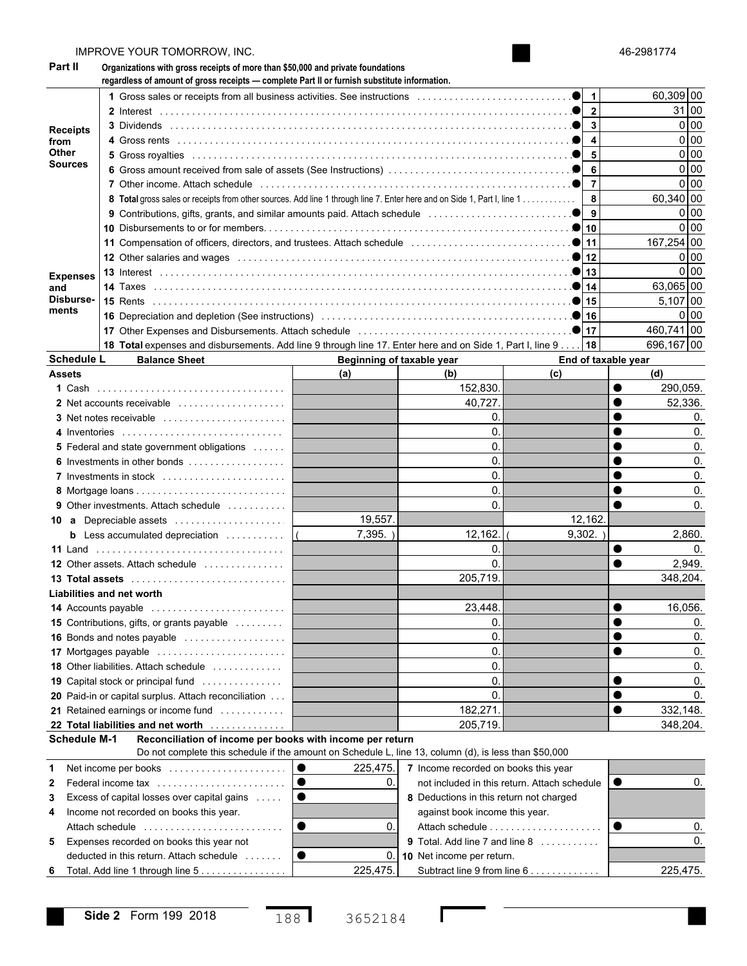| Part II                 | Organizations with gross receipts of more than \$50,000 and private foundations<br>regardless of amount of gross receipts - complete Part II or furnish substitute information. |                              |                                         |                                              |           |                |  |  |  |  |  |  |
|-------------------------|---------------------------------------------------------------------------------------------------------------------------------------------------------------------------------|------------------------------|-----------------------------------------|----------------------------------------------|-----------|----------------|--|--|--|--|--|--|
|                         |                                                                                                                                                                                 |                              |                                         | $\mathbf{1}$                                 |           | 60,309 00      |  |  |  |  |  |  |
|                         |                                                                                                                                                                                 |                              |                                         | $\mathbf{2}$                                 |           | 31 00          |  |  |  |  |  |  |
|                         |                                                                                                                                                                                 | 3                            |                                         |                                              |           |                |  |  |  |  |  |  |
| <b>Receipts</b><br>from |                                                                                                                                                                                 |                              | 0 00<br>0 <sub>0</sub>                  |                                              |           |                |  |  |  |  |  |  |
| Other                   |                                                                                                                                                                                 |                              | 0 <sub>0</sub>                          |                                              |           |                |  |  |  |  |  |  |
| Sources                 |                                                                                                                                                                                 |                              |                                         | 5                                            |           | 0 <sub>0</sub> |  |  |  |  |  |  |
|                         |                                                                                                                                                                                 | 6<br>$\overline{7}$          |                                         |                                              |           |                |  |  |  |  |  |  |
|                         | 8 Total gross sales or receipts from other sources. Add line 1 through line 7. Enter here and on Side 1, Part I, line 1                                                         | 8                            |                                         | 0 <sub>0</sub><br>60.340 00                  |           |                |  |  |  |  |  |  |
|                         |                                                                                                                                                                                 |                              |                                         | 9                                            |           | 0 <sub>0</sub> |  |  |  |  |  |  |
|                         |                                                                                                                                                                                 |                              |                                         |                                              |           | 0 <sub>0</sub> |  |  |  |  |  |  |
|                         |                                                                                                                                                                                 |                              |                                         |                                              |           | 167,254 00     |  |  |  |  |  |  |
|                         |                                                                                                                                                                                 |                              |                                         |                                              |           | 0 <sub>0</sub> |  |  |  |  |  |  |
|                         |                                                                                                                                                                                 |                              |                                         |                                              |           | 0 <sub>0</sub> |  |  |  |  |  |  |
| <b>Expenses</b><br>and  |                                                                                                                                                                                 |                              |                                         |                                              |           | 63,065 00      |  |  |  |  |  |  |
| Disburse-               |                                                                                                                                                                                 |                              |                                         |                                              |           | 5.107 00       |  |  |  |  |  |  |
| ments                   |                                                                                                                                                                                 |                              |                                         |                                              |           | 0 <sub>0</sub> |  |  |  |  |  |  |
|                         |                                                                                                                                                                                 |                              |                                         |                                              |           | 460,741 00     |  |  |  |  |  |  |
|                         | 18 Total expenses and disbursements. Add line 9 through line 17. Enter here and on Side 1, Part I, line 9                                                                       |                              |                                         | 18                                           |           | 696,167 00     |  |  |  |  |  |  |
|                         | <b>Schedule L</b><br><b>Balance Sheet</b>                                                                                                                                       | Beginning of taxable year    |                                         | End of taxable year                          |           |                |  |  |  |  |  |  |
| <b>Assets</b>           |                                                                                                                                                                                 | (a)                          | (b)                                     | (c)                                          |           | (d)            |  |  |  |  |  |  |
|                         |                                                                                                                                                                                 |                              | 152,830.                                |                                              |           | 290,059.       |  |  |  |  |  |  |
|                         | 2 Net accounts receivable                                                                                                                                                       |                              | 40,727                                  |                                              |           | 52,336.        |  |  |  |  |  |  |
|                         |                                                                                                                                                                                 |                              | 0.                                      |                                              |           | 0.             |  |  |  |  |  |  |
|                         | 4 Inventories                                                                                                                                                                   |                              | 0.                                      |                                              |           | 0.             |  |  |  |  |  |  |
|                         | <b>5</b> Federal and state government obligations                                                                                                                               |                              | 0.                                      |                                              |           | 0.             |  |  |  |  |  |  |
|                         | 6 Investments in other bonds                                                                                                                                                    |                              | 0.                                      |                                              |           | 0.             |  |  |  |  |  |  |
|                         | 7 Investments in stock                                                                                                                                                          |                              | 0.                                      |                                              |           | 0.             |  |  |  |  |  |  |
|                         |                                                                                                                                                                                 |                              | 0.                                      |                                              |           | 0.             |  |  |  |  |  |  |
|                         | <b>9</b> Other investments. Attach schedule                                                                                                                                     |                              | 0.                                      |                                              |           | 0.             |  |  |  |  |  |  |
|                         | 10 a Depreciable assets                                                                                                                                                         | 19,557.                      |                                         | 12,162.                                      |           |                |  |  |  |  |  |  |
|                         | <b>b</b> Less accumulated depreciation $\ldots$                                                                                                                                 | $7,395.$ )<br>$\overline{ }$ | 12,162.                                 | 9,302.                                       |           | 2,860.         |  |  |  |  |  |  |
|                         | 11 Land                                                                                                                                                                         |                              | 0.                                      |                                              |           | 0.             |  |  |  |  |  |  |
|                         | <b>12</b> Other assets. Attach schedule                                                                                                                                         |                              | $\mathbf{0}$                            |                                              |           | 2,949.         |  |  |  |  |  |  |
|                         |                                                                                                                                                                                 |                              | 205,719                                 |                                              |           | 348,204.       |  |  |  |  |  |  |
|                         | Liabilities and net worth                                                                                                                                                       |                              |                                         |                                              |           |                |  |  |  |  |  |  |
|                         | 14 Accounts payable                                                                                                                                                             |                              | 23.448                                  |                                              |           | 16,056         |  |  |  |  |  |  |
|                         | <b>15</b> Contributions, gifts, or grants payable                                                                                                                               |                              | 0.                                      |                                              |           | 0.             |  |  |  |  |  |  |
|                         | 16 Bonds and notes payable                                                                                                                                                      |                              | 0.                                      |                                              |           | 0.             |  |  |  |  |  |  |
|                         | 17 Mortgages payable                                                                                                                                                            |                              | 0.                                      |                                              |           | 0.             |  |  |  |  |  |  |
|                         | <b>18</b> Other liabilities. Attach schedule                                                                                                                                    |                              | 0.                                      |                                              |           | 0.             |  |  |  |  |  |  |
|                         | 19 Capital stock or principal fund                                                                                                                                              |                              | 0.                                      |                                              |           | 0.             |  |  |  |  |  |  |
|                         | 20 Paid-in or capital surplus. Attach reconciliation                                                                                                                            |                              | 0.                                      |                                              |           | 0.             |  |  |  |  |  |  |
|                         | 21 Retained earnings or income fund                                                                                                                                             |                              | 182,271                                 |                                              |           | 332,148.       |  |  |  |  |  |  |
|                         | 22 Total liabilities and net worth                                                                                                                                              |                              | 205,719                                 |                                              |           | 348,204.       |  |  |  |  |  |  |
|                         | Reconciliation of income per books with income per return<br>Schedule M-1                                                                                                       |                              |                                         |                                              |           |                |  |  |  |  |  |  |
|                         | Do not complete this schedule if the amount on Schedule L, line 13, column (d), is less than \$50,000                                                                           |                              |                                         |                                              |           |                |  |  |  |  |  |  |
| 1                       | Net income per books                                                                                                                                                            | $\bullet$<br>225,475.        | 7 Income recorded on books this year    |                                              |           |                |  |  |  |  |  |  |
| 2                       | Federal income tax                                                                                                                                                              | 0.                           |                                         | not included in this return. Attach schedule | $\bullet$ | 0.             |  |  |  |  |  |  |
| 3                       | Excess of capital losses over capital gains                                                                                                                                     |                              | 8 Deductions in this return not charged |                                              |           |                |  |  |  |  |  |  |
| 4                       | Income not recorded on books this year.                                                                                                                                         |                              | against book income this year.          |                                              |           |                |  |  |  |  |  |  |
|                         | Attach schedule                                                                                                                                                                 | 0.                           |                                         | Attach schedule                              |           | 0.             |  |  |  |  |  |  |
| 5                       | Expenses recorded on books this year not                                                                                                                                        |                              | 9 Total. Add line 7 and line 8          |                                              |           | 0.             |  |  |  |  |  |  |
|                         | deducted in this return. Attach schedule                                                                                                                                        | 0.                           | 10 Net income per return.               |                                              |           |                |  |  |  |  |  |  |
| 6                       | 225,475.<br>Total. Add line 1 through line 5<br>Subtract line 9 from line 6                                                                                                     |                              |                                         |                                              |           |                |  |  |  |  |  |  |

46-2981774

IMPROVE YOUR TOMORROW, INC.

 $\Gamma$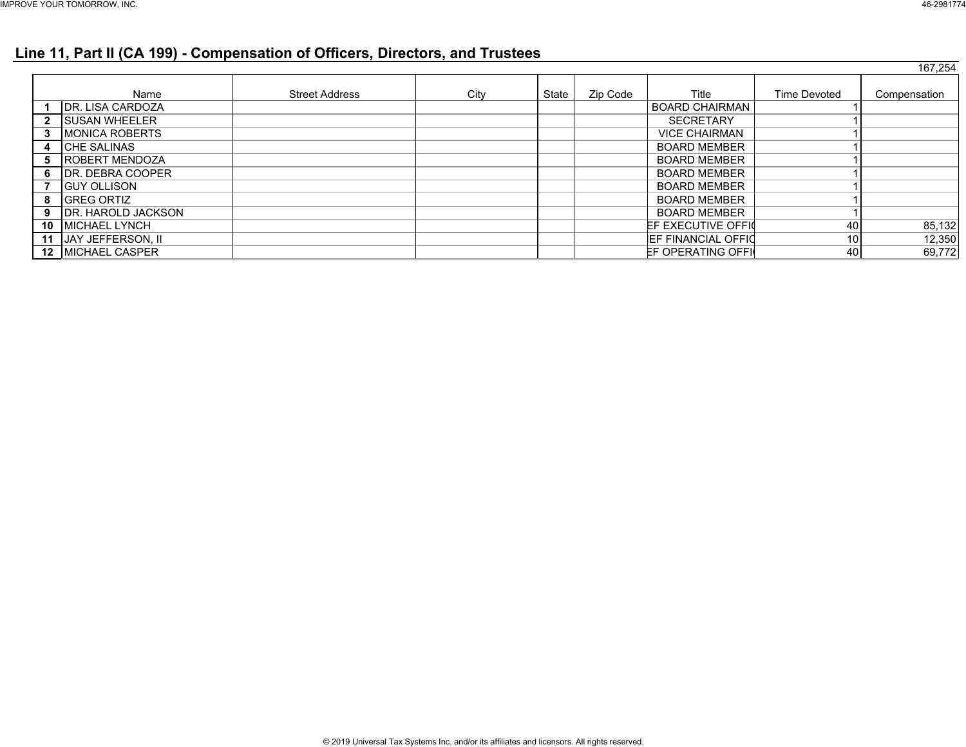### **Line 11, Part II (CA 199) - Compensation of Officers, Directors, and Trustees**

|    |                            |                       |      |       |          |                            |                     | 167,254      |
|----|----------------------------|-----------------------|------|-------|----------|----------------------------|---------------------|--------------|
|    |                            |                       |      |       |          |                            |                     |              |
|    | Name                       | <b>Street Address</b> | City | State | Zip Code | Title                      | <b>Time Devoted</b> | Compensation |
|    | <b>IDR. LISA CARDOZA</b>   |                       |      |       |          | <b>BOARD CHAIRMAN</b>      |                     |              |
|    | <b>ISUSAN WHEELER</b>      |                       |      |       |          | <b>SECRETARY</b>           |                     |              |
|    | <b>IMONICA ROBERTS</b>     |                       |      |       |          | <b>VICE CHAIRMAN</b>       |                     |              |
|    | <b>CHE SALINAS</b>         |                       |      |       |          | <b>BOARD MEMBER</b>        |                     |              |
| 5  | <b>IROBERT MENDOZA</b>     |                       |      |       |          | <b>BOARD MEMBER</b>        |                     |              |
| 6  | <b>IDR. DEBRA COOPER</b>   |                       |      |       |          | <b>BOARD MEMBER</b>        |                     |              |
|    | <b>GUY OLLISON</b>         |                       |      |       |          | <b>BOARD MEMBER</b>        |                     |              |
| 8  | <b>GREG ORTIZ</b>          |                       |      |       |          | <b>BOARD MEMBER</b>        |                     |              |
| 9  | <b>IDR. HAROLD JACKSON</b> |                       |      |       |          | <b>BOARD MEMBER</b>        |                     |              |
| 10 | <b>IMICHAEL LYNCH</b>      |                       |      |       |          | EF EXECUTIVE OFFIC         | 40                  | 85,132       |
| 11 | <b>JAY JEFFERSON, II</b>   |                       |      |       |          | <b>IEF FINANCIAL OFFIO</b> | 10 <sup>1</sup>     | 12,350       |
|    | <b>12 MICHAEL CASPER</b>   |                       |      |       |          | EF OPERATING OFFI          | 40                  | 69,772       |